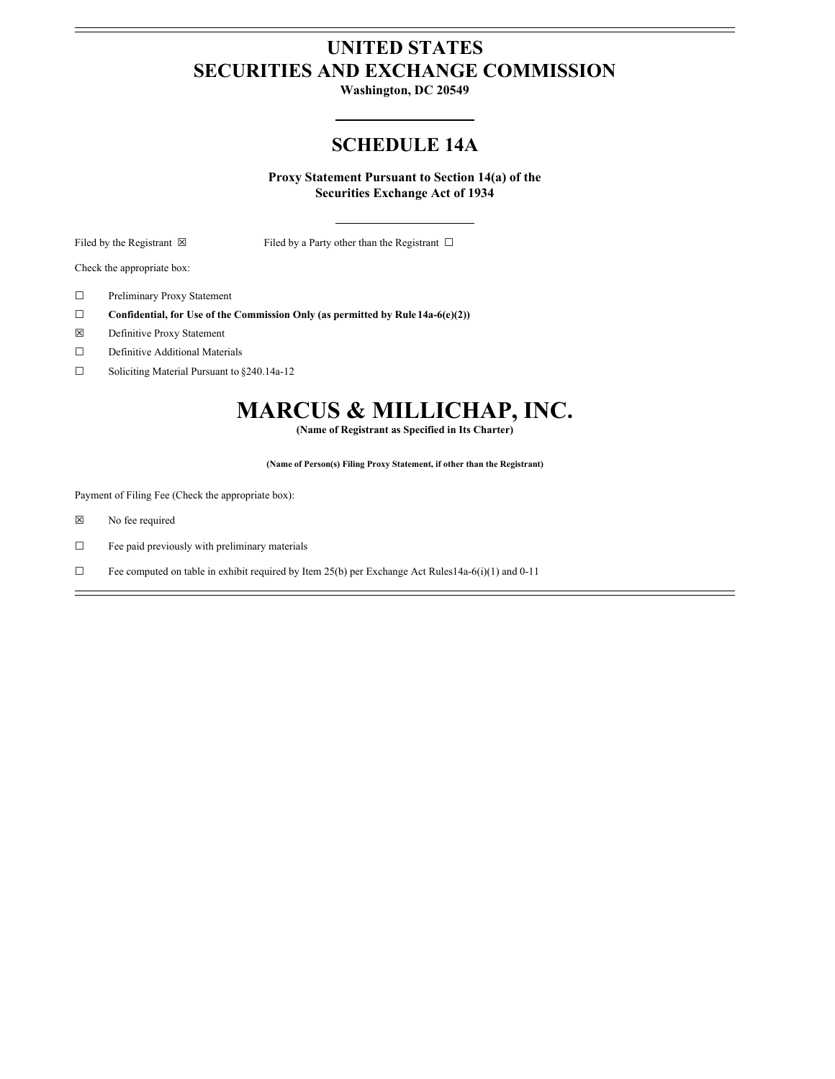# **UNITED STATES SECURITIES AND EXCHANGE COMMISSION**

**Washington, DC 20549**

# **SCHEDULE 14A**

**Proxy Statement Pursuant to Section 14(a) of the Securities Exchange Act of 1934**

Filed by the Registrant  $\boxtimes$  Filed by a Party other than the Registrant  $\Box$ 

Check the appropriate box:

- ☐ Preliminary Proxy Statement
- ☐ **Confidential, for Use of the Commission Only (as permitted by Rule 14a-6(e)(2))**
- ☒ Definitive Proxy Statement
- ☐ Definitive Additional Materials
- ☐ Soliciting Material Pursuant to §240.14a-12

# **MARCUS & MILLICHAP, INC.**

**(Name of Registrant as Specified in Its Charter)**

**(Name of Person(s) Filing Proxy Statement, if other than the Registrant)**

Payment of Filing Fee (Check the appropriate box):

- ☒ No fee required
- ☐ Fee paid previously with preliminary materials
- $\Box$  Fee computed on table in exhibit required by Item 25(b) per Exchange Act Rules14a-6(i)(1) and 0-11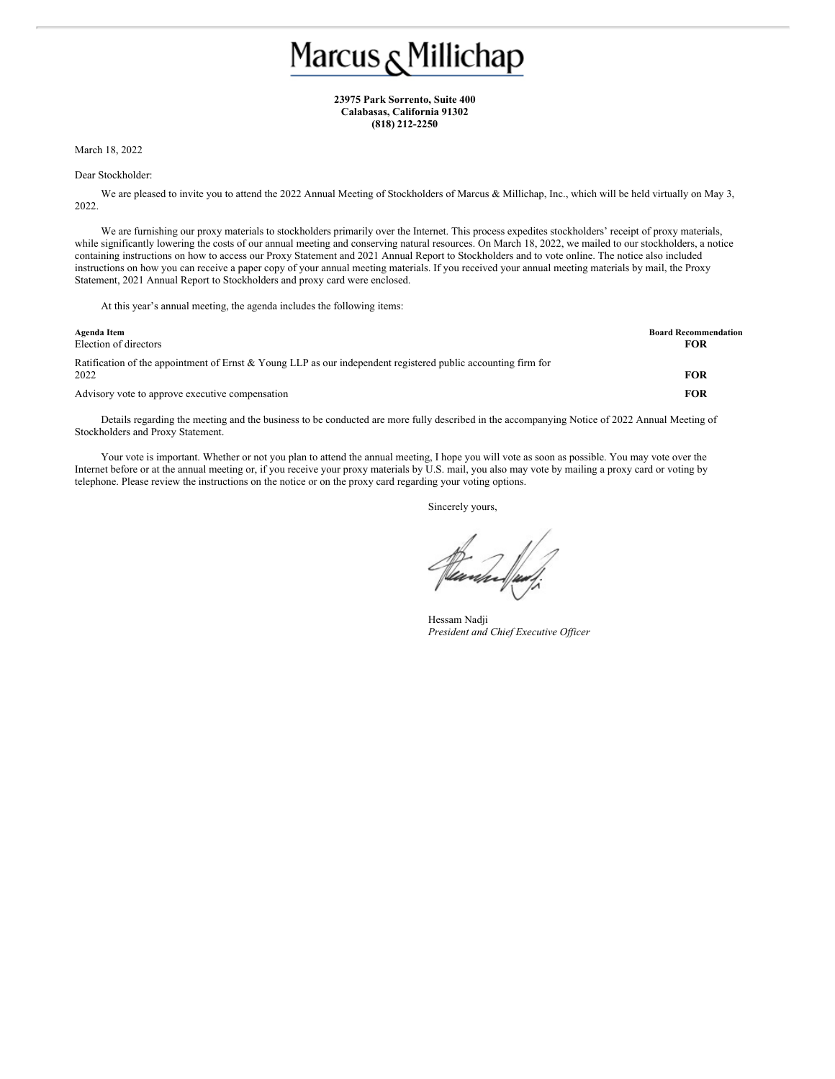# Marcus <sub>&</sub> Millichap

**23975 Park Sorrento, Suite 400 Calabasas, California 91302 (818) 212-2250**

March 18, 2022

#### Dear Stockholder:

We are pleased to invite you to attend the 2022 Annual Meeting of Stockholders of Marcus & Millichap, Inc., which will be held virtually on May 3, 2022.

We are furnishing our proxy materials to stockholders primarily over the Internet. This process expedites stockholders' receipt of proxy materials, while significantly lowering the costs of our annual meeting and conserving natural resources. On March 18, 2022, we mailed to our stockholders, a notice containing instructions on how to access our Proxy Statement and 2021 Annual Report to Stockholders and to vote online. The notice also included instructions on how you can receive a paper copy of your annual meeting materials. If you received your annual meeting materials by mail, the Proxy Statement, 2021 Annual Report to Stockholders and proxy card were enclosed.

At this year's annual meeting, the agenda includes the following items:

| Agenda Item<br>Election of directors                                                                                  | <b>Board Recommendation</b><br><b>FOR</b> |
|-----------------------------------------------------------------------------------------------------------------------|-------------------------------------------|
| Ratification of the appointment of Ernst & Young LLP as our independent registered public accounting firm for<br>2022 | <b>FOR</b>                                |
| Advisory vote to approve executive compensation                                                                       | <b>FOR</b>                                |

Details regarding the meeting and the business to be conducted are more fully described in the accompanying Notice of 2022 Annual Meeting of Stockholders and Proxy Statement.

Your vote is important. Whether or not you plan to attend the annual meeting, I hope you will vote as soon as possible. You may vote over the Internet before or at the annual meeting or, if you receive your proxy materials by U.S. mail, you also may vote by mailing a proxy card or voting by telephone. Please review the instructions on the notice or on the proxy card regarding your voting options.

Sincerely yours,

Hessam Nadii *President and Chief Executive Of icer*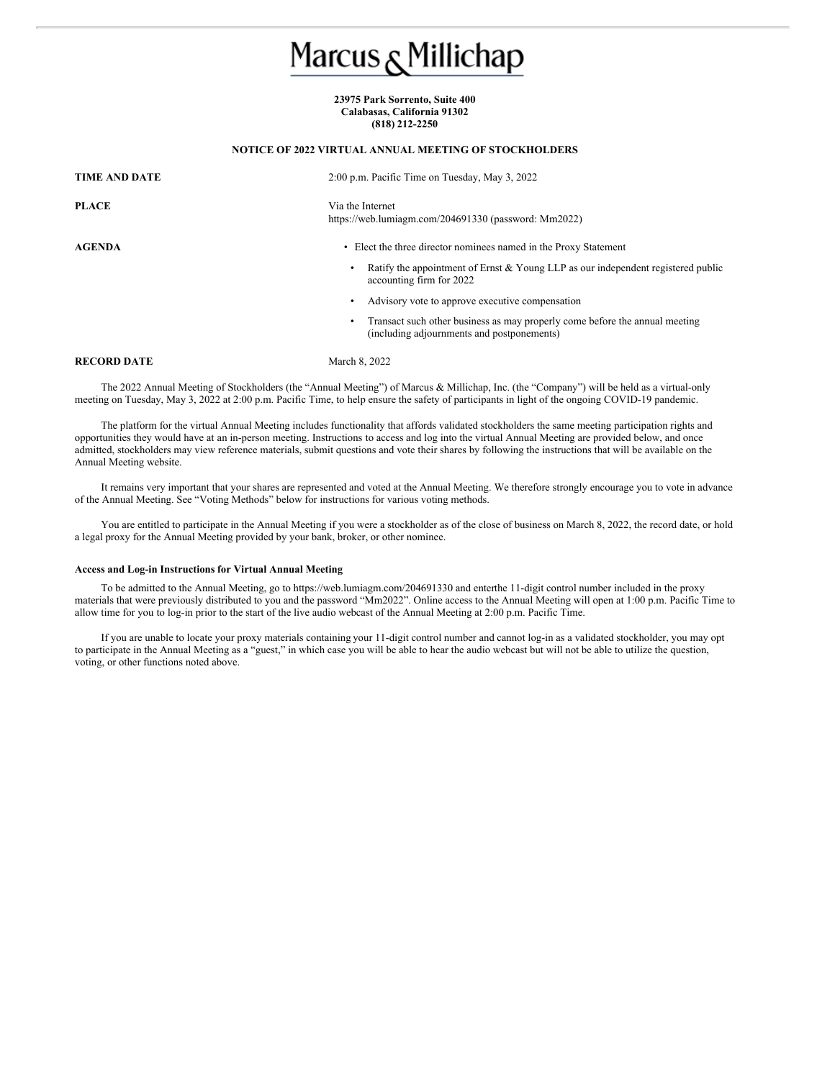# Marcus <sub>&</sub> Millichap

# **23975 Park Sorrento, Suite 400 Calabasas, California 91302 (818) 212-2250**

**NOTICE OF 2022 VIRTUAL ANNUAL MEETING OF STOCKHOLDERS**

# **TIME AND DATE** 2:00 p.m. Pacific Time on Tuesday, May 3, 2022 **PLACE** Via the Internet https://web.lumiagm.com/204691330 (password: Mm2022) **AGENDA** • Elect the three director nominees named in the Proxy Statement • Ratify the appointment of Ernst & Young LLP as our independent registered public accounting firm for 2022 Advisory vote to approve executive compensation • Transact such other business as may properly come before the annual meeting (including adjournments and postponements) **RECORD DATE** March 8, 2022

The 2022 Annual Meeting of Stockholders (the "Annual Meeting") of Marcus & Millichap, Inc. (the "Company") will be held as a virtual-only meeting on Tuesday, May 3, 2022 at 2:00 p.m. Pacific Time, to help ensure the safety of participants in light of the ongoing COVID-19 pandemic.

The platform for the virtual Annual Meeting includes functionality that affords validated stockholders the same meeting participation rights and opportunities they would have at an in-person meeting. Instructions to access and log into the virtual Annual Meeting are provided below, and once admitted, stockholders may view reference materials, submit questions and vote their shares by following the instructions that will be available on the Annual Meeting website.

It remains very important that your shares are represented and voted at the Annual Meeting. We therefore strongly encourage you to vote in advance of the Annual Meeting. See "Voting Methods" below for instructions for various voting methods.

You are entitled to participate in the Annual Meeting if you were a stockholder as of the close of business on March 8, 2022, the record date, or hold a legal proxy for the Annual Meeting provided by your bank, broker, or other nominee.

# **Access and Log-in Instructions for Virtual Annual Meeting**

To be admitted to the Annual Meeting, go to https://web.lumiagm.com/204691330 and enterthe 11-digit control number included in the proxy materials that were previously distributed to you and the password "Mm2022". Online access to the Annual Meeting will open at 1:00 p.m. Pacific Time to allow time for you to log-in prior to the start of the live audio webcast of the Annual Meeting at 2:00 p.m. Pacific Time.

If you are unable to locate your proxy materials containing your 11-digit control number and cannot log-in as a validated stockholder, you may opt to participate in the Annual Meeting as a "guest," in which case you will be able to hear the audio webcast but will not be able to utilize the question, voting, or other functions noted above.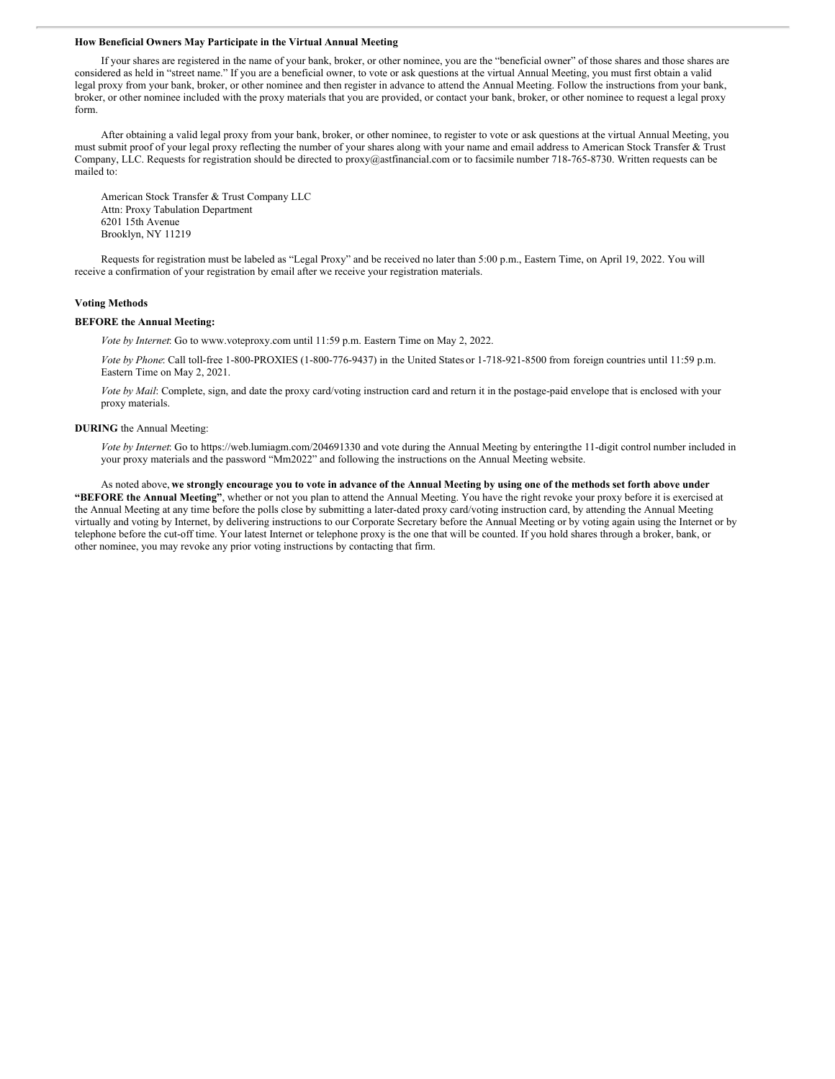#### **How Beneficial Owners May Participate in the Virtual Annual Meeting**

If your shares are registered in the name of your bank, broker, or other nominee, you are the "beneficial owner" of those shares and those shares are considered as held in "street name." If you are a beneficial owner, to vote or ask questions at the virtual Annual Meeting, you must first obtain a valid legal proxy from your bank, broker, or other nominee and then register in advance to attend the Annual Meeting. Follow the instructions from your bank, broker, or other nominee included with the proxy materials that you are provided, or contact your bank, broker, or other nominee to request a legal proxy form.

After obtaining a valid legal proxy from your bank, broker, or other nominee, to register to vote or ask questions at the virtual Annual Meeting, you must submit proof of your legal proxy reflecting the number of your shares along with your name and email address to American Stock Transfer & Trust Company, LLC. Requests for registration should be directed to proxy@astfinancial.com or to facsimile number 718-765-8730. Written requests can be mailed to:

American Stock Transfer & Trust Company LLC Attn: Proxy Tabulation Department 6201 15th Avenue Brooklyn, NY 11219

Requests for registration must be labeled as "Legal Proxy" and be received no later than 5:00 p.m., Eastern Time, on April 19, 2022. You will receive a confirmation of your registration by email after we receive your registration materials.

# **Voting Methods**

#### **BEFORE the Annual Meeting:**

*Vote by Internet*: Go to www.voteproxy.com until 11:59 p.m. Eastern Time on May 2, 2022.

*Vote by Phone*: Call toll-free 1-800-PROXIES (1-800-776-9437) in the United States or 1-718-921-8500 from foreign countries until 11:59 p.m. Eastern Time on May 2, 2021.

*Vote by Mail*: Complete, sign, and date the proxy card/voting instruction card and return it in the postage-paid envelope that is enclosed with your proxy materials.

#### **DURING** the Annual Meeting:

*Vote by Internet*: Go to https://web.lumiagm.com/204691330 and vote during the Annual Meeting by enteringthe 11-digit control number included in your proxy materials and the password "Mm2022" and following the instructions on the Annual Meeting website.

As noted above, we strongly encourage you to vote in advance of the Annual Meeting by using one of the methods set forth above under **"BEFORE the Annual Meeting"**, whether or not you plan to attend the Annual Meeting. You have the right revoke your proxy before it is exercised at the Annual Meeting at any time before the polls close by submitting a later-dated proxy card/voting instruction card, by attending the Annual Meeting virtually and voting by Internet, by delivering instructions to our Corporate Secretary before the Annual Meeting or by voting again using the Internet or by telephone before the cut-off time. Your latest Internet or telephone proxy is the one that will be counted. If you hold shares through a broker, bank, or other nominee, you may revoke any prior voting instructions by contacting that firm.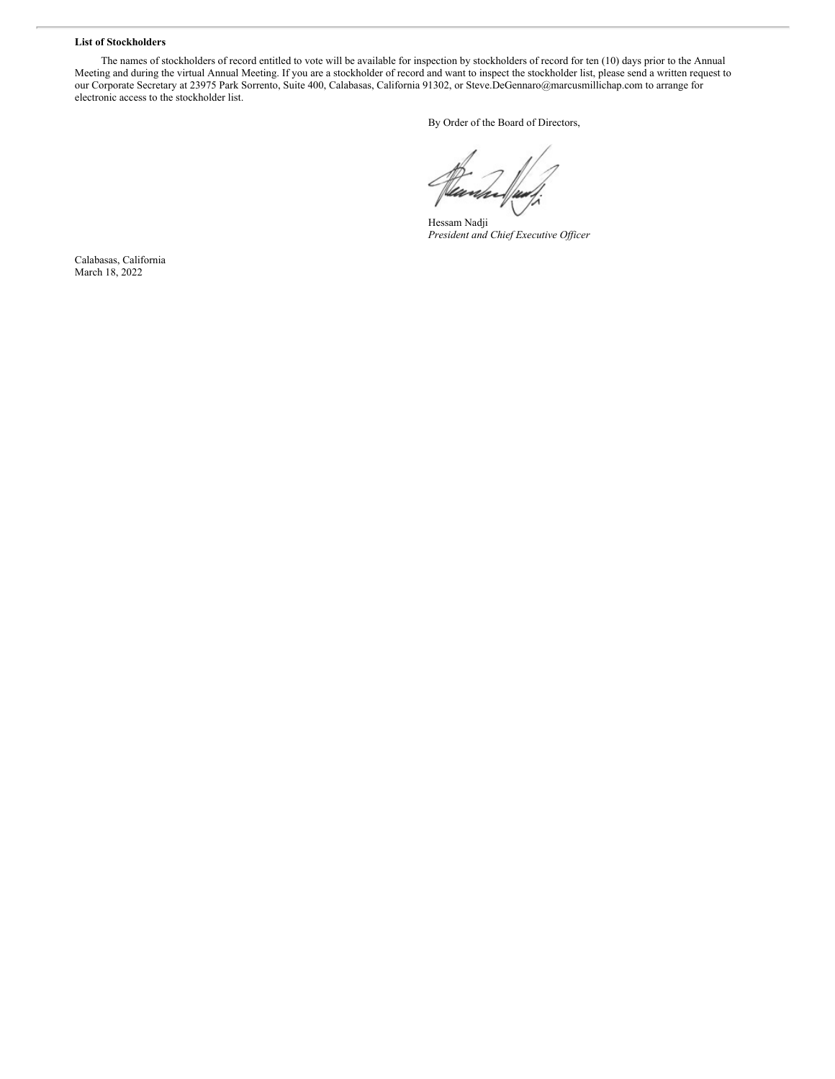# **List of Stockholders**

The names of stockholders of record entitled to vote will be available for inspection by stockholders of record for ten (10) days prior to the Annual Meeting and during the virtual Annual Meeting. If you are a stockholder of record and want to inspect the stockholder list, please send a written request to our Corporate Secretary at 23975 Park Sorrento, Suite 400, Calabasas, California 91302, or Steve.DeGennaro@marcusmillichap.com to arrange for electronic access to the stockholder list.

By Order of the Board of Directors,

Hessam Nadji *President and Chief Executive Of icer*

Calabasas, California March 18, 2022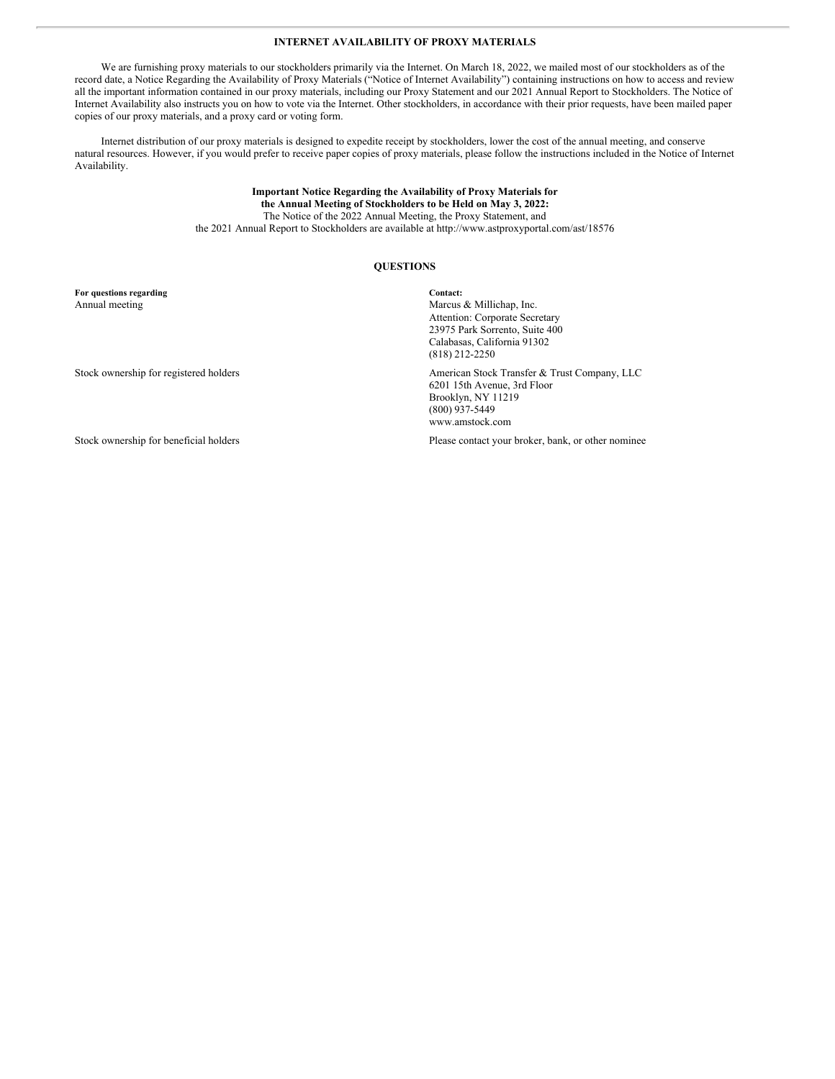# **INTERNET AVAILABILITY OF PROXY MATERIALS**

We are furnishing proxy materials to our stockholders primarily via the Internet. On March 18, 2022, we mailed most of our stockholders as of the record date, a Notice Regarding the Availability of Proxy Materials ("Notice of Internet Availability") containing instructions on how to access and review all the important information contained in our proxy materials, including our Proxy Statement and our 2021 Annual Report to Stockholders. The Notice of Internet Availability also instructs you on how to vote via the Internet. Other stockholders, in accordance with their prior requests, have been mailed paper copies of our proxy materials, and a proxy card or voting form.

Internet distribution of our proxy materials is designed to expedite receipt by stockholders, lower the cost of the annual meeting, and conserve natural resources. However, if you would prefer to receive paper copies of proxy materials, please follow the instructions included in the Notice of Internet Availability.

# **Important Notice Regarding the Availability of Proxy Materials for the Annual Meeting of Stockholders to be Held on May 3, 2022:** The Notice of the 2022 Annual Meeting, the Proxy Statement, and the 2021 Annual Report to Stockholders are available at http://www.astproxyportal.com/ast/18576*.*

# **QUESTIONS**

**For questions regarding Contact:**

Annual meeting Marcus & Millichap, Inc. Attention: Corporate Secretary 23975 Park Sorrento, Suite 400 Calabasas, California 91302 (818) 212-2250 Stock ownership for registered holders and the stock Transfer & Trust Company, LLC 6201 15th Avenue, 3rd Floor Brooklyn, NY 11219

(800) 937-5449 www.amstock.com

Stock ownership for beneficial holders **Please contact your broker**, bank, or other nominee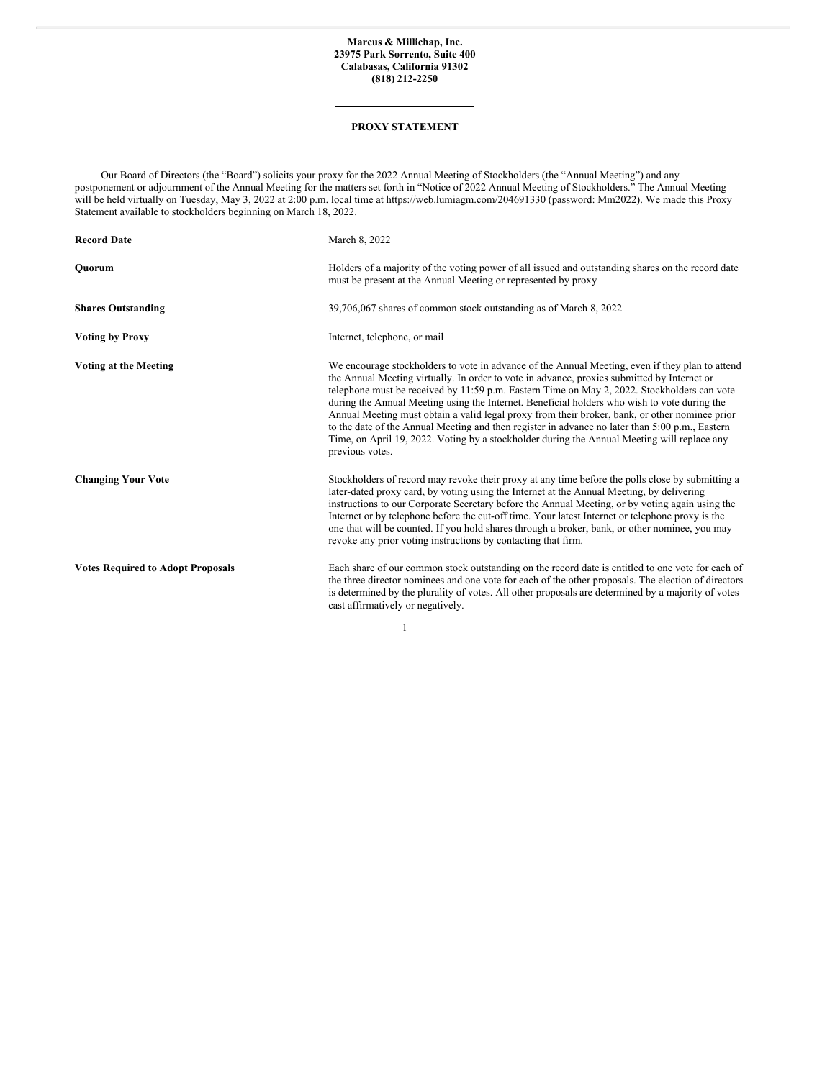# **Marcus & Millichap, Inc. 23975 Park Sorrento, Suite 400 Calabasas, California 91302 (818) 212-2250**

# **PROXY STATEMENT**

Our Board of Directors (the "Board") solicits your proxy for the 2022 Annual Meeting of Stockholders (the "Annual Meeting") and any postponement or adjournment of the Annual Meeting for the matters set forth in "Notice of 2022 Annual Meeting of Stockholders." The Annual Meeting will be held virtually on Tuesday, May 3, 2022 at 2:00 p.m. local time at https://web.lumiagm.com/204691330 (password: Mm2022). We made this Proxy Statement available to stockholders beginning on March 18, 2022.

| March 8, 2022                                                                                                                                                                                                                                                                                                                                                                                                                                                                                                                                                                                                                                                                                                        |
|----------------------------------------------------------------------------------------------------------------------------------------------------------------------------------------------------------------------------------------------------------------------------------------------------------------------------------------------------------------------------------------------------------------------------------------------------------------------------------------------------------------------------------------------------------------------------------------------------------------------------------------------------------------------------------------------------------------------|
| Holders of a majority of the voting power of all issued and outstanding shares on the record date<br>must be present at the Annual Meeting or represented by proxy                                                                                                                                                                                                                                                                                                                                                                                                                                                                                                                                                   |
| 39,706,067 shares of common stock outstanding as of March 8, 2022                                                                                                                                                                                                                                                                                                                                                                                                                                                                                                                                                                                                                                                    |
| Internet, telephone, or mail                                                                                                                                                                                                                                                                                                                                                                                                                                                                                                                                                                                                                                                                                         |
| We encourage stockholders to vote in advance of the Annual Meeting, even if they plan to attend<br>the Annual Meeting virtually. In order to vote in advance, proxies submitted by Internet or<br>telephone must be received by 11:59 p.m. Eastern Time on May 2, 2022. Stockholders can vote<br>during the Annual Meeting using the Internet. Beneficial holders who wish to vote during the<br>Annual Meeting must obtain a valid legal proxy from their broker, bank, or other nominee prior<br>to the date of the Annual Meeting and then register in advance no later than 5:00 p.m., Eastern<br>Time, on April 19, 2022. Voting by a stockholder during the Annual Meeting will replace any<br>previous votes. |
| Stockholders of record may revoke their proxy at any time before the polls close by submitting a<br>later-dated proxy card, by voting using the Internet at the Annual Meeting, by delivering<br>instructions to our Corporate Secretary before the Annual Meeting, or by voting again using the<br>Internet or by telephone before the cut-off time. Your latest Internet or telephone proxy is the<br>one that will be counted. If you hold shares through a broker, bank, or other nominee, you may<br>revoke any prior voting instructions by contacting that firm.                                                                                                                                              |
| Each share of our common stock outstanding on the record date is entitled to one vote for each of<br>the three director nominees and one vote for each of the other proposals. The election of directors<br>is determined by the plurality of votes. All other proposals are determined by a majority of votes<br>cast affirmatively or negatively.                                                                                                                                                                                                                                                                                                                                                                  |
|                                                                                                                                                                                                                                                                                                                                                                                                                                                                                                                                                                                                                                                                                                                      |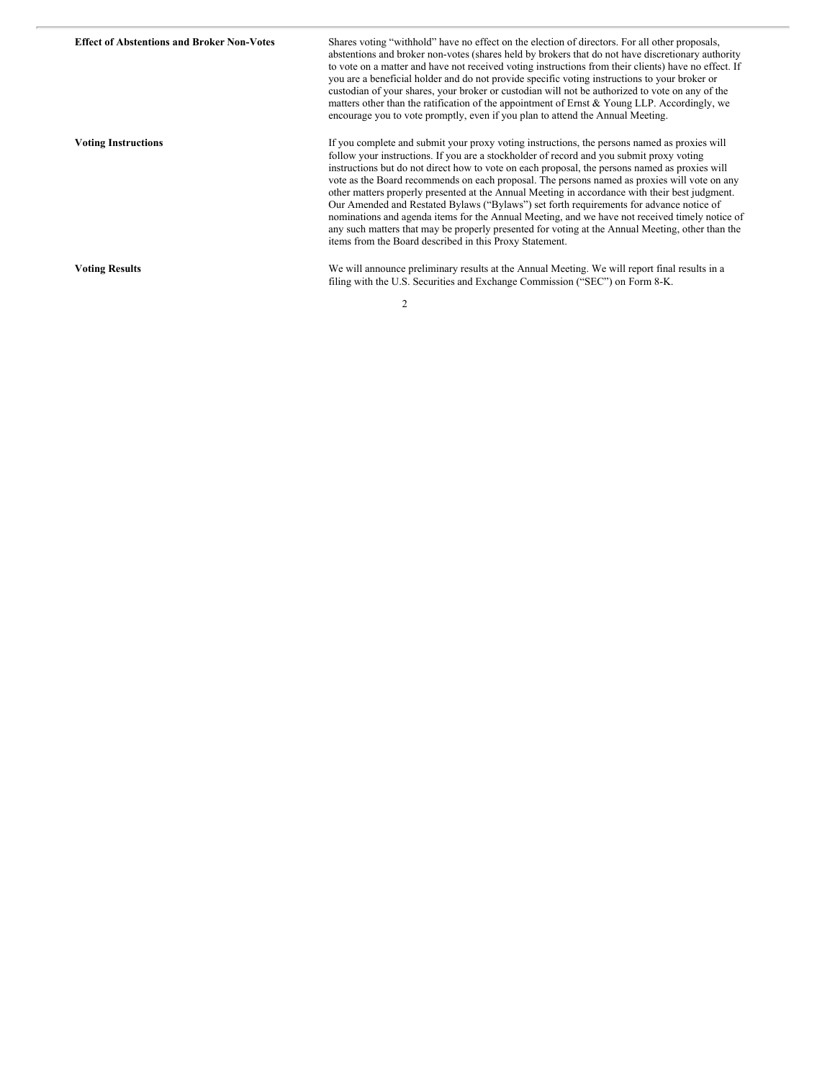| <b>Effect of Abstentions and Broker Non-Votes</b> | Shares voting "withhold" have no effect on the election of directors. For all other proposals,<br>abstentions and broker non-votes (shares held by brokers that do not have discretionary authority<br>to vote on a matter and have not received voting instructions from their clients) have no effect. If<br>you are a beneficial holder and do not provide specific voting instructions to your broker or<br>custodian of your shares, your broker or custodian will not be authorized to vote on any of the<br>matters other than the ratification of the appointment of Ernst & Young LLP. Accordingly, we<br>encourage you to vote promptly, even if you plan to attend the Annual Meeting.                                                                                                                                                        |
|---------------------------------------------------|----------------------------------------------------------------------------------------------------------------------------------------------------------------------------------------------------------------------------------------------------------------------------------------------------------------------------------------------------------------------------------------------------------------------------------------------------------------------------------------------------------------------------------------------------------------------------------------------------------------------------------------------------------------------------------------------------------------------------------------------------------------------------------------------------------------------------------------------------------|
| <b>Voting Instructions</b>                        | If you complete and submit your proxy voting instructions, the persons named as proxies will<br>follow your instructions. If you are a stockholder of record and you submit proxy voting<br>instructions but do not direct how to vote on each proposal, the persons named as proxies will<br>vote as the Board recommends on each proposal. The persons named as proxies will vote on any<br>other matters properly presented at the Annual Meeting in accordance with their best judgment.<br>Our Amended and Restated Bylaws ("Bylaws") set forth requirements for advance notice of<br>nominations and agenda items for the Annual Meeting, and we have not received timely notice of<br>any such matters that may be properly presented for voting at the Annual Meeting, other than the<br>items from the Board described in this Proxy Statement. |
| <b>Voting Results</b>                             | We will announce preliminary results at the Annual Meeting. We will report final results in a<br>filing with the U.S. Securities and Exchange Commission ("SEC") on Form 8-K.                                                                                                                                                                                                                                                                                                                                                                                                                                                                                                                                                                                                                                                                            |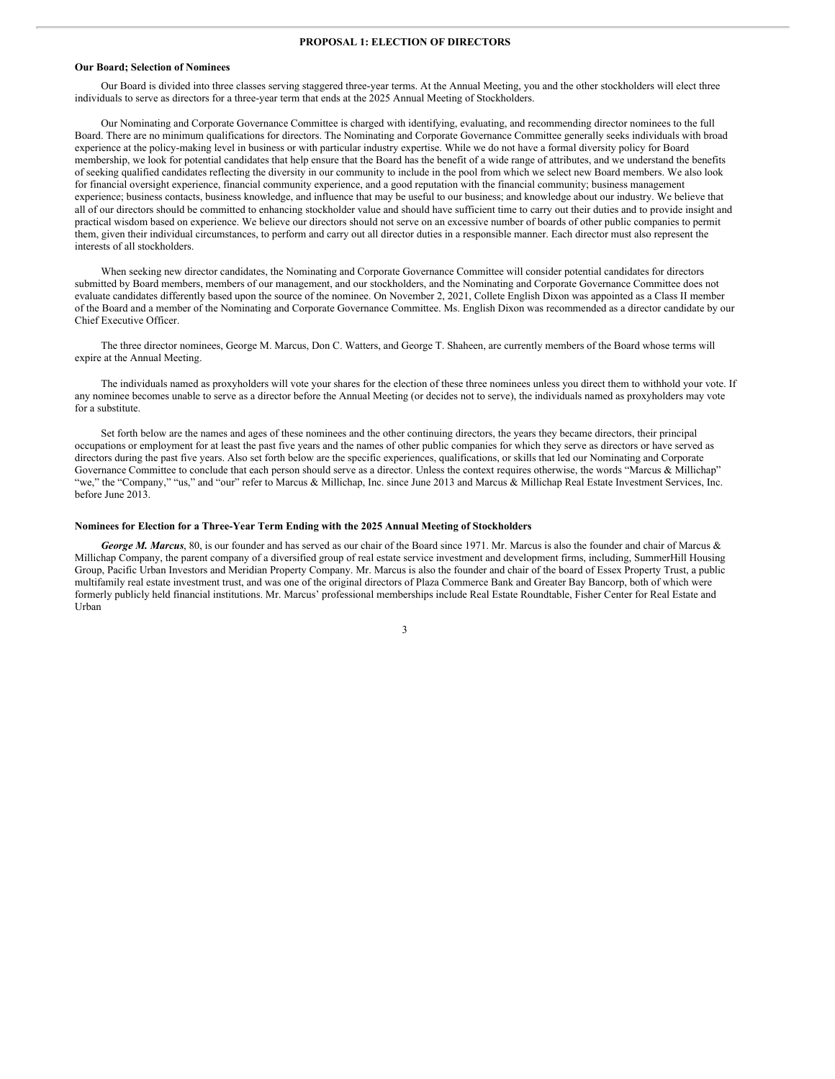### **PROPOSAL 1: ELECTION OF DIRECTORS**

#### **Our Board; Selection of Nominees**

Our Board is divided into three classes serving staggered three-year terms. At the Annual Meeting, you and the other stockholders will elect three individuals to serve as directors for a three-year term that ends at the 2025 Annual Meeting of Stockholders.

Our Nominating and Corporate Governance Committee is charged with identifying, evaluating, and recommending director nominees to the full Board. There are no minimum qualifications for directors. The Nominating and Corporate Governance Committee generally seeks individuals with broad experience at the policy-making level in business or with particular industry expertise. While we do not have a formal diversity policy for Board membership, we look for potential candidates that help ensure that the Board has the benefit of a wide range of attributes, and we understand the benefits of seeking qualified candidates reflecting the diversity in our community to include in the pool from which we select new Board members. We also look for financial oversight experience, financial community experience, and a good reputation with the financial community; business management experience; business contacts, business knowledge, and influence that may be useful to our business; and knowledge about our industry. We believe that all of our directors should be committed to enhancing stockholder value and should have sufficient time to carry out their duties and to provide insight and practical wisdom based on experience. We believe our directors should not serve on an excessive number of boards of other public companies to permit them, given their individual circumstances, to perform and carry out all director duties in a responsible manner. Each director must also represent the interests of all stockholders.

When seeking new director candidates, the Nominating and Corporate Governance Committee will consider potential candidates for directors submitted by Board members, members of our management, and our stockholders, and the Nominating and Corporate Governance Committee does not evaluate candidates differently based upon the source of the nominee. On November 2, 2021, Collete English Dixon was appointed as a Class II member of the Board and a member of the Nominating and Corporate Governance Committee. Ms. English Dixon was recommended as a director candidate by our Chief Executive Officer.

The three director nominees, George M. Marcus, Don C. Watters, and George T. Shaheen, are currently members of the Board whose terms will expire at the Annual Meeting.

The individuals named as proxyholders will vote your shares for the election of these three nominees unless you direct them to withhold your vote. If any nominee becomes unable to serve as a director before the Annual Meeting (or decides not to serve), the individuals named as proxyholders may vote for a substitute.

Set forth below are the names and ages of these nominees and the other continuing directors, the years they became directors, their principal occupations or employment for at least the past five years and the names of other public companies for which they serve as directors or have served as directors during the past five years. Also set forth below are the specific experiences, qualifications, or skills that led our Nominating and Corporate Governance Committee to conclude that each person should serve as a director. Unless the context requires otherwise, the words "Marcus & Millichap" "we," the "Company," "us," and "our" refer to Marcus & Millichap, Inc. since June 2013 and Marcus & Millichap Real Estate Investment Services, Inc. before June 2013.

#### **Nominees for Election for a Three-Year Term Ending with the 2025 Annual Meeting of Stockholders**

*George M. Marcus*, 80, is our founder and has served as our chair of the Board since 1971. Mr. Marcus is also the founder and chair of Marcus & Millichap Company, the parent company of a diversified group of real estate service investment and development firms, including, SummerHill Housing Group, Pacific Urban Investors and Meridian Property Company. Mr. Marcus is also the founder and chair of the board of Essex Property Trust, a public multifamily real estate investment trust, and was one of the original directors of Plaza Commerce Bank and Greater Bay Bancorp, both of which were formerly publicly held financial institutions. Mr. Marcus' professional memberships include Real Estate Roundtable, Fisher Center for Real Estate and Urban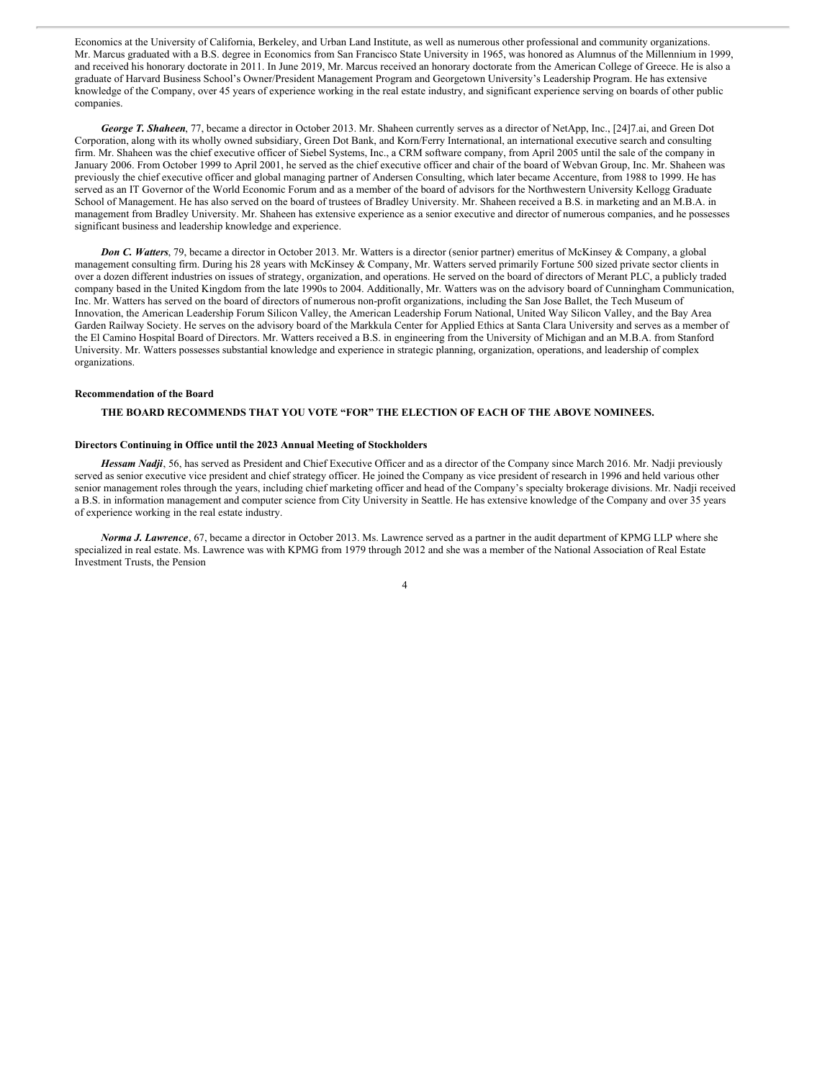Economics at the University of California, Berkeley, and Urban Land Institute, as well as numerous other professional and community organizations. Mr. Marcus graduated with a B.S. degree in Economics from San Francisco State University in 1965, was honored as Alumnus of the Millennium in 1999, and received his honorary doctorate in 2011. In June 2019, Mr. Marcus received an honorary doctorate from the American College of Greece. He is also a graduate of Harvard Business School's Owner/President Management Program and Georgetown University's Leadership Program. He has extensive knowledge of the Company, over 45 years of experience working in the real estate industry, and significant experience serving on boards of other public companies.

*George T. Shaheen*, 77, became a director in October 2013. Mr. Shaheen currently serves as a director of NetApp, Inc., [24]7.ai, and Green Dot Corporation, along with its wholly owned subsidiary, Green Dot Bank, and Korn/Ferry International, an international executive search and consulting firm. Mr. Shaheen was the chief executive officer of Siebel Systems, Inc., a CRM software company, from April 2005 until the sale of the company in January 2006. From October 1999 to April 2001, he served as the chief executive officer and chair of the board of Webvan Group, Inc. Mr. Shaheen was previously the chief executive officer and global managing partner of Andersen Consulting, which later became Accenture, from 1988 to 1999. He has served as an IT Governor of the World Economic Forum and as a member of the board of advisors for the Northwestern University Kellogg Graduate School of Management. He has also served on the board of trustees of Bradley University. Mr. Shaheen received a B.S. in marketing and an M.B.A. in management from Bradley University. Mr. Shaheen has extensive experience as a senior executive and director of numerous companies, and he possesses significant business and leadership knowledge and experience.

*Don C. Watters*, 79, became a director in October 2013. Mr. Watters is a director (senior partner) emeritus of McKinsey & Company, a global management consulting firm. During his 28 years with McKinsey & Company, Mr. Watters served primarily Fortune 500 sized private sector clients in over a dozen different industries on issues of strategy, organization, and operations. He served on the board of directors of Merant PLC, a publicly traded company based in the United Kingdom from the late 1990s to 2004. Additionally, Mr. Watters was on the advisory board of Cunningham Communication, Inc. Mr. Watters has served on the board of directors of numerous non-profit organizations, including the San Jose Ballet, the Tech Museum of Innovation, the American Leadership Forum Silicon Valley, the American Leadership Forum National, United Way Silicon Valley, and the Bay Area Garden Railway Society. He serves on the advisory board of the Markkula Center for Applied Ethics at Santa Clara University and serves as a member of the El Camino Hospital Board of Directors. Mr. Watters received a B.S. in engineering from the University of Michigan and an M.B.A. from Stanford University. Mr. Watters possesses substantial knowledge and experience in strategic planning, organization, operations, and leadership of complex organizations.

#### **Recommendation of the Board**

# **THE BOARD RECOMMENDS THAT YOU VOTE "FOR" THE ELECTION OF EACH OF THE ABOVE NOMINEES.**

# **Directors Continuing in Office until the 2023 Annual Meeting of Stockholders**

*Hessam Nadji*, 56, has served as President and Chief Executive Officer and as a director of the Company since March 2016. Mr. Nadji previously served as senior executive vice president and chief strategy officer. He joined the Company as vice president of research in 1996 and held various other senior management roles through the years, including chief marketing officer and head of the Company's specialty brokerage divisions. Mr. Nadji received a B.S. in information management and computer science from City University in Seattle. He has extensive knowledge of the Company and over 35 years of experience working in the real estate industry.

*Norma J. Lawrence*, 67, became a director in October 2013. Ms. Lawrence served as a partner in the audit department of KPMG LLP where she specialized in real estate. Ms. Lawrence was with KPMG from 1979 through 2012 and she was a member of the National Association of Real Estate Investment Trusts, the Pension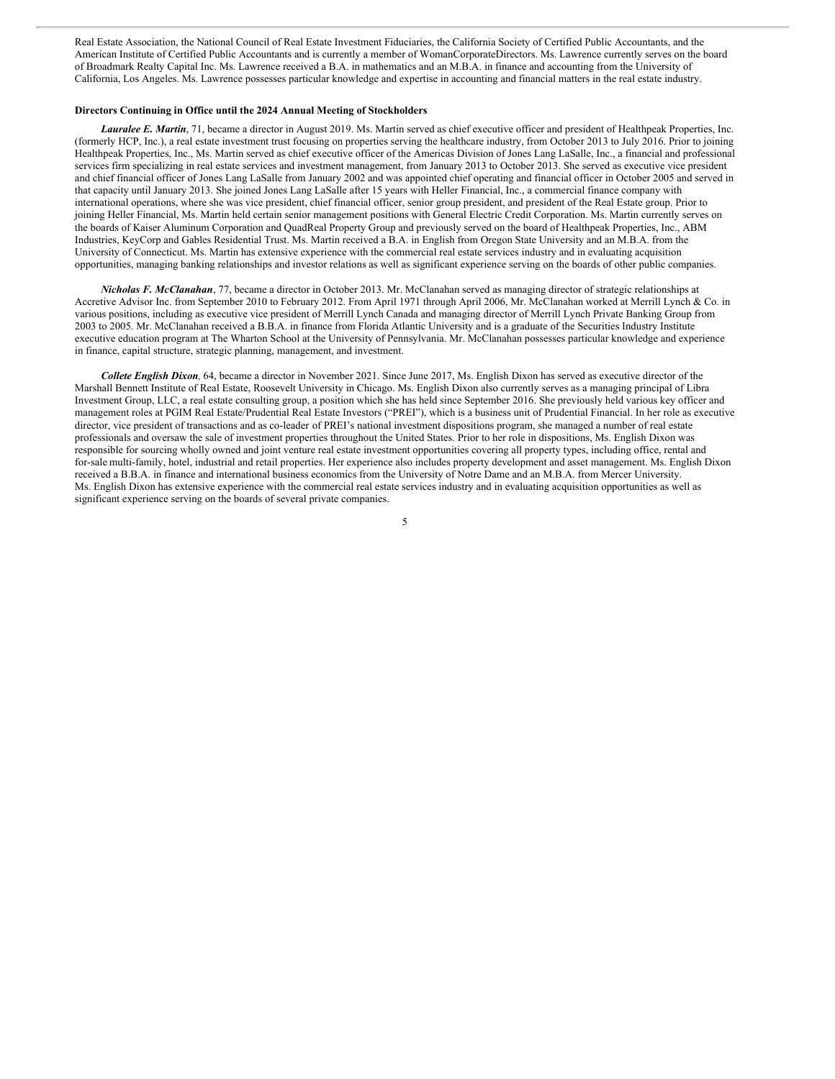Real Estate Association, the National Council of Real Estate Investment Fiduciaries, the California Society of Certified Public Accountants, and the American Institute of Certified Public Accountants and is currently a member of WomanCorporateDirectors. Ms. Lawrence currently serves on the board of Broadmark Realty Capital Inc. Ms. Lawrence received a B.A. in mathematics and an M.B.A. in finance and accounting from the University of California, Los Angeles. Ms. Lawrence possesses particular knowledge and expertise in accounting and financial matters in the real estate industry.

# **Directors Continuing in Office until the 2024 Annual Meeting of Stockholders**

*Lauralee E. Martin*, 71, became a director in August 2019. Ms. Martin served as chief executive officer and president of Healthpeak Properties, Inc. (formerly HCP, Inc.), a real estate investment trust focusing on properties serving the healthcare industry, from October 2013 to July 2016. Prior to joining Healthpeak Properties, Inc., Ms. Martin served as chief executive officer of the Americas Division of Jones Lang LaSalle, Inc., a financial and professional services firm specializing in real estate services and investment management, from January 2013 to October 2013. She served as executive vice president and chief financial officer of Jones Lang LaSalle from January 2002 and was appointed chief operating and financial officer in October 2005 and served in that capacity until January 2013. She joined Jones Lang LaSalle after 15 years with Heller Financial, Inc., a commercial finance company with international operations, where she was vice president, chief financial officer, senior group president, and president of the Real Estate group. Prior to joining Heller Financial, Ms. Martin held certain senior management positions with General Electric Credit Corporation. Ms. Martin currently serves on the boards of Kaiser Aluminum Corporation and QuadReal Property Group and previously served on the board of Healthpeak Properties, Inc., ABM Industries, KeyCorp and Gables Residential Trust. Ms. Martin received a B.A. in English from Oregon State University and an M.B.A. from the University of Connecticut. Ms. Martin has extensive experience with the commercial real estate services industry and in evaluating acquisition opportunities, managing banking relationships and investor relations as well as significant experience serving on the boards of other public companies.

*Nicholas F. McClanahan*, 77, became a director in October 2013. Mr. McClanahan served as managing director of strategic relationships at Accretive Advisor Inc. from September 2010 to February 2012. From April 1971 through April 2006, Mr. McClanahan worked at Merrill Lynch & Co. in various positions, including as executive vice president of Merrill Lynch Canada and managing director of Merrill Lynch Private Banking Group from 2003 to 2005. Mr. McClanahan received a B.B.A. in finance from Florida Atlantic University and is a graduate of the Securities Industry Institute executive education program at The Wharton School at the University of Pennsylvania. Mr. McClanahan possesses particular knowledge and experience in finance, capital structure, strategic planning, management, and investment.

*Collete English Dixon,* 64, became a director in November 2021. Since June 2017, Ms. English Dixon has served as executive director of the Marshall Bennett Institute of Real Estate, Roosevelt University in Chicago. Ms. English Dixon also currently serves as a managing principal of Libra Investment Group, LLC, a real estate consulting group, a position which she has held since September 2016. She previously held various key officer and management roles at PGIM Real Estate/Prudential Real Estate Investors ("PREI"), which is a business unit of Prudential Financial. In her role as executive director, vice president of transactions and as co-leader of PREI's national investment dispositions program, she managed a number of real estate professionals and oversaw the sale of investment properties throughout the United States. Prior to her role in dispositions, Ms. English Dixon was responsible for sourcing wholly owned and joint venture real estate investment opportunities covering all property types, including office, rental and for-sale multi-family, hotel, industrial and retail properties. Her experience also includes property development and asset management. Ms. English Dixon received a B.B.A. in finance and international business economics from the University of Notre Dame and an M.B.A. from Mercer University. Ms. English Dixon has extensive experience with the commercial real estate services industry and in evaluating acquisition opportunities as well as significant experience serving on the boards of several private companies.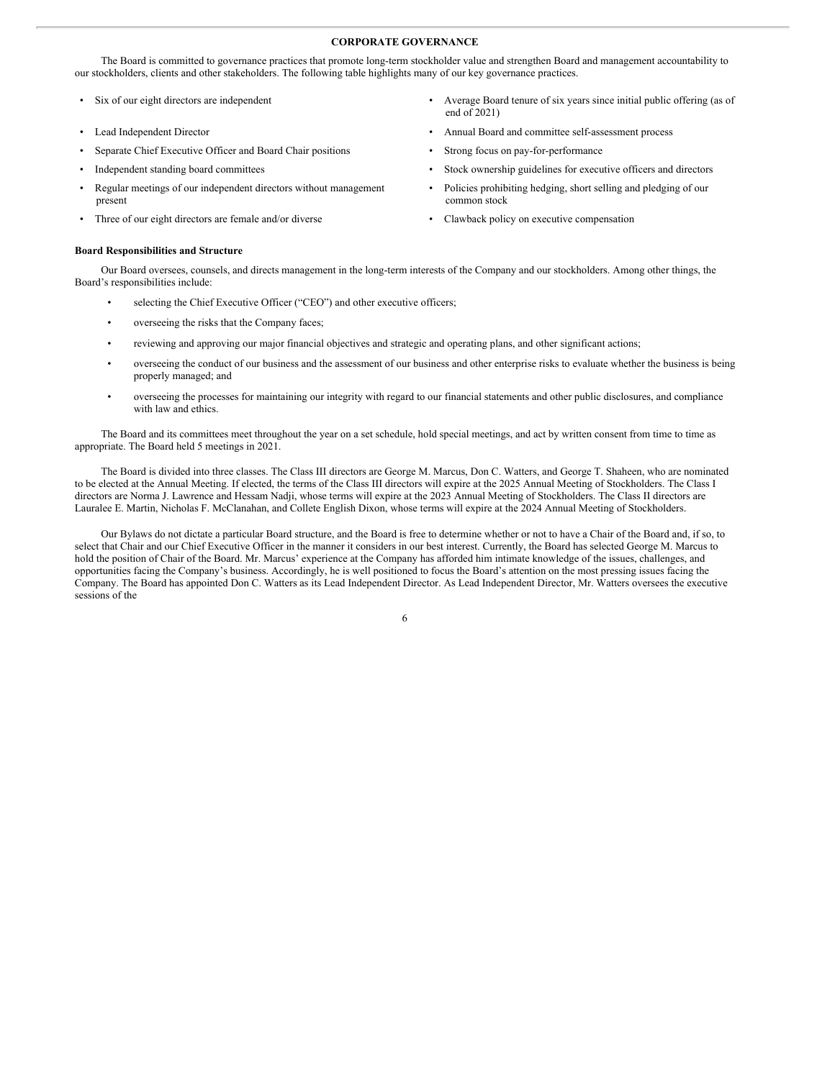# **CORPORATE GOVERNANCE**

The Board is committed to governance practices that promote long-term stockholder value and strengthen Board and management accountability to our stockholders, clients and other stakeholders. The following table highlights many of our key governance practices.

- 
- 
- Separate Chief Executive Officer and Board Chair positions Strong focus on pay-for-performance
- 
- Regular meetings of our independent directors without management present
- Three of our eight directors are female and/or diverse Clawback policy on executive compensation

# **Board Responsibilities and Structure**

Our Board oversees, counsels, and directs management in the long-term interests of the Company and our stockholders. Among other things, the Board's responsibilities include:

- selecting the Chief Executive Officer ("CEO") and other executive officers;
- overseeing the risks that the Company faces;
- reviewing and approving our major financial objectives and strategic and operating plans, and other significant actions;
- overseeing the conduct of our business and the assessment of our business and other enterprise risks to evaluate whether the business is being properly managed; and
- overseeing the processes for maintaining our integrity with regard to our financial statements and other public disclosures, and compliance with law and ethics.

The Board and its committees meet throughout the year on a set schedule, hold special meetings, and act by written consent from time to time as appropriate. The Board held 5 meetings in 2021.

The Board is divided into three classes. The Class III directors are George M. Marcus, Don C. Watters, and George T. Shaheen, who are nominated to be elected at the Annual Meeting. If elected, the terms of the Class III directors will expire at the 2025 Annual Meeting of Stockholders. The Class I directors are Norma J. Lawrence and Hessam Nadji, whose terms will expire at the 2023 Annual Meeting of Stockholders. The Class II directors are Lauralee E. Martin, Nicholas F. McClanahan, and Collete English Dixon, whose terms will expire at the 2024 Annual Meeting of Stockholders.

Our Bylaws do not dictate a particular Board structure, and the Board is free to determine whether or not to have a Chair of the Board and, if so, to select that Chair and our Chief Executive Officer in the manner it considers in our best interest. Currently, the Board has selected George M. Marcus to hold the position of Chair of the Board. Mr. Marcus' experience at the Company has afforded him intimate knowledge of the issues, challenges, and opportunities facing the Company's business. Accordingly, he is well positioned to focus the Board's attention on the most pressing issues facing the Company. The Board has appointed Don C. Watters as its Lead Independent Director. As Lead Independent Director, Mr. Watters oversees the executive sessions of the

- Six of our eight directors are independent Average Board tenure of six years since initial public offering (as of end of 2021)
- Lead Independent Director Annual Board and committee self-assessment process
	-
- Independent standing board committees Stock ownership guidelines for executive officers and directors
	- Policies prohibiting hedging, short selling and pledging of our common stock
	-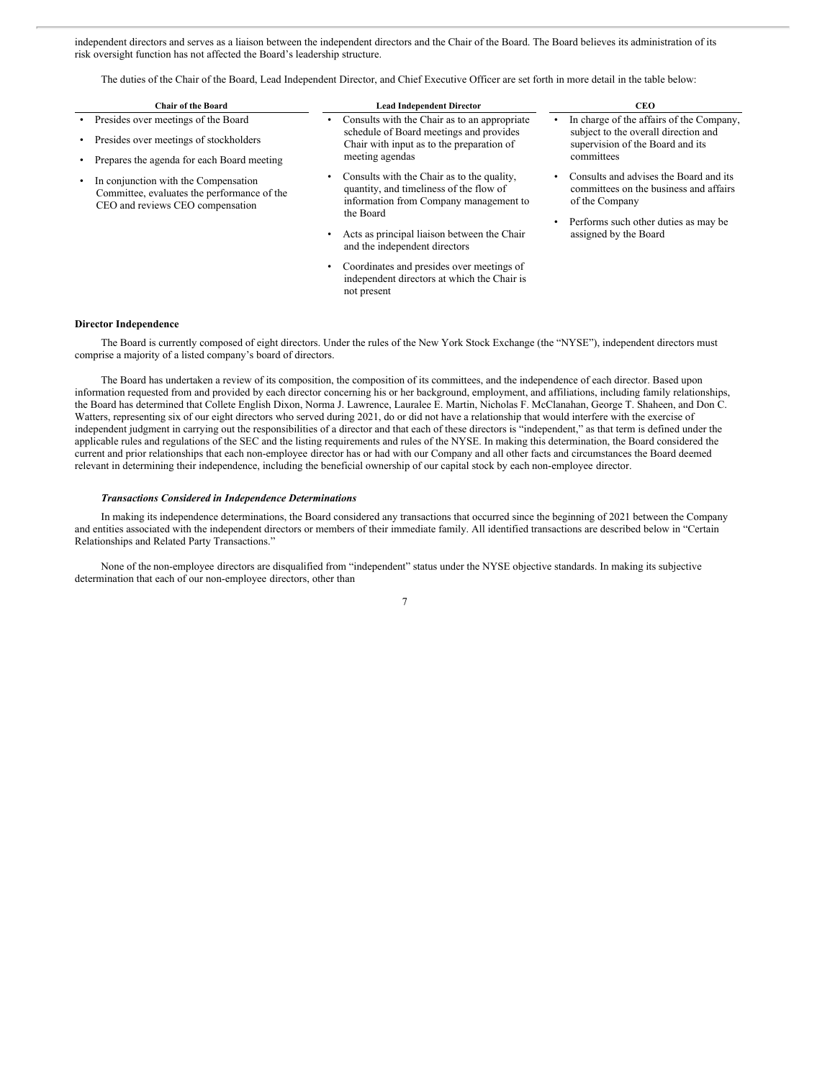independent directors and serves as a liaison between the independent directors and the Chair of the Board. The Board believes its administration of its risk oversight function has not affected the Board's leadership structure.

The duties of the Chair of the Board, Lead Independent Director, and Chief Executive Officer are set forth in more detail in the table below:

| <b>Chair of the Board</b>                                                                                                   | <b>Lead Independent Director</b>                                                                                                                                                                                                  | <b>CEO</b>                                                                                                                                                          |
|-----------------------------------------------------------------------------------------------------------------------------|-----------------------------------------------------------------------------------------------------------------------------------------------------------------------------------------------------------------------------------|---------------------------------------------------------------------------------------------------------------------------------------------------------------------|
| Presides over meetings of the Board<br>Presides over meetings of stockholders<br>Prepares the agenda for each Board meeting | Consults with the Chair as to an appropriate<br>schedule of Board meetings and provides<br>Chair with input as to the preparation of<br>meeting agendas                                                                           | In charge of the affairs of the Company,<br>subject to the overall direction and<br>supervision of the Board and its<br>committees                                  |
| In conjunction with the Compensation<br>Committee, evaluates the performance of the<br>CEO and reviews CEO compensation     | Consults with the Chair as to the quality,<br>quantity, and timeliness of the flow of<br>information from Company management to<br>the Board<br>Acts as principal liaison between the Chair<br>٠<br>and the independent directors | Consults and advises the Board and its<br>committees on the business and affairs<br>of the Company<br>Performs such other duties as may be<br>assigned by the Board |
|                                                                                                                             | Coordinates and presides over meetings of<br>٠<br>independent directors at which the Chair is<br>not present                                                                                                                      |                                                                                                                                                                     |

# **Director Independence**

The Board is currently composed of eight directors. Under the rules of the New York Stock Exchange (the "NYSE"), independent directors must comprise a majority of a listed company's board of directors.

The Board has undertaken a review of its composition, the composition of its committees, and the independence of each director. Based upon information requested from and provided by each director concerning his or her background, employment, and affiliations, including family relationships, the Board has determined that Collete English Dixon, Norma J. Lawrence, Lauralee E. Martin, Nicholas F. McClanahan, George T. Shaheen, and Don C. Watters, representing six of our eight directors who served during 2021, do or did not have a relationship that would interfere with the exercise of independent judgment in carrying out the responsibilities of a director and that each of these directors is "independent," as that term is defined under the applicable rules and regulations of the SEC and the listing requirements and rules of the NYSE. In making this determination, the Board considered the current and prior relationships that each non-employee director has or had with our Company and all other facts and circumstances the Board deemed relevant in determining their independence, including the beneficial ownership of our capital stock by each non-employee director.

#### *Transactions Considered in Independence Determinations*

In making its independence determinations, the Board considered any transactions that occurred since the beginning of 2021 between the Company and entities associated with the independent directors or members of their immediate family. All identified transactions are described below in "Certain Relationships and Related Party Transactions."

None of the non-employee directors are disqualified from "independent" status under the NYSE objective standards. In making its subjective determination that each of our non-employee directors, other than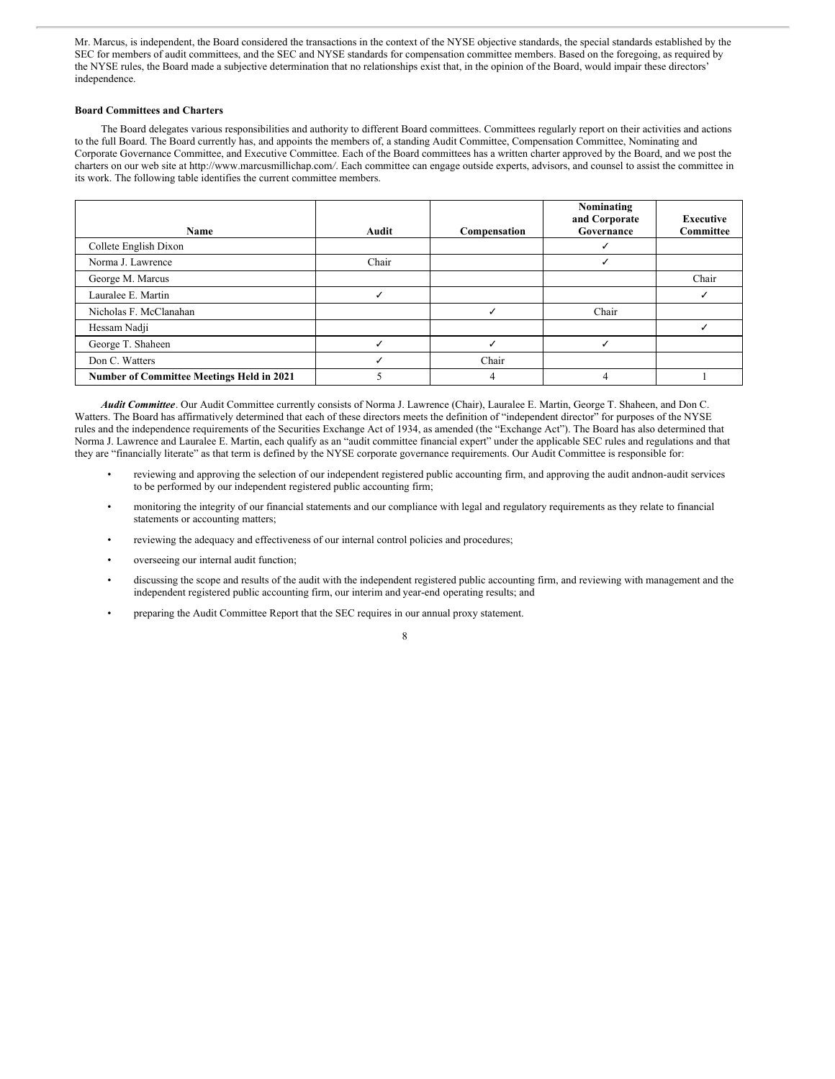Mr. Marcus, is independent, the Board considered the transactions in the context of the NYSE objective standards, the special standards established by the SEC for members of audit committees, and the SEC and NYSE standards for compensation committee members. Based on the foregoing, as required by the NYSE rules, the Board made a subjective determination that no relationships exist that, in the opinion of the Board, would impair these directors' independence.

# **Board Committees and Charters**

The Board delegates various responsibilities and authority to different Board committees. Committees regularly report on their activities and actions to the full Board. The Board currently has, and appoints the members of, a standing Audit Committee, Compensation Committee, Nominating and Corporate Governance Committee, and Executive Committee. Each of the Board committees has a written charter approved by the Board, and we post the charters on our web site at http://www.marcusmillichap.com*/*. Each committee can engage outside experts, advisors, and counsel to assist the committee in its work. The following table identifies the current committee members.

|                                           |       |              | Nominating<br>and Corporate | <b>Executive</b> |
|-------------------------------------------|-------|--------------|-----------------------------|------------------|
| Name                                      | Audit | Compensation | Governance                  | Committee        |
| Collete English Dixon                     |       |              |                             |                  |
| Norma J. Lawrence                         | Chair |              |                             |                  |
| George M. Marcus                          |       |              |                             | Chair            |
| Lauralee E. Martin                        |       |              |                             |                  |
| Nicholas F. McClanahan                    |       |              | Chair                       |                  |
| Hessam Nadji                              |       |              |                             |                  |
| George T. Shaheen                         |       |              |                             |                  |
| Don C. Watters                            |       | Chair        |                             |                  |
| Number of Committee Meetings Held in 2021 |       | 4            | 4                           |                  |

*Audit Committee*. Our Audit Committee currently consists of Norma J. Lawrence (Chair), Lauralee E. Martin, George T. Shaheen, and Don C. Watters. The Board has affirmatively determined that each of these directors meets the definition of "independent director" for purposes of the NYSE rules and the independence requirements of the Securities Exchange Act of 1934, as amended (the "Exchange Act"). The Board has also determined that Norma J. Lawrence and Lauralee E. Martin, each qualify as an "audit committee financial expert" under the applicable SEC rules and regulations and that they are "financially literate" as that term is defined by the NYSE corporate governance requirements. Our Audit Committee is responsible for:

- reviewing and approving the selection of our independent registered public accounting firm, and approving the audit andnon-audit services to be performed by our independent registered public accounting firm;
- monitoring the integrity of our financial statements and our compliance with legal and regulatory requirements as they relate to financial statements or accounting matters;
- reviewing the adequacy and effectiveness of our internal control policies and procedures;
- overseeing our internal audit function;
- discussing the scope and results of the audit with the independent registered public accounting firm, and reviewing with management and the independent registered public accounting firm, our interim and year-end operating results; and
- preparing the Audit Committee Report that the SEC requires in our annual proxy statement.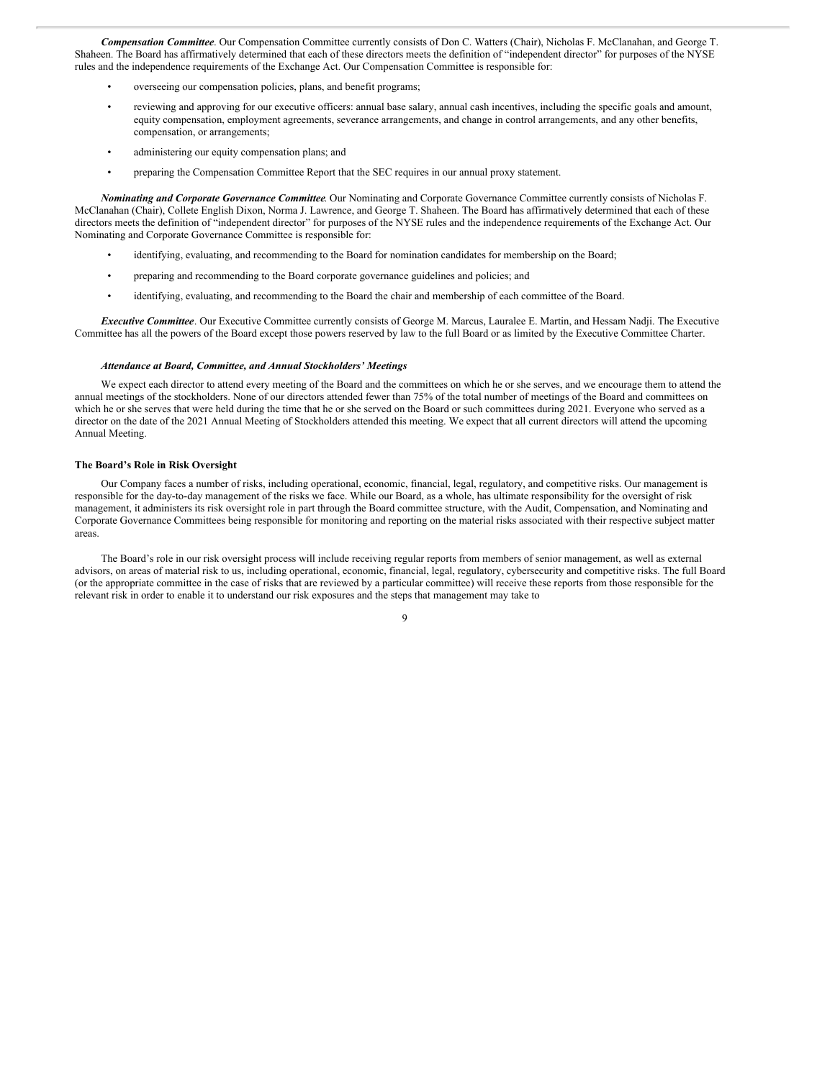*Compensation Committee*. Our Compensation Committee currently consists of Don C. Watters (Chair), Nicholas F. McClanahan, and George T. Shaheen. The Board has affirmatively determined that each of these directors meets the definition of "independent director" for purposes of the NYSE rules and the independence requirements of the Exchange Act. Our Compensation Committee is responsible for:

- overseeing our compensation policies, plans, and benefit programs;
- reviewing and approving for our executive officers: annual base salary, annual cash incentives, including the specific goals and amount, equity compensation, employment agreements, severance arrangements, and change in control arrangements, and any other benefits, compensation, or arrangements;
- administering our equity compensation plans; and
- preparing the Compensation Committee Report that the SEC requires in our annual proxy statement.

*Nominating and Corporate Governance Committee*. Our Nominating and Corporate Governance Committee currently consists of Nicholas F. McClanahan (Chair), Collete English Dixon, Norma J. Lawrence, and George T. Shaheen. The Board has affirmatively determined that each of these directors meets the definition of "independent director" for purposes of the NYSE rules and the independence requirements of the Exchange Act. Our Nominating and Corporate Governance Committee is responsible for:

- identifying, evaluating, and recommending to the Board for nomination candidates for membership on the Board;
- preparing and recommending to the Board corporate governance guidelines and policies; and
- identifying, evaluating, and recommending to the Board the chair and membership of each committee of the Board.

*Executive Committee*. Our Executive Committee currently consists of George M. Marcus, Lauralee E. Martin, and Hessam Nadji. The Executive Committee has all the powers of the Board except those powers reserved by law to the full Board or as limited by the Executive Committee Charter.

#### *Attendance at Board, Committee, and Annual Stockholders' Meetings*

We expect each director to attend every meeting of the Board and the committees on which he or she serves, and we encourage them to attend the annual meetings of the stockholders. None of our directors attended fewer than 75% of the total number of meetings of the Board and committees on which he or she serves that were held during the time that he or she served on the Board or such committees during 2021. Everyone who served as a director on the date of the 2021 Annual Meeting of Stockholders attended this meeting. We expect that all current directors will attend the upcoming Annual Meeting.

#### **The Board's Role in Risk Oversight**

Our Company faces a number of risks, including operational, economic, financial, legal, regulatory, and competitive risks. Our management is responsible for the day-to-day management of the risks we face. While our Board, as a whole, has ultimate responsibility for the oversight of risk management, it administers its risk oversight role in part through the Board committee structure, with the Audit, Compensation, and Nominating and Corporate Governance Committees being responsible for monitoring and reporting on the material risks associated with their respective subject matter areas.

The Board's role in our risk oversight process will include receiving regular reports from members of senior management, as well as external advisors, on areas of material risk to us, including operational, economic, financial, legal, regulatory, cybersecurity and competitive risks. The full Board (or the appropriate committee in the case of risks that are reviewed by a particular committee) will receive these reports from those responsible for the relevant risk in order to enable it to understand our risk exposures and the steps that management may take to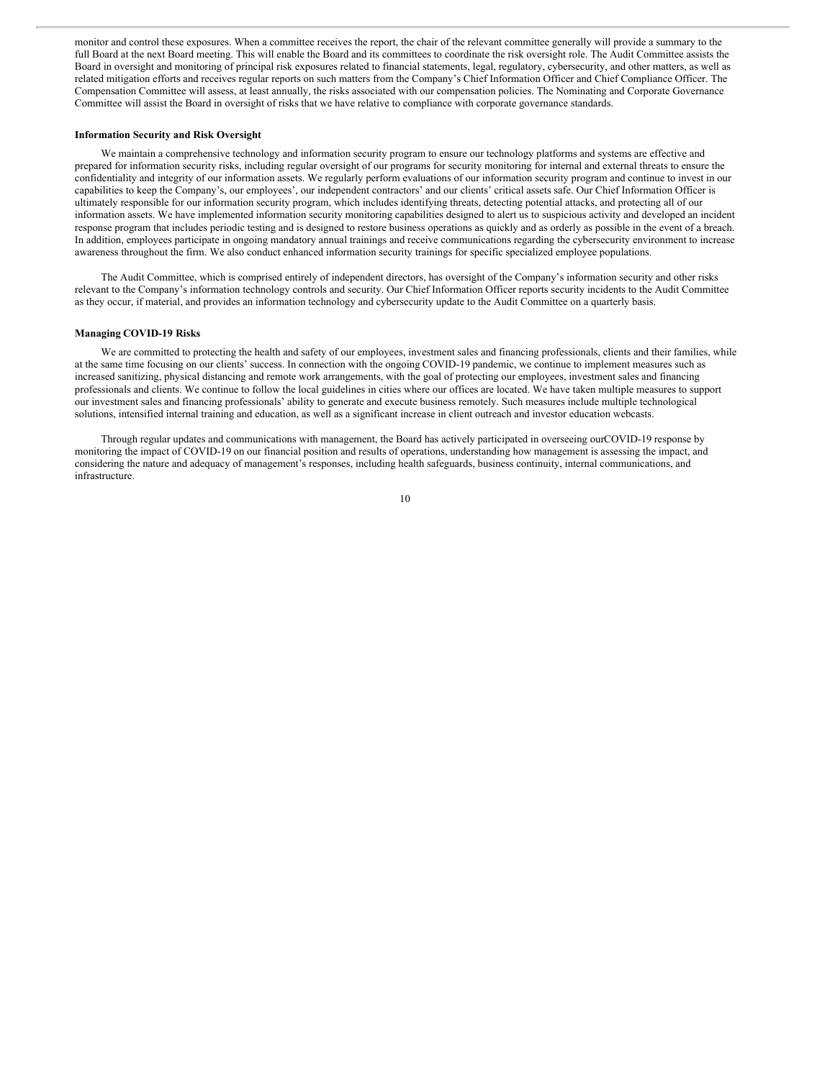monitor and control these exposures. When a committee receives the report, the chair of the relevant committee generally will provide a summary to the full Board at the next Board meeting. This will enable the Board and its committees to coordinate the risk oversight role. The Audit Committee assists the Board in oversight and monitoring of principal risk exposures related to financial statements, legal, regulatory, cybersecurity, and other matters, as well as related mitigation efforts and receives regular reports on such matters from the Company's Chief Information Officer and Chief Compliance Officer. The Compensation Committee will assess, at least annually, the risks associated with our compensation policies. The Nominating and Corporate Governance Committee will assist the Board in oversight of risks that we have relative to compliance with corporate governance standards.

#### **Information Security and Risk Oversight**

We maintain a comprehensive technology and information security program to ensure our technology platforms and systems are effective and prepared for information security risks, including regular oversight of our programs for security monitoring for internal and external threats to ensure the confidentiality and integrity of our information assets. We regularly perform evaluations of our information security program and continue to invest in our capabilities to keep the Company's, our employees', our independent contractors' and our clients' critical assets safe. Our Chief Information Officer is ultimately responsible for our information security program, which includes identifying threats, detecting potential attacks, and protecting all of our information assets. We have implemented information security monitoring capabilities designed to alert us to suspicious activity and developed an incident response program that includes periodic testing and is designed to restore business operations as quickly and as orderly as possible in the event of a breach. In addition, employees participate in ongoing mandatory annual trainings and receive communications regarding the cybersecurity environment to increase awareness throughout the firm. We also conduct enhanced information security trainings for specific specialized employee populations.

The Audit Committee, which is comprised entirely of independent directors, has oversight of the Company's information security and other risks relevant to the Company's information technology controls and security. Our Chief Information Officer reports security incidents to the Audit Committee as they occur, if material, and provides an information technology and cybersecurity update to the Audit Committee on a quarterly basis.

#### **Managing COVID-19 Risks**

We are committed to protecting the health and safety of our employees, investment sales and financing professionals, clients and their families, while at the same time focusing on our clients' success. In connection with the ongoing COVID-19 pandemic, we continue to implement measures such as increased sanitizing, physical distancing and remote work arrangements, with the goal of protecting our employees, investment sales and financing professionals and clients. We continue to follow the local guidelines in cities where our offices are located. We have taken multiple measures to support our investment sales and financing professionals' ability to generate and execute business remotely. Such measures include multiple technological solutions, intensified internal training and education, as well as a significant increase in client outreach and investor education webcasts.

Through regular updates and communications with management, the Board has actively participated in overseeing ourCOVID-19 response by monitoring the impact of COVID-19 on our financial position and results of operations, understanding how management is assessing the impact, and considering the nature and adequacy of management's responses, including health safeguards, business continuity, internal communications, and infrastructure.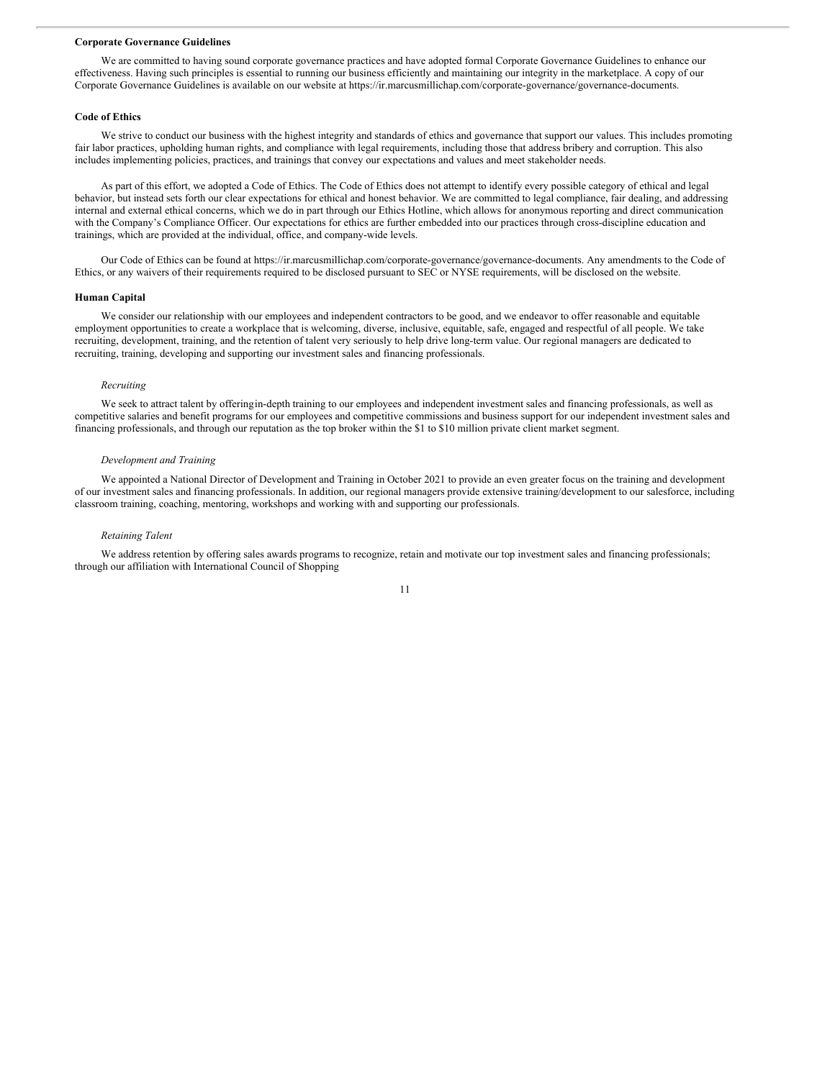# **Corporate Governance Guidelines**

We are committed to having sound corporate governance practices and have adopted formal Corporate Governance Guidelines to enhance our effectiveness. Having such principles is essential to running our business efficiently and maintaining our integrity in the marketplace. A copy of our Corporate Governance Guidelines is available on our website at https://ir.marcusmillichap.com/corporate-governance/governance-documents.

#### **Code of Ethics**

We strive to conduct our business with the highest integrity and standards of ethics and governance that support our values. This includes promoting fair labor practices, upholding human rights, and compliance with legal requirements, including those that address bribery and corruption. This also includes implementing policies, practices, and trainings that convey our expectations and values and meet stakeholder needs.

As part of this effort, we adopted a Code of Ethics. The Code of Ethics does not attempt to identify every possible category of ethical and legal behavior, but instead sets forth our clear expectations for ethical and honest behavior. We are committed to legal compliance, fair dealing, and addressing internal and external ethical concerns, which we do in part through our Ethics Hotline, which allows for anonymous reporting and direct communication with the Company's Compliance Officer. Our expectations for ethics are further embedded into our practices through cross-discipline education and trainings, which are provided at the individual, office, and company-wide levels.

Our Code of Ethics can be found at https://ir.marcusmillichap.com/corporate-governance/governance-documents. Any amendments to the Code of Ethics, or any waivers of their requirements required to be disclosed pursuant to SEC or NYSE requirements, will be disclosed on the website.

# **Human Capital**

We consider our relationship with our employees and independent contractors to be good, and we endeavor to offer reasonable and equitable employment opportunities to create a workplace that is welcoming, diverse, inclusive, equitable, safe, engaged and respectful of all people. We take recruiting, development, training, and the retention of talent very seriously to help drive long-term value. Our regional managers are dedicated to recruiting, training, developing and supporting our investment sales and financing professionals.

## *Recruiting*

We seek to attract talent by offeringin-depth training to our employees and independent investment sales and financing professionals, as well as competitive salaries and benefit programs for our employees and competitive commissions and business support for our independent investment sales and financing professionals, and through our reputation as the top broker within the \$1 to \$10 million private client market segment.

#### *Development and Training*

We appointed a National Director of Development and Training in October 2021 to provide an even greater focus on the training and development of our investment sales and financing professionals. In addition, our regional managers provide extensive training/development to our salesforce, including classroom training, coaching, mentoring, workshops and working with and supporting our professionals.

#### *Retaining Talent*

We address retention by offering sales awards programs to recognize, retain and motivate our top investment sales and financing professionals; through our affiliation with International Council of Shopping

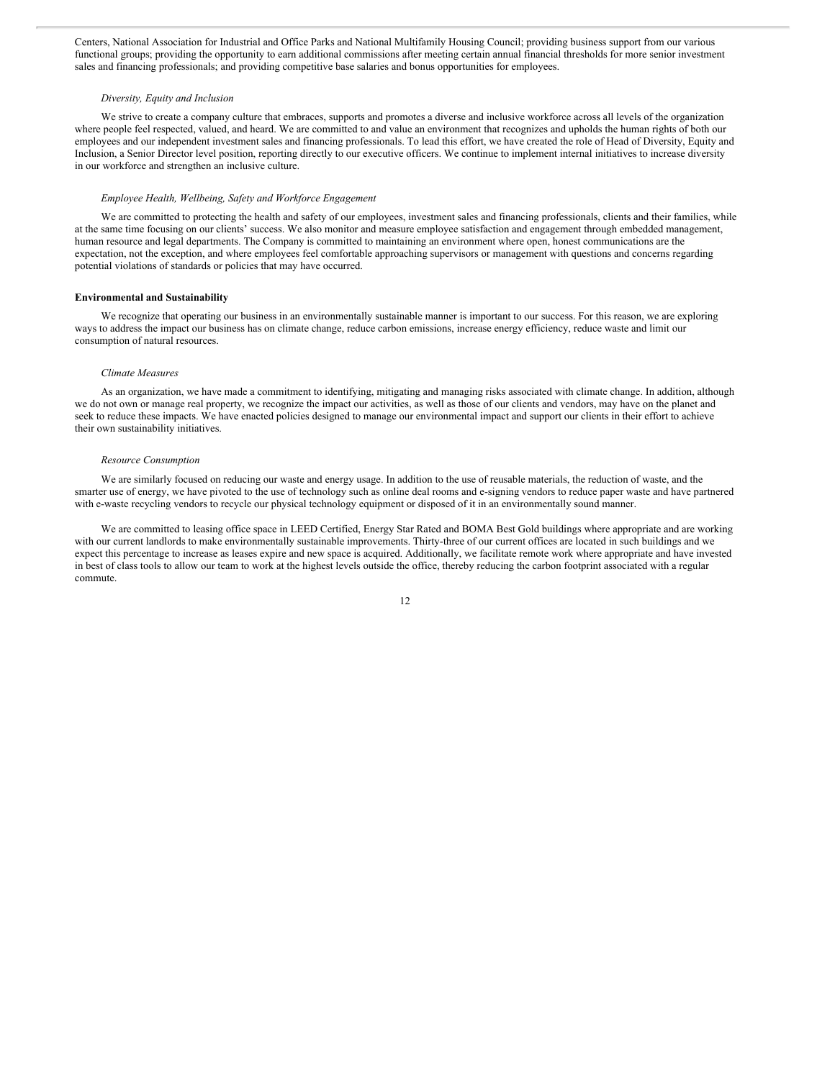Centers, National Association for Industrial and Office Parks and National Multifamily Housing Council; providing business support from our various functional groups; providing the opportunity to earn additional commissions after meeting certain annual financial thresholds for more senior investment sales and financing professionals; and providing competitive base salaries and bonus opportunities for employees.

#### *Diversity, Equity and Inclusion*

We strive to create a company culture that embraces, supports and promotes a diverse and inclusive workforce across all levels of the organization where people feel respected, valued, and heard. We are committed to and value an environment that recognizes and upholds the human rights of both our employees and our independent investment sales and financing professionals. To lead this effort, we have created the role of Head of Diversity, Equity and Inclusion, a Senior Director level position, reporting directly to our executive officers. We continue to implement internal initiatives to increase diversity in our workforce and strengthen an inclusive culture.

# *Employee Health, Wellbeing, Safety and Workforce Engagement*

We are committed to protecting the health and safety of our employees, investment sales and financing professionals, clients and their families, while at the same time focusing on our clients' success. We also monitor and measure employee satisfaction and engagement through embedded management, human resource and legal departments. The Company is committed to maintaining an environment where open, honest communications are the expectation, not the exception, and where employees feel comfortable approaching supervisors or management with questions and concerns regarding potential violations of standards or policies that may have occurred.

# **Environmental and Sustainability**

We recognize that operating our business in an environmentally sustainable manner is important to our success. For this reason, we are exploring ways to address the impact our business has on climate change, reduce carbon emissions, increase energy efficiency, reduce waste and limit our consumption of natural resources.

#### *Climate Measures*

As an organization, we have made a commitment to identifying, mitigating and managing risks associated with climate change. In addition, although we do not own or manage real property, we recognize the impact our activities, as well as those of our clients and vendors, may have on the planet and seek to reduce these impacts. We have enacted policies designed to manage our environmental impact and support our clients in their effort to achieve their own sustainability initiatives.

#### *Resource Consumption*

We are similarly focused on reducing our waste and energy usage. In addition to the use of reusable materials, the reduction of waste, and the smarter use of energy, we have pivoted to the use of technology such as online deal rooms and e-signing vendors to reduce paper waste and have partnered with e-waste recycling vendors to recycle our physical technology equipment or disposed of it in an environmentally sound manner.

We are committed to leasing office space in LEED Certified, Energy Star Rated and BOMA Best Gold buildings where appropriate and are working with our current landlords to make environmentally sustainable improvements. Thirty-three of our current offices are located in such buildings and we expect this percentage to increase as leases expire and new space is acquired. Additionally, we facilitate remote work where appropriate and have invested in best of class tools to allow our team to work at the highest levels outside the office, thereby reducing the carbon footprint associated with a regular commute.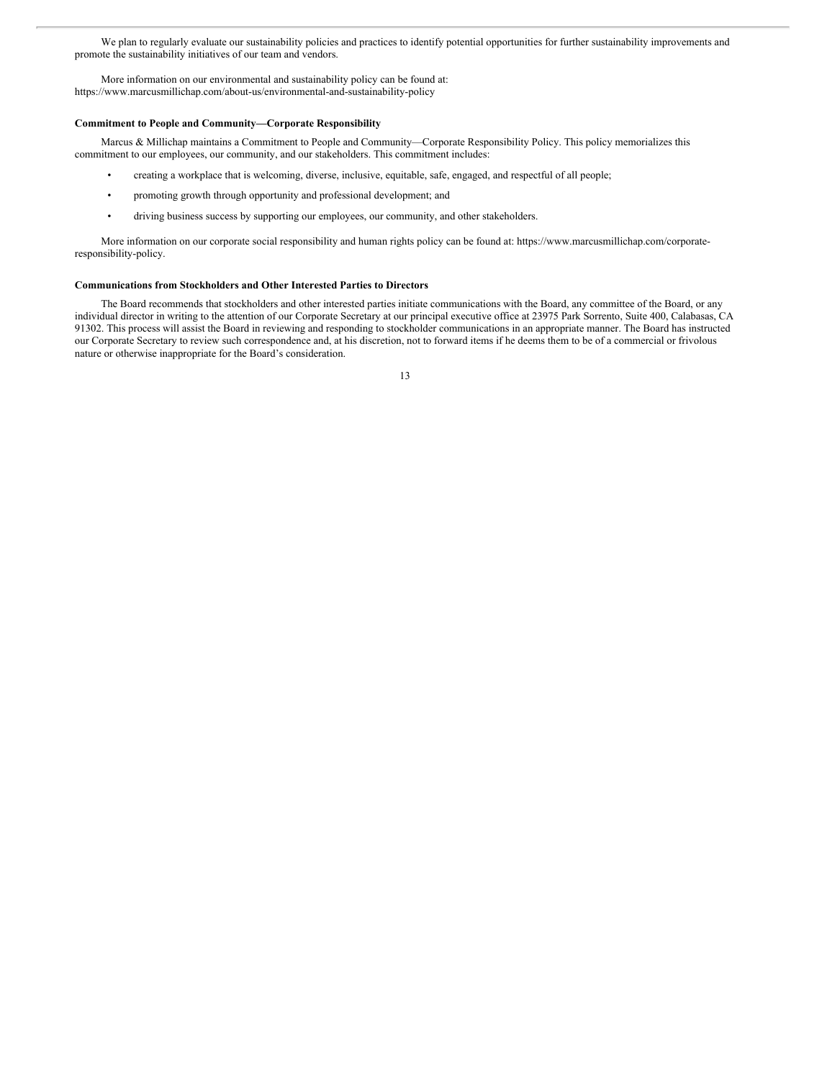We plan to regularly evaluate our sustainability policies and practices to identify potential opportunities for further sustainability improvements and promote the sustainability initiatives of our team and vendors.

More information on our environmental and sustainability policy can be found at: https://www.marcusmillichap.com/about-us/environmental-and-sustainability-policy

# **Commitment to People and Community—Corporate Responsibility**

Marcus & Millichap maintains a Commitment to People and Community—Corporate Responsibility Policy. This policy memorializes this commitment to our employees, our community, and our stakeholders. This commitment includes:

- creating a workplace that is welcoming, diverse, inclusive, equitable, safe, engaged, and respectful of all people;
- promoting growth through opportunity and professional development; and
- driving business success by supporting our employees, our community, and other stakeholders.

More information on our corporate social responsibility and human rights policy can be found at: https://www.marcusmillichap.com/corporateresponsibility-policy.

# **Communications from Stockholders and Other Interested Parties to Directors**

The Board recommends that stockholders and other interested parties initiate communications with the Board, any committee of the Board, or any individual director in writing to the attention of our Corporate Secretary at our principal executive office at 23975 Park Sorrento, Suite 400, Calabasas, CA 91302. This process will assist the Board in reviewing and responding to stockholder communications in an appropriate manner. The Board has instructed our Corporate Secretary to review such correspondence and, at his discretion, not to forward items if he deems them to be of a commercial or frivolous nature or otherwise inappropriate for the Board's consideration.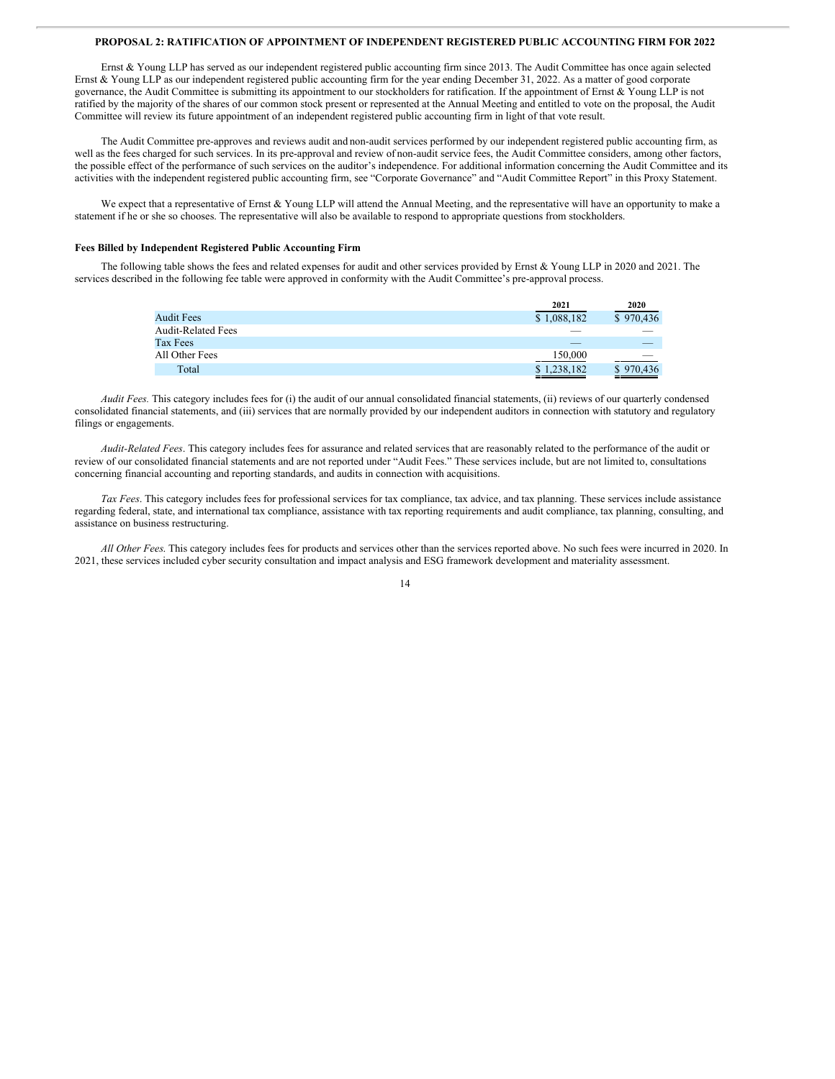# **PROPOSAL 2: RATIFICATION OF APPOINTMENT OF INDEPENDENT REGISTERED PUBLIC ACCOUNTING FIRM FOR 2022**

Ernst & Young LLP has served as our independent registered public accounting firm since 2013. The Audit Committee has once again selected Ernst & Young LLP as our independent registered public accounting firm for the year ending December 31, 2022. As a matter of good corporate governance, the Audit Committee is submitting its appointment to our stockholders for ratification. If the appointment of Ernst & Young LLP is not ratified by the majority of the shares of our common stock present or represented at the Annual Meeting and entitled to vote on the proposal, the Audit Committee will review its future appointment of an independent registered public accounting firm in light of that vote result.

The Audit Committee pre-approves and reviews audit and non-audit services performed by our independent registered public accounting firm, as well as the fees charged for such services. In its pre-approval and review of non-audit service fees, the Audit Committee considers, among other factors, the possible effect of the performance of such services on the auditor's independence. For additional information concerning the Audit Committee and its activities with the independent registered public accounting firm, see "Corporate Governance" and "Audit Committee Report" in this Proxy Statement.

We expect that a representative of Ernst & Young LLP will attend the Annual Meeting, and the representative will have an opportunity to make a statement if he or she so chooses. The representative will also be available to respond to appropriate questions from stockholders.

# **Fees Billed by Independent Registered Public Accounting Firm**

The following table shows the fees and related expenses for audit and other services provided by Ernst & Young LLP in 2020 and 2021. The services described in the following fee table were approved in conformity with the Audit Committee's pre-approval process.

|                           | 2021             | 2020      |
|---------------------------|------------------|-----------|
| <b>Audit Fees</b>         | \$1,088,182      | \$970,436 |
| <b>Audit-Related Fees</b> |                  |           |
| Tax Fees                  | _                |           |
| All Other Fees            | 150,000          | $\sim$    |
| Total                     | \$1,238,182<br>– | \$970,436 |

*Audit Fees.* This category includes fees for (i) the audit of our annual consolidated financial statements, (ii) reviews of our quarterly condensed consolidated financial statements, and (iii) services that are normally provided by our independent auditors in connection with statutory and regulatory filings or engagements.

*Audit-Related Fees*. This category includes fees for assurance and related services that are reasonably related to the performance of the audit or review of our consolidated financial statements and are not reported under "Audit Fees." These services include, but are not limited to, consultations concerning financial accounting and reporting standards, and audits in connection with acquisitions.

*Tax Fees*. This category includes fees for professional services for tax compliance, tax advice, and tax planning. These services include assistance regarding federal, state, and international tax compliance, assistance with tax reporting requirements and audit compliance, tax planning, consulting, and assistance on business restructuring.

*All Other Fees*. This category includes fees for products and services other than the services reported above. No such fees were incurred in 2020. In 2021, these services included cyber security consultation and impact analysis and ESG framework development and materiality assessment.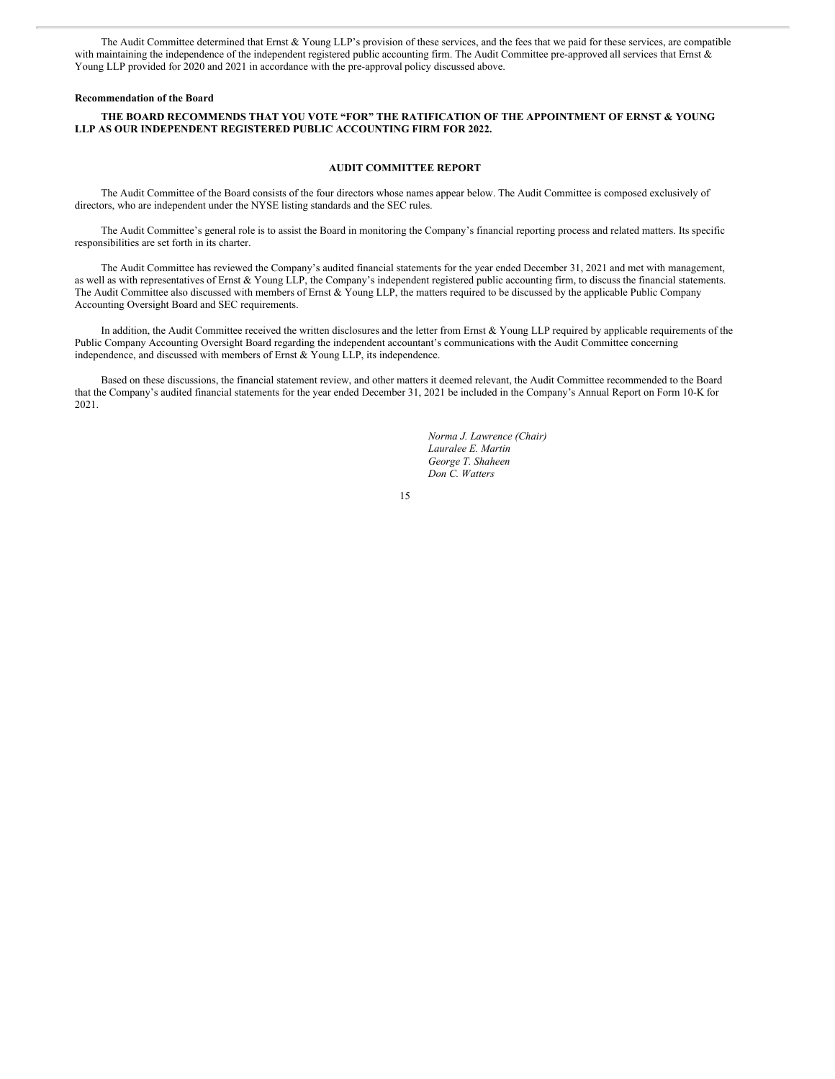The Audit Committee determined that Ernst & Young LLP's provision of these services, and the fees that we paid for these services, are compatible with maintaining the independence of the independent registered public accounting firm. The Audit Committee pre-approved all services that Ernst & Young LLP provided for 2020 and 2021 in accordance with the pre-approval policy discussed above.

# **Recommendation of the Board**

# **THE BOARD RECOMMENDS THAT YOU VOTE "FOR" THE RATIFICATION OF THE APPOINTMENT OF ERNST & YOUNG LLP AS OUR INDEPENDENT REGISTERED PUBLIC ACCOUNTING FIRM FOR 2022.**

# **AUDIT COMMITTEE REPORT**

The Audit Committee of the Board consists of the four directors whose names appear below. The Audit Committee is composed exclusively of directors, who are independent under the NYSE listing standards and the SEC rules.

The Audit Committee's general role is to assist the Board in monitoring the Company's financial reporting process and related matters. Its specific responsibilities are set forth in its charter.

The Audit Committee has reviewed the Company's audited financial statements for the year ended December 31, 2021 and met with management, as well as with representatives of Ernst & Young LLP, the Company's independent registered public accounting firm, to discuss the financial statements. The Audit Committee also discussed with members of Ernst & Young LLP, the matters required to be discussed by the applicable Public Company Accounting Oversight Board and SEC requirements.

In addition, the Audit Committee received the written disclosures and the letter from Ernst & Young LLP required by applicable requirements of the Public Company Accounting Oversight Board regarding the independent accountant's communications with the Audit Committee concerning independence, and discussed with members of Ernst & Young LLP, its independence.

Based on these discussions, the financial statement review, and other matters it deemed relevant, the Audit Committee recommended to the Board that the Company's audited financial statements for the year ended December 31, 2021 be included in the Company's Annual Report on Form 10-K for 2021.

> *Norma J. Lawrence (Chair) Lauralee E. Martin George T. Shaheen Don C. Watters*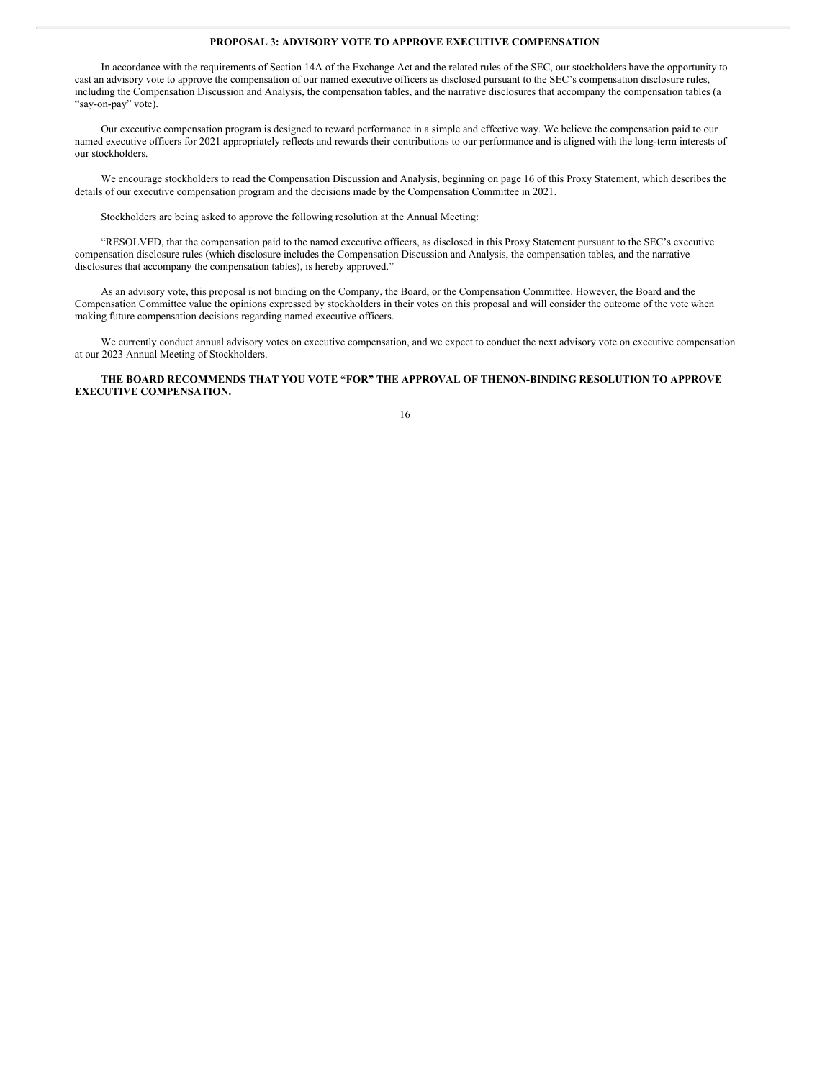# **PROPOSAL 3: ADVISORY VOTE TO APPROVE EXECUTIVE COMPENSATION**

In accordance with the requirements of Section 14A of the Exchange Act and the related rules of the SEC, our stockholders have the opportunity to cast an advisory vote to approve the compensation of our named executive officers as disclosed pursuant to the SEC's compensation disclosure rules, including the Compensation Discussion and Analysis, the compensation tables, and the narrative disclosures that accompany the compensation tables (a "say-on-pay" vote).

Our executive compensation program is designed to reward performance in a simple and effective way. We believe the compensation paid to our named executive officers for 2021 appropriately reflects and rewards their contributions to our performance and is aligned with the long-term interests of our stockholders.

We encourage stockholders to read the Compensation Discussion and Analysis, beginning on page 16 of this Proxy Statement, which describes the details of our executive compensation program and the decisions made by the Compensation Committee in 2021.

Stockholders are being asked to approve the following resolution at the Annual Meeting:

"RESOLVED, that the compensation paid to the named executive officers, as disclosed in this Proxy Statement pursuant to the SEC's executive compensation disclosure rules (which disclosure includes the Compensation Discussion and Analysis, the compensation tables, and the narrative disclosures that accompany the compensation tables), is hereby approved."

As an advisory vote, this proposal is not binding on the Company, the Board, or the Compensation Committee. However, the Board and the Compensation Committee value the opinions expressed by stockholders in their votes on this proposal and will consider the outcome of the vote when making future compensation decisions regarding named executive officers.

We currently conduct annual advisory votes on executive compensation, and we expect to conduct the next advisory vote on executive compensation at our 2023 Annual Meeting of Stockholders.

**THE BOARD RECOMMENDS THAT YOU VOTE "FOR" THE APPROVAL OF THENON-BINDING RESOLUTION TO APPROVE EXECUTIVE COMPENSATION.**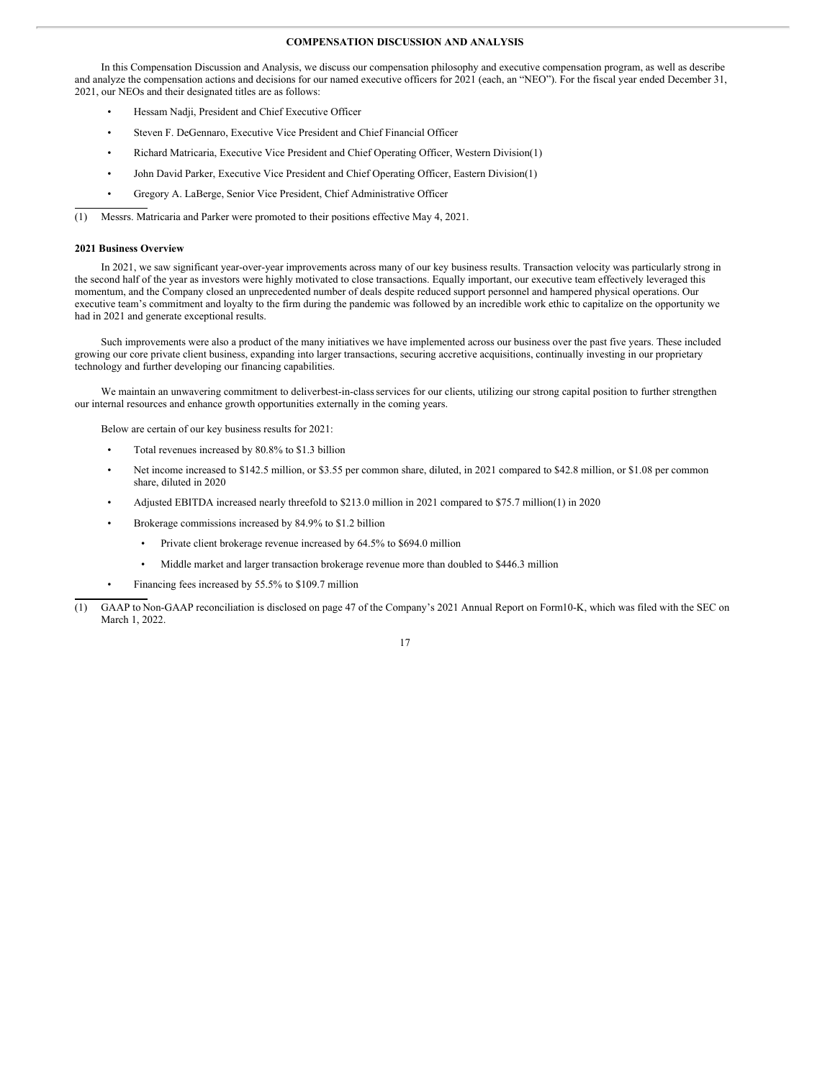# **COMPENSATION DISCUSSION AND ANALYSIS**

In this Compensation Discussion and Analysis, we discuss our compensation philosophy and executive compensation program, as well as describe and analyze the compensation actions and decisions for our named executive officers for 2021 (each, an "NEO"). For the fiscal year ended December 31, 2021, our NEOs and their designated titles are as follows:

- Hessam Nadji, President and Chief Executive Officer
- Steven F. DeGennaro, Executive Vice President and Chief Financial Officer
- Richard Matricaria, Executive Vice President and Chief Operating Officer, Western Division(1)
- John David Parker, Executive Vice President and Chief Operating Officer, Eastern Division(1)
- Gregory A. LaBerge, Senior Vice President, Chief Administrative Officer

(1) Messrs. Matricaria and Parker were promoted to their positions effective May 4, 2021.

# **2021 Business Overview**

In 2021, we saw significant year-over-year improvements across many of our key business results. Transaction velocity was particularly strong in the second half of the year as investors were highly motivated to close transactions. Equally important, our executive team effectively leveraged this momentum, and the Company closed an unprecedented number of deals despite reduced support personnel and hampered physical operations. Our executive team's commitment and loyalty to the firm during the pandemic was followed by an incredible work ethic to capitalize on the opportunity we had in 2021 and generate exceptional results.

Such improvements were also a product of the many initiatives we have implemented across our business over the past five years. These included growing our core private client business, expanding into larger transactions, securing accretive acquisitions, continually investing in our proprietary technology and further developing our financing capabilities.

We maintain an unwavering commitment to deliverbest-in-class services for our clients, utilizing our strong capital position to further strengthen our internal resources and enhance growth opportunities externally in the coming years.

Below are certain of our key business results for 2021:

- Total revenues increased by 80.8% to \$1.3 billion
- Net income increased to \$142.5 million, or \$3.55 per common share, diluted, in 2021 compared to \$42.8 million, or \$1.08 per common share, diluted in 2020
- Adjusted EBITDA increased nearly threefold to \$213.0 million in 2021 compared to \$75.7 million(1) in 2020
- Brokerage commissions increased by 84.9% to \$1.2 billion
	- Private client brokerage revenue increased by 64.5% to \$694.0 million
	- Middle market and larger transaction brokerage revenue more than doubled to \$446.3 million
- Financing fees increased by 55.5% to \$109.7 million
- (1) GAAP to Non-GAAP reconciliation is disclosed on page 47 of the Company's 2021 Annual Report on Form10-K, which was filed with the SEC on March 1, 2022.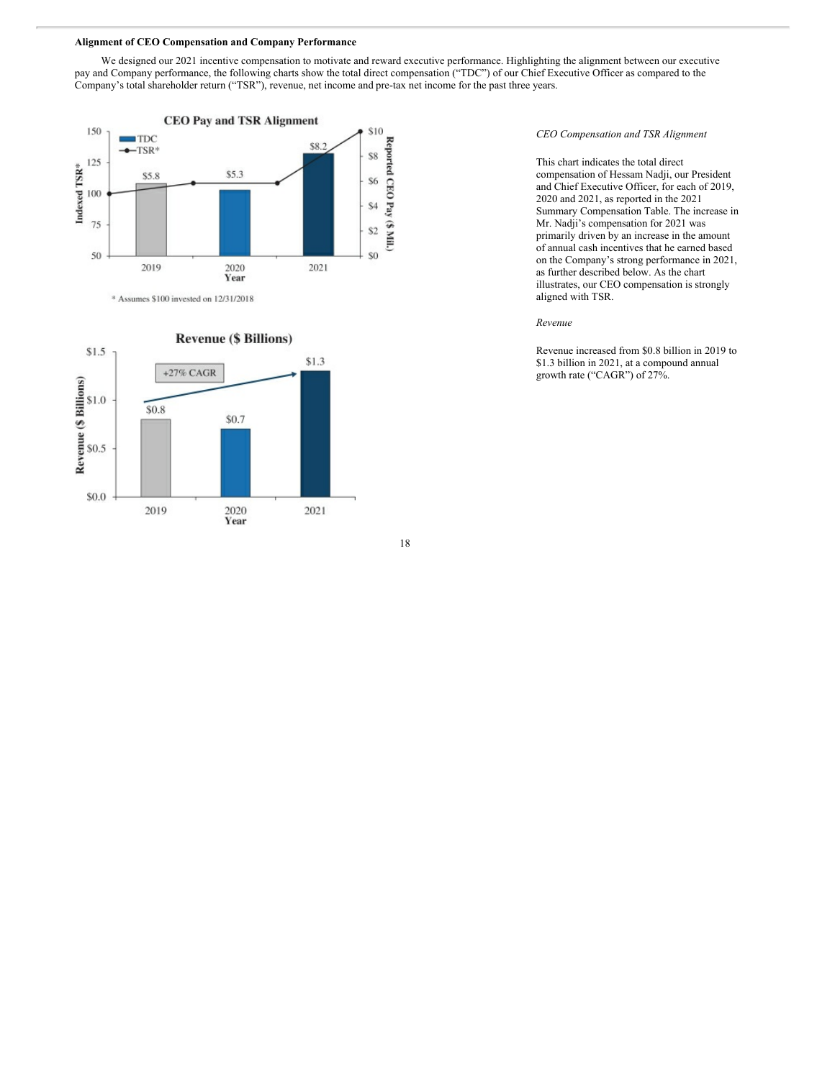#### **Alignment of CEO Compensation and Company Performance**

We designed our 2021 incentive compensation to motivate and reward executive performance. Highlighting the alignment between our executive pay and Company performance, the following charts show the total direct compensation ("TDC") of our Chief Executive Officer as compared to the Company's total shareholder return ("TSR"), revenue, net income and pre-tax net income for the past three years.



\* Assumes \$100 invested on 12/31/2018



*CEO Compensation and TSR Alignment*

This chart indicates the total direct compensation of Hessam Nadji, our President and Chief Executive Officer, for each of 2019, 2020 and 2021, as reported in the 2021 Summary Compensation Table. The increase in Mr. Nadji's compensation for 2021 was primarily driven by an increase in the amount of annual cash incentives that he earned based on the Company's strong performance in 2021, as further described below. As the chart illustrates, our CEO compensation is strongly aligned with TSR.

# *Revenue*

Revenue increased from \$0.8 billion in 2019 to \$1.3 billion in 2021, at a compound annual growth rate ("CAGR") of 27%.

18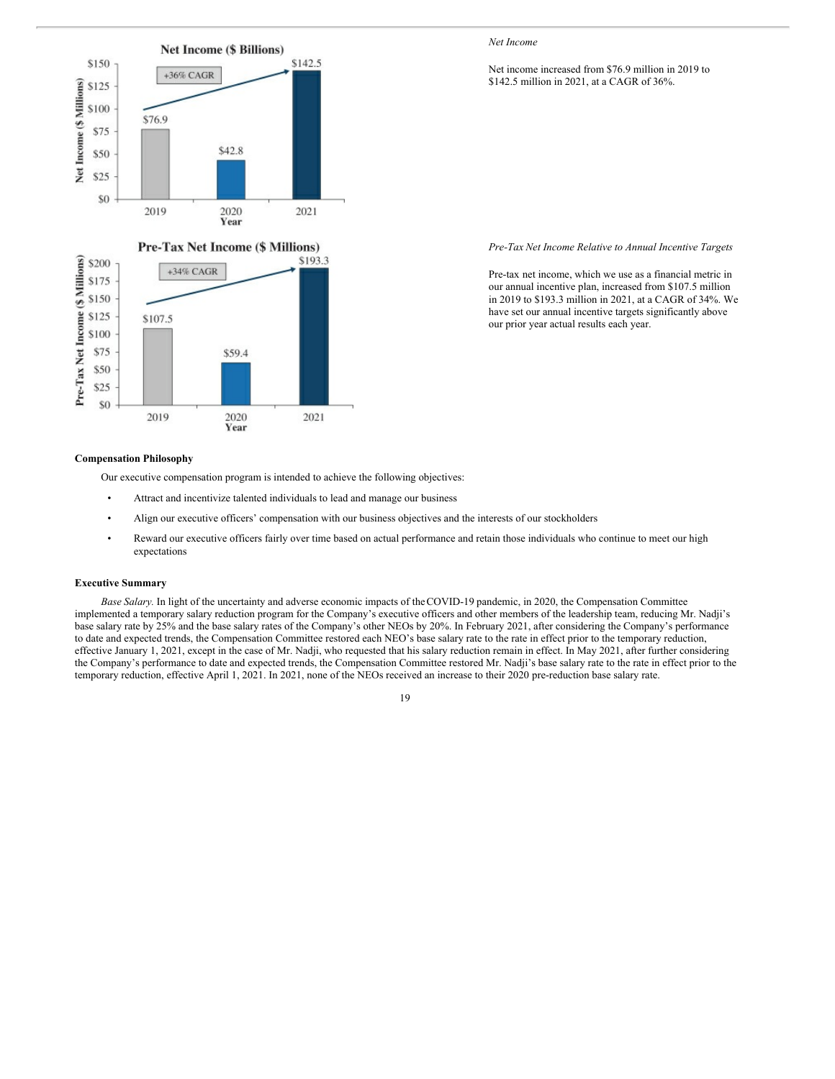

# *Net Income*

# Net income increased from \$76.9 million in 2019 to \$142.5 million in 2021, at a CAGR of 36%.

*Pre-Tax Net Income Relative to Annual Incentive Targets*

Pre-tax net income, which we use as a financial metric in our annual incentive plan, increased from \$107.5 million in 2019 to \$193.3 million in 2021, at a CAGR of 34%. We have set our annual incentive targets significantly above our prior year actual results each year.

# **Compensation Philosophy**

Our executive compensation program is intended to achieve the following objectives:

- Attract and incentivize talented individuals to lead and manage our business
- Align our executive officers' compensation with our business objectives and the interests of our stockholders
- Reward our executive officers fairly over time based on actual performance and retain those individuals who continue to meet our high expectations

# **Executive Summary**

*Base Salary.* In light of the uncertainty and adverse economic impacts of theCOVID-19 pandemic, in 2020, the Compensation Committee implemented a temporary salary reduction program for the Company's executive officers and other members of the leadership team, reducing Mr. Nadji's base salary rate by 25% and the base salary rates of the Company's other NEOs by 20%. In February 2021, after considering the Company's performance to date and expected trends, the Compensation Committee restored each NEO's base salary rate to the rate in effect prior to the temporary reduction, effective January 1, 2021, except in the case of Mr. Nadji, who requested that his salary reduction remain in effect. In May 2021, after further considering the Company's performance to date and expected trends, the Compensation Committee restored Mr. Nadji's base salary rate to the rate in effect prior to the temporary reduction, effective April 1, 2021. In 2021, none of the NEOs received an increase to their 2020 pre-reduction base salary rate.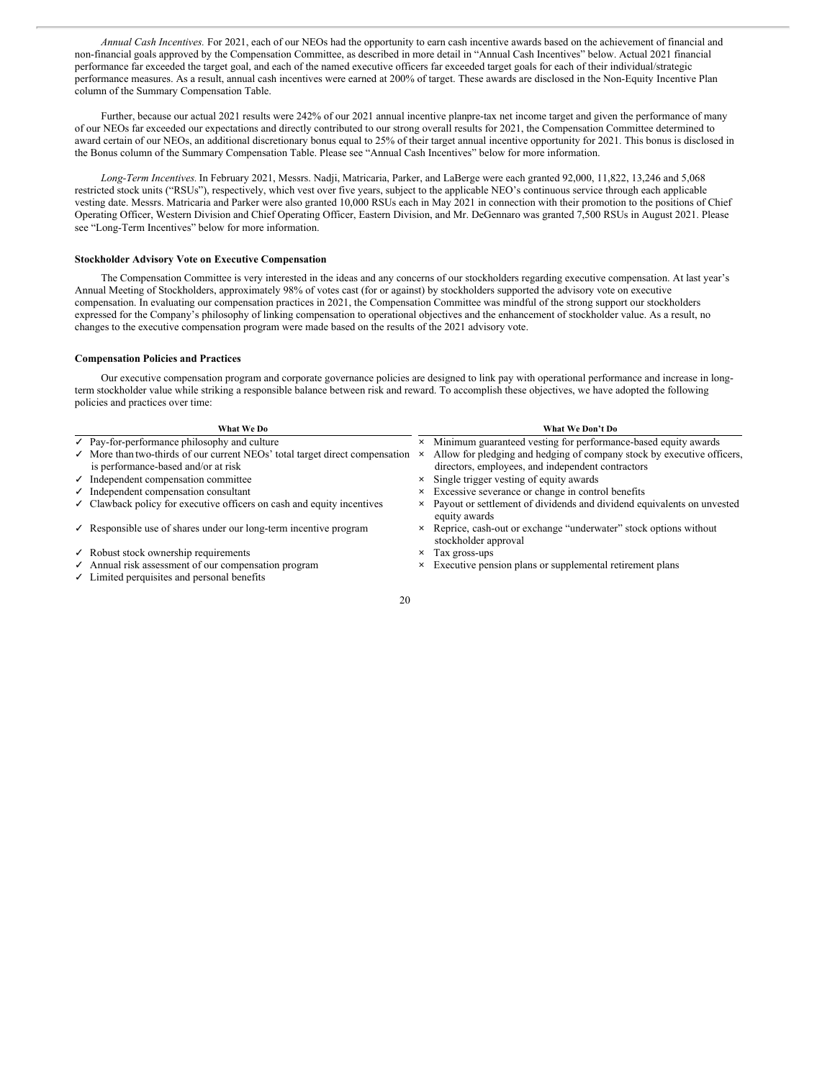*Annual Cash Incentives.* For 2021, each of our NEOs had the opportunity to earn cash incentive awards based on the achievement of financial and non-financial goals approved by the Compensation Committee, as described in more detail in "Annual Cash Incentives" below. Actual 2021 financial performance far exceeded the target goal, and each of the named executive officers far exceeded target goals for each of their individual/strategic performance measures. As a result, annual cash incentives were earned at 200% of target. These awards are disclosed in the Non-Equity Incentive Plan column of the Summary Compensation Table.

Further, because our actual 2021 results were 242% of our 2021 annual incentive planpre-tax net income target and given the performance of many of our NEOs far exceeded our expectations and directly contributed to our strong overall results for 2021, the Compensation Committee determined to award certain of our NEOs, an additional discretionary bonus equal to 25% of their target annual incentive opportunity for 2021. This bonus is disclosed in the Bonus column of the Summary Compensation Table. Please see "Annual Cash Incentives" below for more information.

*Long-Term Incentives.* In February 2021, Messrs. Nadji, Matricaria, Parker, and LaBerge were each granted 92,000, 11,822, 13,246 and 5,068 restricted stock units ("RSUs"), respectively, which vest over five years, subject to the applicable NEO's continuous service through each applicable vesting date. Messrs. Matricaria and Parker were also granted 10,000 RSUs each in May 2021 in connection with their promotion to the positions of Chief Operating Officer, Western Division and Chief Operating Officer, Eastern Division, and Mr. DeGennaro was granted 7,500 RSUs in August 2021. Please see "Long-Term Incentives" below for more information.

#### **Stockholder Advisory Vote on Executive Compensation**

The Compensation Committee is very interested in the ideas and any concerns of our stockholders regarding executive compensation. At last year's Annual Meeting of Stockholders, approximately 98% of votes cast (for or against) by stockholders supported the advisory vote on executive compensation. In evaluating our compensation practices in 2021, the Compensation Committee was mindful of the strong support our stockholders expressed for the Company's philosophy of linking compensation to operational objectives and the enhancement of stockholder value. As a result, no changes to the executive compensation program were made based on the results of the 2021 advisory vote.

# **Compensation Policies and Practices**

Our executive compensation program and corporate governance policies are designed to link pay with operational performance and increase in longterm stockholder value while striking a responsible balance between risk and reward. To accomplish these objectives, we have adopted the following policies and practices over time:

| What We Do                                                                                       |   | What We Don't Do                                                                           |
|--------------------------------------------------------------------------------------------------|---|--------------------------------------------------------------------------------------------|
| $\vee$ Pay-for-performance philosophy and culture                                                |   | x Minimum guaranteed vesting for performance-based equity awards                           |
| $\checkmark$ More than two-thirds of our current NEOs' total target direct compensation $\times$ |   | Allow for pledging and hedging of company stock by executive officers,                     |
| is performance-based and/or at risk                                                              |   | directors, employees, and independent contractors                                          |
| $\checkmark$ Independent compensation committee                                                  |   | x Single trigger vesting of equity awards                                                  |
| $\checkmark$ Independent compensation consultant                                                 |   | x Excessive severance or change in control benefits                                        |
| $\checkmark$ Clawback policy for executive officers on cash and equity incentives                |   | x Payout or settlement of dividends and dividend equivalents on unvested<br>equity awards  |
| $\checkmark$ Responsible use of shares under our long-term incentive program                     |   | × Reprice, cash-out or exchange "underwater" stock options without<br>stockholder approval |
| $\checkmark$ Robust stock ownership requirements                                                 | × | Tax gross-ups                                                                              |
| $\checkmark$ Annual risk assessment of our compensation program                                  |   | x Executive pension plans or supplemental retirement plans                                 |
| $\checkmark$ Limited perquisites and personal benefits                                           |   |                                                                                            |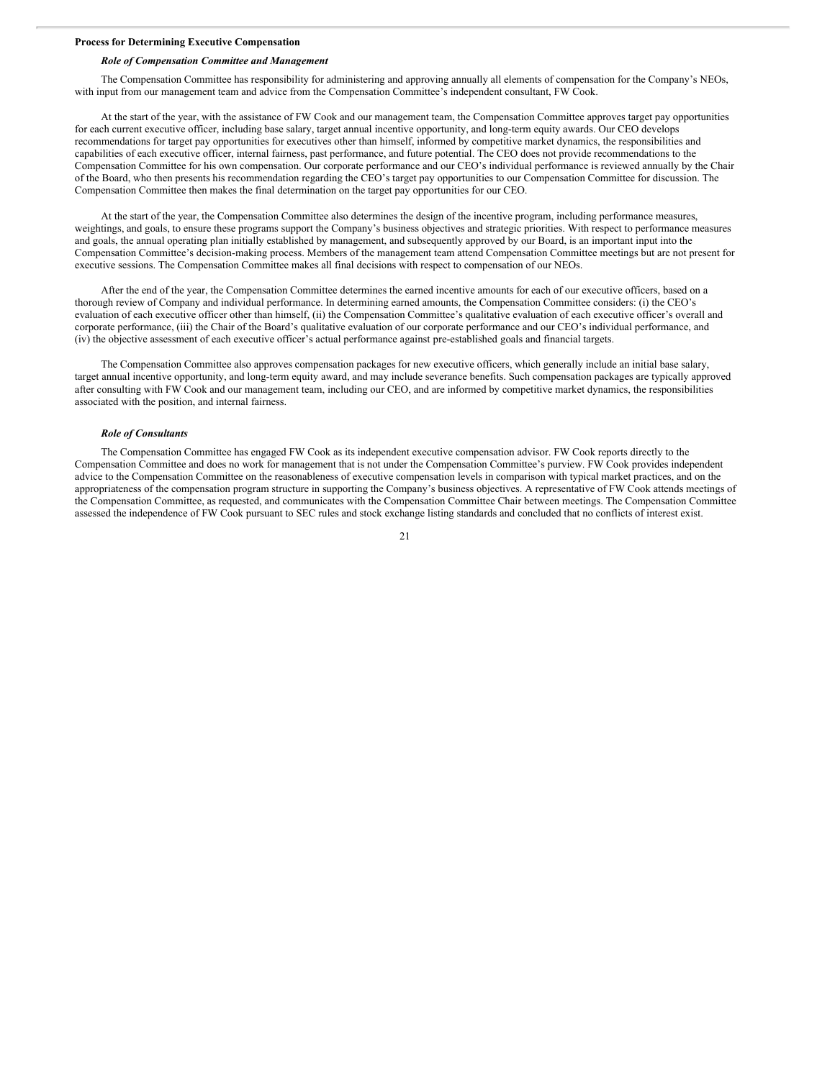# **Process for Determining Executive Compensation**

# *Role of Compensation Committee and Management*

The Compensation Committee has responsibility for administering and approving annually all elements of compensation for the Company's NEOs, with input from our management team and advice from the Compensation Committee's independent consultant, FW Cook.

At the start of the year, with the assistance of FW Cook and our management team, the Compensation Committee approves target pay opportunities for each current executive officer, including base salary, target annual incentive opportunity, and long-term equity awards. Our CEO develops recommendations for target pay opportunities for executives other than himself, informed by competitive market dynamics, the responsibilities and capabilities of each executive officer, internal fairness, past performance, and future potential. The CEO does not provide recommendations to the Compensation Committee for his own compensation. Our corporate performance and our CEO's individual performance is reviewed annually by the Chair of the Board, who then presents his recommendation regarding the CEO's target pay opportunities to our Compensation Committee for discussion. The Compensation Committee then makes the final determination on the target pay opportunities for our CEO.

At the start of the year, the Compensation Committee also determines the design of the incentive program, including performance measures, weightings, and goals, to ensure these programs support the Company's business objectives and strategic priorities. With respect to performance measures and goals, the annual operating plan initially established by management, and subsequently approved by our Board, is an important input into the Compensation Committee's decision-making process. Members of the management team attend Compensation Committee meetings but are not present for executive sessions. The Compensation Committee makes all final decisions with respect to compensation of our NEOs.

After the end of the year, the Compensation Committee determines the earned incentive amounts for each of our executive officers, based on a thorough review of Company and individual performance. In determining earned amounts, the Compensation Committee considers: (i) the CEO's evaluation of each executive officer other than himself, (ii) the Compensation Committee's qualitative evaluation of each executive officer's overall and corporate performance, (iii) the Chair of the Board's qualitative evaluation of our corporate performance and our CEO's individual performance, and (iv) the objective assessment of each executive officer's actual performance against pre-established goals and financial targets.

The Compensation Committee also approves compensation packages for new executive officers, which generally include an initial base salary, target annual incentive opportunity, and long-term equity award, and may include severance benefits. Such compensation packages are typically approved after consulting with FW Cook and our management team, including our CEO, and are informed by competitive market dynamics, the responsibilities associated with the position, and internal fairness.

#### *Role of Consultants*

The Compensation Committee has engaged FW Cook as its independent executive compensation advisor. FW Cook reports directly to the Compensation Committee and does no work for management that is not under the Compensation Committee's purview. FW Cook provides independent advice to the Compensation Committee on the reasonableness of executive compensation levels in comparison with typical market practices, and on the appropriateness of the compensation program structure in supporting the Company's business objectives. A representative of FW Cook attends meetings of the Compensation Committee, as requested, and communicates with the Compensation Committee Chair between meetings. The Compensation Committee assessed the independence of FW Cook pursuant to SEC rules and stock exchange listing standards and concluded that no conflicts of interest exist.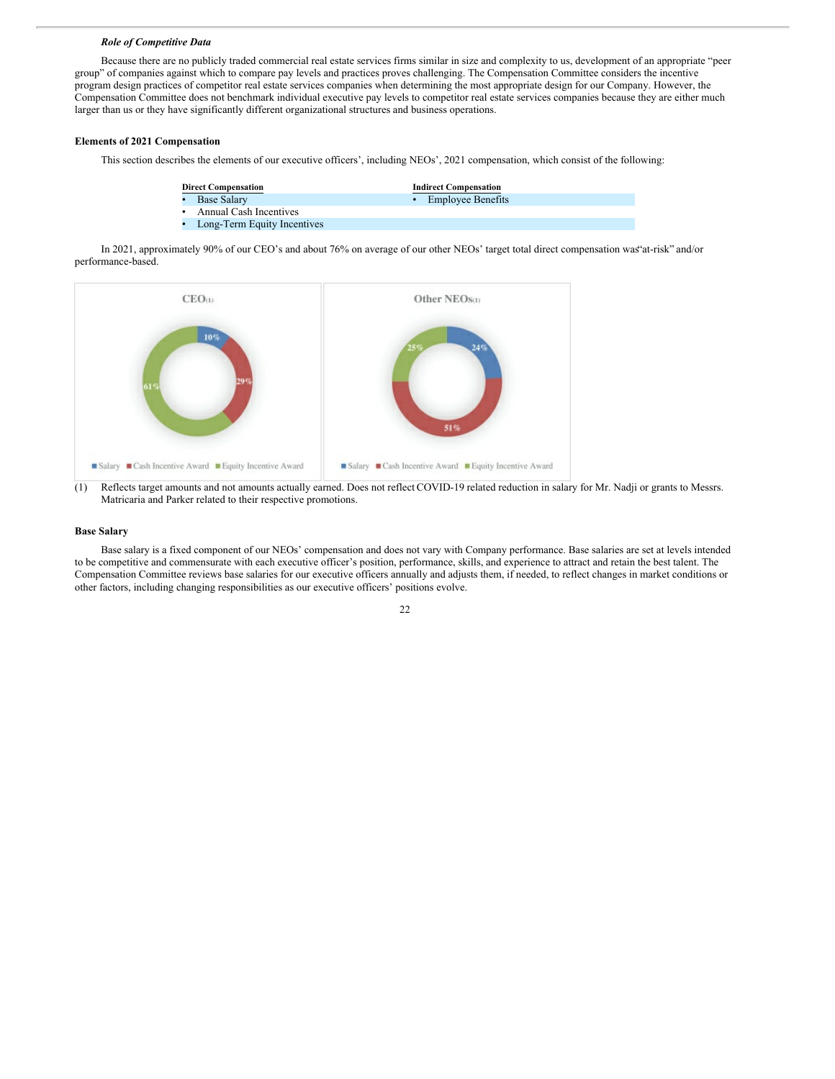#### *Role of Competitive Data*

Because there are no publicly traded commercial real estate services firms similar in size and complexity to us, development of an appropriate "peer group" of companies against which to compare pay levels and practices proves challenging. The Compensation Committee considers the incentive program design practices of competitor real estate services companies when determining the most appropriate design for our Company. However, the Compensation Committee does not benchmark individual executive pay levels to competitor real estate services companies because they are either much larger than us or they have significantly different organizational structures and business operations.

# **Elements of 2021 Compensation**

This section describes the elements of our executive officers', including NEOs', 2021 compensation, which consist of the following:

| <b>Direct Compensation</b>    | <b>Indirect Compensation</b> |
|-------------------------------|------------------------------|
| • Base Salary                 | • Employee Benefits          |
| • Annual Cash Incentives      |                              |
| • Long-Term Equity Incentives |                              |

In 2021, approximately 90% of our CEO's and about 76% on average of our other NEOs' target total direct compensation was"at-risk" and/or performance-based.



(1) Reflects target amounts and not amounts actually earned. Does not reflect COVID-19 related reduction in salary for Mr. Nadji or grants to Messrs. Matricaria and Parker related to their respective promotions.

# **Base Salary**

Base salary is a fixed component of our NEOs' compensation and does not vary with Company performance. Base salaries are set at levels intended to be competitive and commensurate with each executive officer's position, performance, skills, and experience to attract and retain the best talent. The Compensation Committee reviews base salaries for our executive officers annually and adjusts them, if needed, to reflect changes in market conditions or other factors, including changing responsibilities as our executive officers' positions evolve.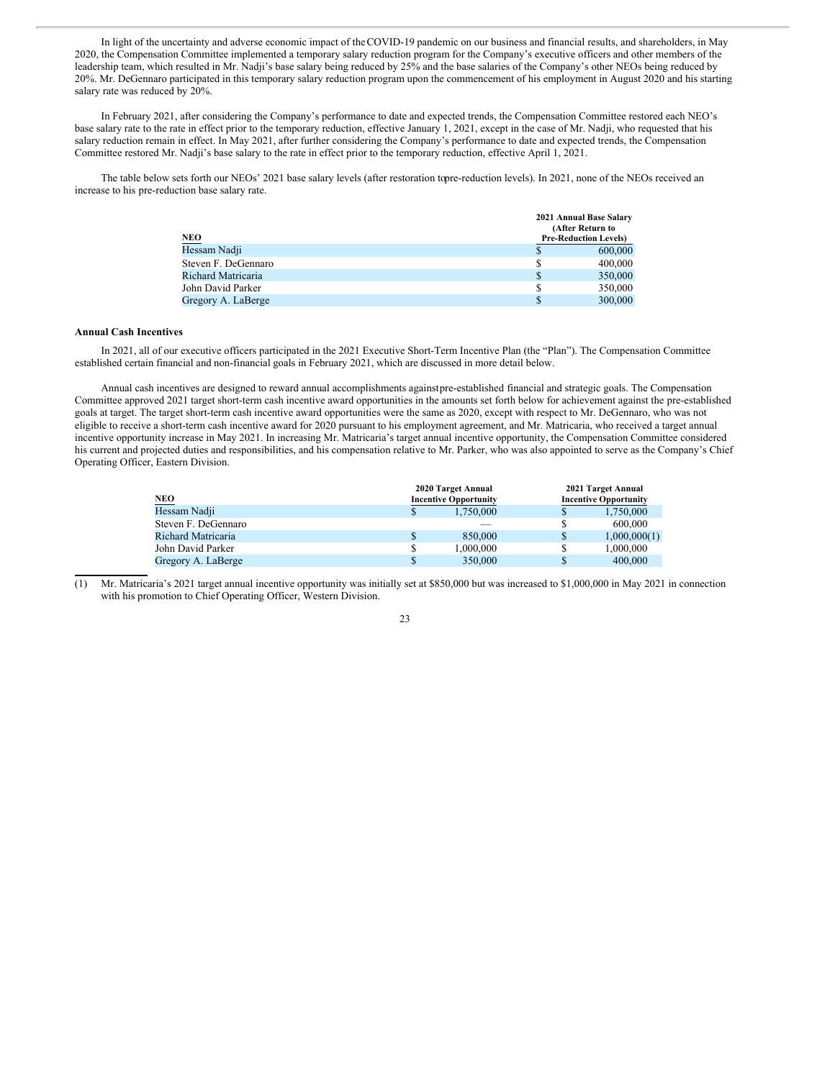In light of the uncertainty and adverse economic impact of theCOVID-19 pandemic on our business and financial results, and shareholders, in May 2020, the Compensation Committee implemented a temporary salary reduction program for the Company's executive officers and other members of the leadership team, which resulted in Mr. Nadji's base salary being reduced by 25% and the base salaries of the Company's other NEOs being reduced by 20%. Mr. DeGennaro participated in this temporary salary reduction program upon the commencement of his employment in August 2020 and his starting salary rate was reduced by 20%.

In February 2021, after considering the Company's performance to date and expected trends, the Compensation Committee restored each NEO's base salary rate to the rate in effect prior to the temporary reduction, effective January 1, 2021, except in the case of Mr. Nadji, who requested that his salary reduction remain in effect. In May 2021, after further considering the Company's performance to date and expected trends, the Compensation Committee restored Mr. Nadji's base salary to the rate in effect prior to the temporary reduction, effective April 1, 2021.

The table below sets forth our NEOs' 2021 base salary levels (after restoration topre-reduction levels). In 2021, none of the NEOs received an increase to his pre-reduction base salary rate.

|                     |    | 2021 Annual Base Salary      |
|---------------------|----|------------------------------|
|                     |    | (After Return to             |
| NEO                 |    | <b>Pre-Reduction Levels)</b> |
| Hessam Nadji        | \$ | 600,000                      |
| Steven F. DeGennaro | S  | 400,000                      |
| Richard Matricaria  | \$ | 350,000                      |
| John David Parker   | S  | 350,000                      |
| Gregory A. LaBerge  | \$ | 300,000                      |

# **Annual Cash Incentives**

In 2021, all of our executive officers participated in the 2021 Executive Short-Term Incentive Plan (the "Plan"). The Compensation Committee established certain financial and non-financial goals in February 2021, which are discussed in more detail below.

Annual cash incentives are designed to reward annual accomplishments againstpre-established financial and strategic goals. The Compensation Committee approved 2021 target short-term cash incentive award opportunities in the amounts set forth below for achievement against the pre-established goals at target. The target short-term cash incentive award opportunities were the same as 2020, except with respect to Mr. DeGennaro, who was not eligible to receive a short-term cash incentive award for 2020 pursuant to his employment agreement, and Mr. Matricaria, who received a target annual incentive opportunity increase in May 2021. In increasing Mr. Matricaria's target annual incentive opportunity, the Compensation Committee considered his current and projected duties and responsibilities, and his compensation relative to Mr. Parker, who was also appointed to serve as the Company's Chief Operating Officer, Eastern Division.

|                     | 2020 Target Annual |                              | 2021 Target Annual |                              |
|---------------------|--------------------|------------------------------|--------------------|------------------------------|
| NEO                 |                    | <b>Incentive Opportunity</b> |                    | <b>Incentive Opportunity</b> |
| Hessam Nadji        | S                  | 1.750,000                    | \$                 | 1.750,000                    |
| Steven F. DeGennaro |                    |                              | S                  | 600,000                      |
| Richard Matricaria  | S                  | 850,000                      | \$                 | 1,000,000(1)                 |
| John David Parker   | S                  | 1.000.000                    | \$                 | 1,000,000                    |
| Gregory A. LaBerge  | S                  | 350,000                      |                    | 400,000                      |

(1) Mr. Matricaria's 2021 target annual incentive opportunity was initially set at \$850,000 but was increased to \$1,000,000 in May 2021 in connection with his promotion to Chief Operating Officer, Western Division.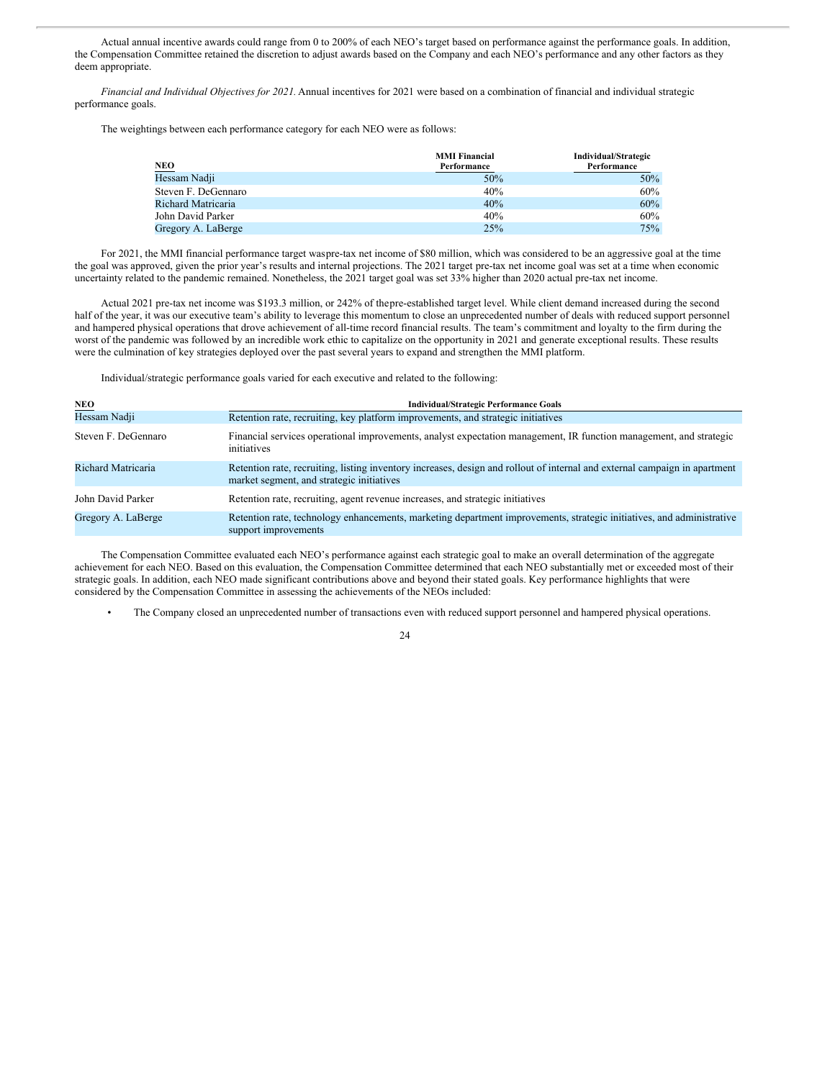Actual annual incentive awards could range from 0 to 200% of each NEO's target based on performance against the performance goals. In addition, the Compensation Committee retained the discretion to adjust awards based on the Company and each NEO's performance and any other factors as they deem appropriate.

*Financial and Individual Objectives for 2021.* Annual incentives for 2021 were based on a combination of financial and individual strategic performance goals.

The weightings between each performance category for each NEO were as follows:

|                     | <b>MMI Financial</b> | Individual/Strategic |
|---------------------|----------------------|----------------------|
| NEO<br>Hessam Nadji | Performance          | Performance          |
|                     | 50%                  | $50\%$               |
| Steven F. DeGennaro | 40%                  | 60%                  |
| Richard Matricaria  | 40%                  | 60%                  |
| John David Parker   | 40%                  | 60%                  |
| Gregory A. LaBerge  | 25%                  | 75%                  |

For 2021, the MMI financial performance target waspre-tax net income of \$80 million, which was considered to be an aggressive goal at the time the goal was approved, given the prior year's results and internal projections. The 2021 target pre-tax net income goal was set at a time when economic uncertainty related to the pandemic remained. Nonetheless, the 2021 target goal was set 33% higher than 2020 actual pre-tax net income.

Actual 2021 pre-tax net income was \$193.3 million, or 242% of thepre-established target level. While client demand increased during the second half of the year, it was our executive team's ability to leverage this momentum to close an unprecedented number of deals with reduced support personnel and hampered physical operations that drove achievement of all-time record financial results. The team's commitment and loyalty to the firm during the worst of the pandemic was followed by an incredible work ethic to capitalize on the opportunity in 2021 and generate exceptional results. These results were the culmination of key strategies deployed over the past several years to expand and strengthen the MMI platform.

Individual/strategic performance goals varied for each executive and related to the following:

| <b>NEO</b>          | <b>Individual/Strategic Performance Goals</b>                                                                                                                           |
|---------------------|-------------------------------------------------------------------------------------------------------------------------------------------------------------------------|
| Hessam Nadji        | Retention rate, recruiting, key platform improvements, and strategic initiatives                                                                                        |
| Steven F. DeGennaro | Financial services operational improvements, analyst expectation management, IR function management, and strategic<br>initiatives                                       |
| Richard Matricaria  | Retention rate, recruiting, listing inventory increases, design and rollout of internal and external campaign in apartment<br>market segment, and strategic initiatives |
| John David Parker   | Retention rate, recruiting, agent revenue increases, and strategic initiatives                                                                                          |
| Gregory A. LaBerge  | Retention rate, technology enhancements, marketing department improvements, strategic initiatives, and administrative<br>support improvements                           |

The Compensation Committee evaluated each NEO's performance against each strategic goal to make an overall determination of the aggregate achievement for each NEO. Based on this evaluation, the Compensation Committee determined that each NEO substantially met or exceeded most of their strategic goals. In addition, each NEO made significant contributions above and beyond their stated goals. Key performance highlights that were considered by the Compensation Committee in assessing the achievements of the NEOs included:

• The Company closed an unprecedented number of transactions even with reduced support personnel and hampered physical operations.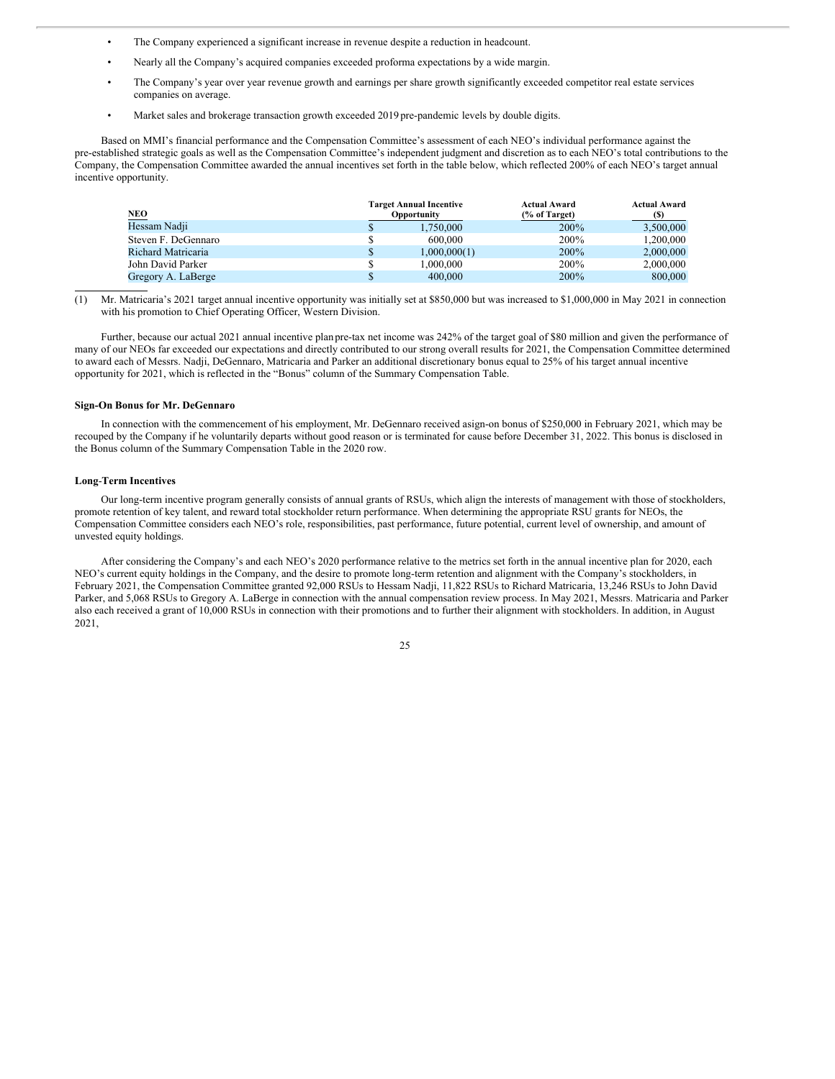- The Company experienced a significant increase in revenue despite a reduction in headcount.
- Nearly all the Company's acquired companies exceeded proforma expectations by a wide margin.
- The Company's year over year revenue growth and earnings per share growth significantly exceeded competitor real estate services companies on average.
- Market sales and brokerage transaction growth exceeded 2019 pre-pandemic levels by double digits.

Based on MMI's financial performance and the Compensation Committee's assessment of each NEO's individual performance against the pre-established strategic goals as well as the Compensation Committee's independent judgment and discretion as to each NEO's total contributions to the Company, the Compensation Committee awarded the annual incentives set forth in the table below, which reflected 200% of each NEO's target annual incentive opportunity.

| NEO                 |               | <b>Target Annual Incentive</b><br>Opportunity | <b>Actual Award</b><br>$\frac{6}{6}$ of Target) | <b>Actual Award</b><br>(S) |
|---------------------|---------------|-----------------------------------------------|-------------------------------------------------|----------------------------|
| Hessam Nadji        | ъ             | 1.750,000                                     | 200%                                            | 3,500,000                  |
| Steven F. DeGennaro | \$            | 600,000                                       | 200%                                            | 1.200.000                  |
| Richard Matricaria  | <sup>\$</sup> | 1,000,000(1)                                  | 200%                                            | 2,000,000                  |
| John David Parker   | \$            | 1.000.000                                     | 200%                                            | 2,000,000                  |
| Gregory A. LaBerge  |               | 400,000                                       | 200%                                            | 800,000                    |

<sup>(1)</sup> Mr. Matricaria's 2021 target annual incentive opportunity was initially set at \$850,000 but was increased to \$1,000,000 in May 2021 in connection with his promotion to Chief Operating Officer, Western Division.

Further, because our actual 2021 annual incentive plan pre-tax net income was 242% of the target goal of \$80 million and given the performance of many of our NEOs far exceeded our expectations and directly contributed to our strong overall results for 2021, the Compensation Committee determined to award each of Messrs. Nadji, DeGennaro, Matricaria and Parker an additional discretionary bonus equal to 25% of his target annual incentive opportunity for 2021, which is reflected in the "Bonus" column of the Summary Compensation Table.

#### **Sign-On Bonus for Mr. DeGennaro**

In connection with the commencement of his employment, Mr. DeGennaro received asign-on bonus of \$250,000 in February 2021, which may be recouped by the Company if he voluntarily departs without good reason or is terminated for cause before December 31, 2022. This bonus is disclosed in the Bonus column of the Summary Compensation Table in the 2020 row.

#### **Long**-**Term Incentives**

Our long-term incentive program generally consists of annual grants of RSUs, which align the interests of management with those of stockholders, promote retention of key talent, and reward total stockholder return performance. When determining the appropriate RSU grants for NEOs, the Compensation Committee considers each NEO's role, responsibilities, past performance, future potential, current level of ownership, and amount of unvested equity holdings.

After considering the Company's and each NEO's 2020 performance relative to the metrics set forth in the annual incentive plan for 2020, each NEO's current equity holdings in the Company, and the desire to promote long-term retention and alignment with the Company's stockholders, in February 2021, the Compensation Committee granted 92,000 RSUs to Hessam Nadji, 11,822 RSUs to Richard Matricaria, 13,246 RSUs to John David Parker, and 5,068 RSUs to Gregory A. LaBerge in connection with the annual compensation review process. In May 2021, Messrs. Matricaria and Parker also each received a grant of 10,000 RSUs in connection with their promotions and to further their alignment with stockholders. In addition, in August 2021,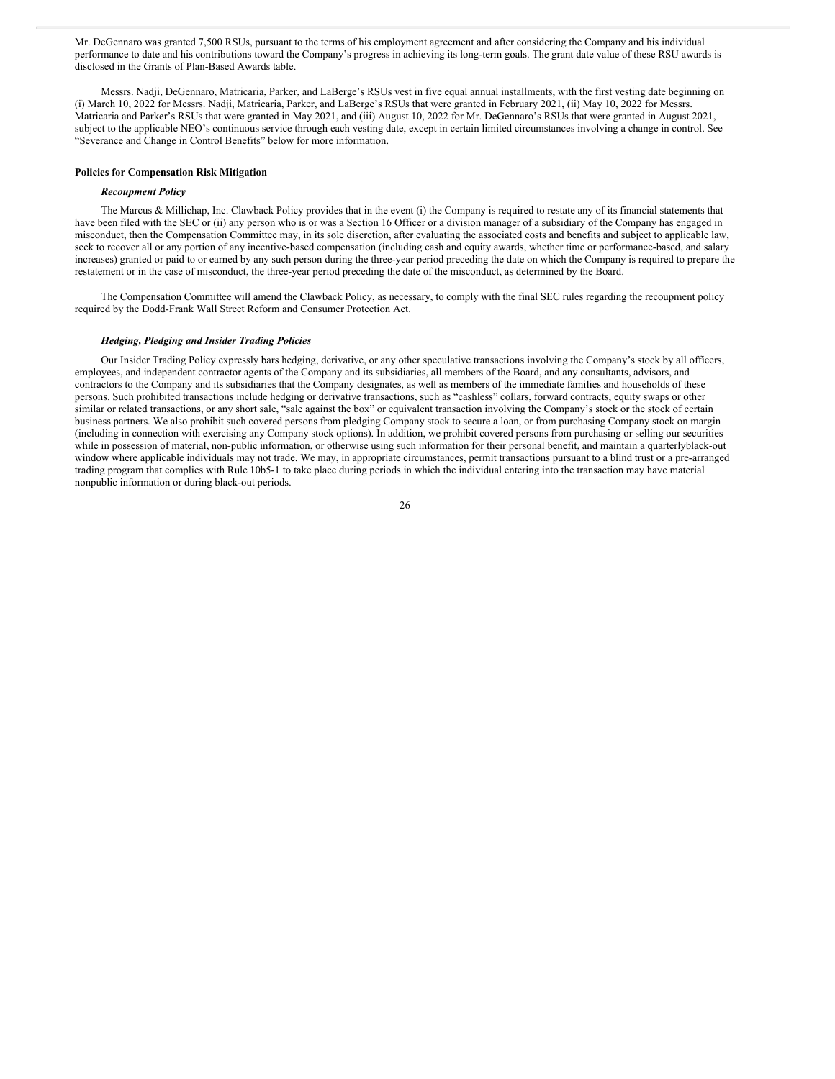Mr. DeGennaro was granted 7,500 RSUs, pursuant to the terms of his employment agreement and after considering the Company and his individual performance to date and his contributions toward the Company's progress in achieving its long-term goals. The grant date value of these RSU awards is disclosed in the Grants of Plan-Based Awards table.

Messrs. Nadji, DeGennaro, Matricaria, Parker, and LaBerge's RSUs vest in five equal annual installments, with the first vesting date beginning on (i) March 10, 2022 for Messrs. Nadji, Matricaria, Parker, and LaBerge's RSUs that were granted in February 2021, (ii) May 10, 2022 for Messrs. Matricaria and Parker's RSUs that were granted in May 2021, and (iii) August 10, 2022 for Mr. DeGennaro's RSUs that were granted in August 2021, subject to the applicable NEO's continuous service through each vesting date, except in certain limited circumstances involving a change in control. See "Severance and Change in Control Benefits" below for more information.

# **Policies for Compensation Risk Mitigation**

## *Recoupment Policy*

The Marcus & Millichap, Inc. Clawback Policy provides that in the event (i) the Company is required to restate any of its financial statements that have been filed with the SEC or (ii) any person who is or was a Section 16 Officer or a division manager of a subsidiary of the Company has engaged in misconduct, then the Compensation Committee may, in its sole discretion, after evaluating the associated costs and benefits and subject to applicable law, seek to recover all or any portion of any incentive-based compensation (including cash and equity awards, whether time or performance-based, and salary increases) granted or paid to or earned by any such person during the three-year period preceding the date on which the Company is required to prepare the restatement or in the case of misconduct, the three-year period preceding the date of the misconduct, as determined by the Board.

The Compensation Committee will amend the Clawback Policy, as necessary, to comply with the final SEC rules regarding the recoupment policy required by the Dodd-Frank Wall Street Reform and Consumer Protection Act.

#### *Hedging, Pledging and Insider Trading Policies*

Our Insider Trading Policy expressly bars hedging, derivative, or any other speculative transactions involving the Company's stock by all officers, employees, and independent contractor agents of the Company and its subsidiaries, all members of the Board, and any consultants, advisors, and contractors to the Company and its subsidiaries that the Company designates, as well as members of the immediate families and households of these persons. Such prohibited transactions include hedging or derivative transactions, such as "cashless" collars, forward contracts, equity swaps or other similar or related transactions, or any short sale, "sale against the box" or equivalent transaction involving the Company's stock or the stock of certain business partners. We also prohibit such covered persons from pledging Company stock to secure a loan, or from purchasing Company stock on margin (including in connection with exercising any Company stock options). In addition, we prohibit covered persons from purchasing or selling our securities while in possession of material, non-public information, or otherwise using such information for their personal benefit, and maintain a quarterlyblack-out window where applicable individuals may not trade. We may, in appropriate circumstances, permit transactions pursuant to a blind trust or a pre-arranged trading program that complies with Rule 10b5-1 to take place during periods in which the individual entering into the transaction may have material nonpublic information or during black-out periods.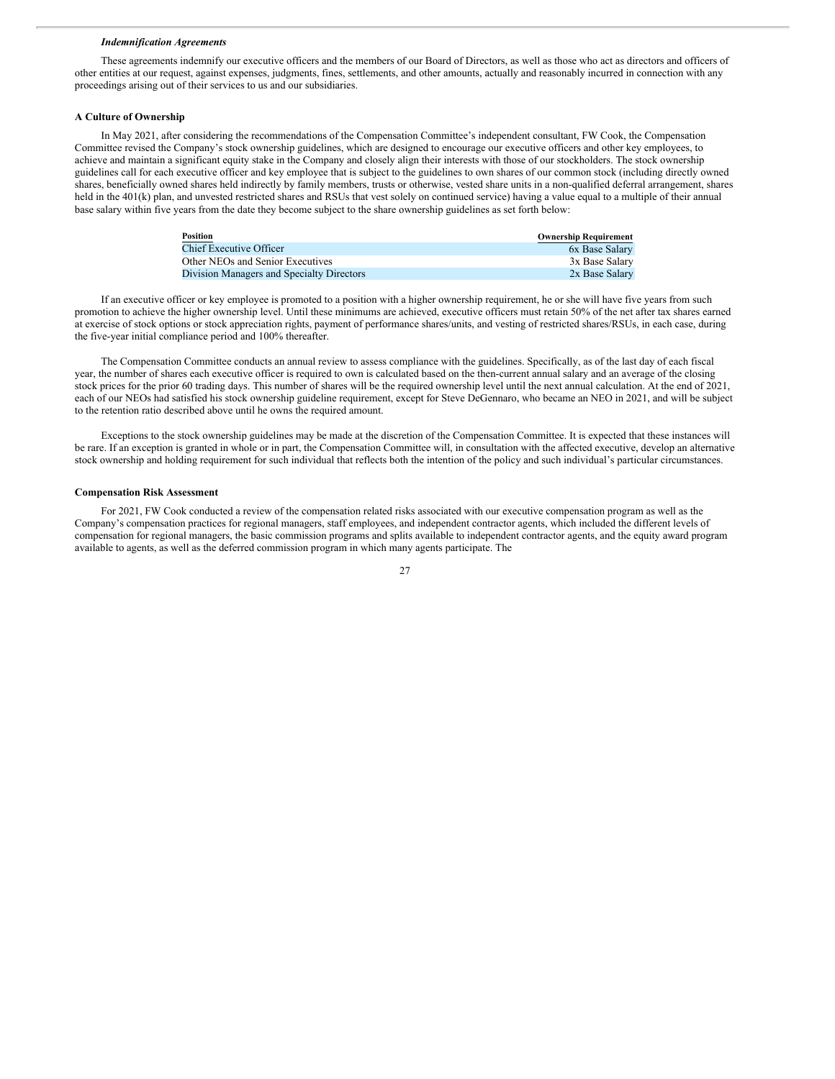#### *Indemnification Agreements*

These agreements indemnify our executive officers and the members of our Board of Directors, as well as those who act as directors and officers of other entities at our request, against expenses, judgments, fines, settlements, and other amounts, actually and reasonably incurred in connection with any proceedings arising out of their services to us and our subsidiaries.

#### **A Culture of Ownership**

In May 2021, after considering the recommendations of the Compensation Committee's independent consultant, FW Cook, the Compensation Committee revised the Company's stock ownership guidelines, which are designed to encourage our executive officers and other key employees, to achieve and maintain a significant equity stake in the Company and closely align their interests with those of our stockholders. The stock ownership guidelines call for each executive officer and key employee that is subject to the guidelines to own shares of our common stock (including directly owned shares, beneficially owned shares held indirectly by family members, trusts or otherwise, vested share units in a non-qualified deferral arrangement, shares held in the 401(k) plan, and unvested restricted shares and RSUs that vest solely on continued service) having a value equal to a multiple of their annual base salary within five years from the date they become subject to the share ownership guidelines as set forth below:

| Position                                  | <b>Ownership Requirement</b> |
|-------------------------------------------|------------------------------|
| Chief Executive Officer                   | 6x Base Salary               |
| Other NEOs and Senior Executives          | 3x Base Salary               |
| Division Managers and Specialty Directors | 2x Base Salary               |

If an executive officer or key employee is promoted to a position with a higher ownership requirement, he or she will have five years from such promotion to achieve the higher ownership level. Until these minimums are achieved, executive officers must retain 50% of the net after tax shares earned at exercise of stock options or stock appreciation rights, payment of performance shares/units, and vesting of restricted shares/RSUs, in each case, during the five-year initial compliance period and 100% thereafter.

The Compensation Committee conducts an annual review to assess compliance with the guidelines. Specifically, as of the last day of each fiscal year, the number of shares each executive officer is required to own is calculated based on the then-current annual salary and an average of the closing stock prices for the prior 60 trading days. This number of shares will be the required ownership level until the next annual calculation. At the end of 2021, each of our NEOs had satisfied his stock ownership guideline requirement, except for Steve DeGennaro, who became an NEO in 2021, and will be subject to the retention ratio described above until he owns the required amount.

Exceptions to the stock ownership guidelines may be made at the discretion of the Compensation Committee. It is expected that these instances will be rare. If an exception is granted in whole or in part, the Compensation Committee will, in consultation with the affected executive, develop an alternative stock ownership and holding requirement for such individual that reflects both the intention of the policy and such individual's particular circumstances.

# **Compensation Risk Assessment**

For 2021, FW Cook conducted a review of the compensation related risks associated with our executive compensation program as well as the Company's compensation practices for regional managers, staff employees, and independent contractor agents, which included the different levels of compensation for regional managers, the basic commission programs and splits available to independent contractor agents, and the equity award program available to agents, as well as the deferred commission program in which many agents participate. The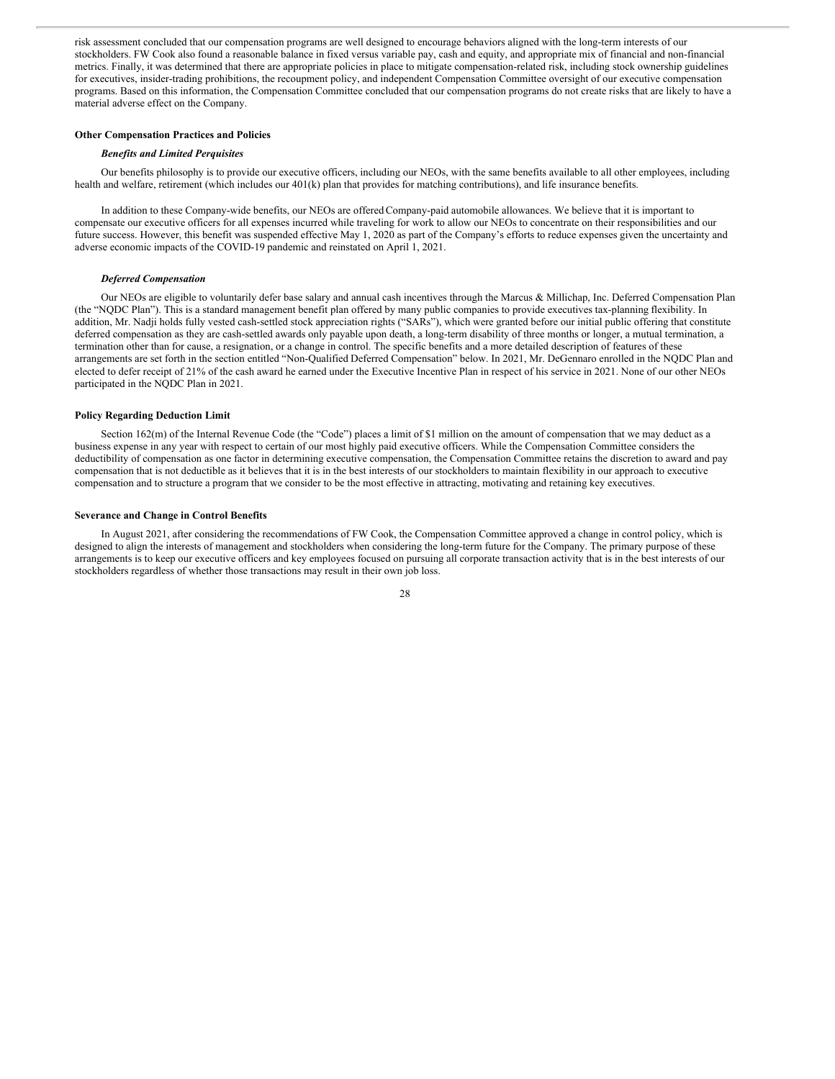risk assessment concluded that our compensation programs are well designed to encourage behaviors aligned with the long-term interests of our stockholders. FW Cook also found a reasonable balance in fixed versus variable pay, cash and equity, and appropriate mix of financial and non-financial metrics. Finally, it was determined that there are appropriate policies in place to mitigate compensation-related risk, including stock ownership guidelines for executives, insider-trading prohibitions, the recoupment policy, and independent Compensation Committee oversight of our executive compensation programs. Based on this information, the Compensation Committee concluded that our compensation programs do not create risks that are likely to have a material adverse effect on the Company.

#### **Other Compensation Practices and Policies**

#### *Benefits and Limited Perquisites*

Our benefits philosophy is to provide our executive officers, including our NEOs, with the same benefits available to all other employees, including health and welfare, retirement (which includes our 401(k) plan that provides for matching contributions), and life insurance benefits.

In addition to these Company-wide benefits, our NEOs are offeredCompany-paid automobile allowances. We believe that it is important to compensate our executive officers for all expenses incurred while traveling for work to allow our NEOs to concentrate on their responsibilities and our future success. However, this benefit was suspended effective May 1, 2020 as part of the Company's efforts to reduce expenses given the uncertainty and adverse economic impacts of the COVID-19 pandemic and reinstated on April 1, 2021.

# *Deferred Compensation*

Our NEOs are eligible to voluntarily defer base salary and annual cash incentives through the Marcus & Millichap, Inc. Deferred Compensation Plan (the "NQDC Plan"). This is a standard management benefit plan offered by many public companies to provide executives tax-planning flexibility. In addition, Mr. Nadji holds fully vested cash-settled stock appreciation rights ("SARs"), which were granted before our initial public offering that constitute deferred compensation as they are cash-settled awards only payable upon death, a long-term disability of three months or longer, a mutual termination, a termination other than for cause, a resignation, or a change in control. The specific benefits and a more detailed description of features of these arrangements are set forth in the section entitled "Non-Qualified Deferred Compensation" below. In 2021, Mr. DeGennaro enrolled in the NQDC Plan and elected to defer receipt of 21% of the cash award he earned under the Executive Incentive Plan in respect of his service in 2021. None of our other NEOs participated in the NQDC Plan in 2021.

#### **Policy Regarding Deduction Limit**

Section 162(m) of the Internal Revenue Code (the "Code") places a limit of \$1 million on the amount of compensation that we may deduct as a business expense in any year with respect to certain of our most highly paid executive officers. While the Compensation Committee considers the deductibility of compensation as one factor in determining executive compensation, the Compensation Committee retains the discretion to award and pay compensation that is not deductible as it believes that it is in the best interests of our stockholders to maintain flexibility in our approach to executive compensation and to structure a program that we consider to be the most effective in attracting, motivating and retaining key executives.

# **Severance and Change in Control Benefits**

In August 2021, after considering the recommendations of FW Cook, the Compensation Committee approved a change in control policy, which is designed to align the interests of management and stockholders when considering the long-term future for the Company. The primary purpose of these arrangements is to keep our executive officers and key employees focused on pursuing all corporate transaction activity that is in the best interests of our stockholders regardless of whether those transactions may result in their own job loss.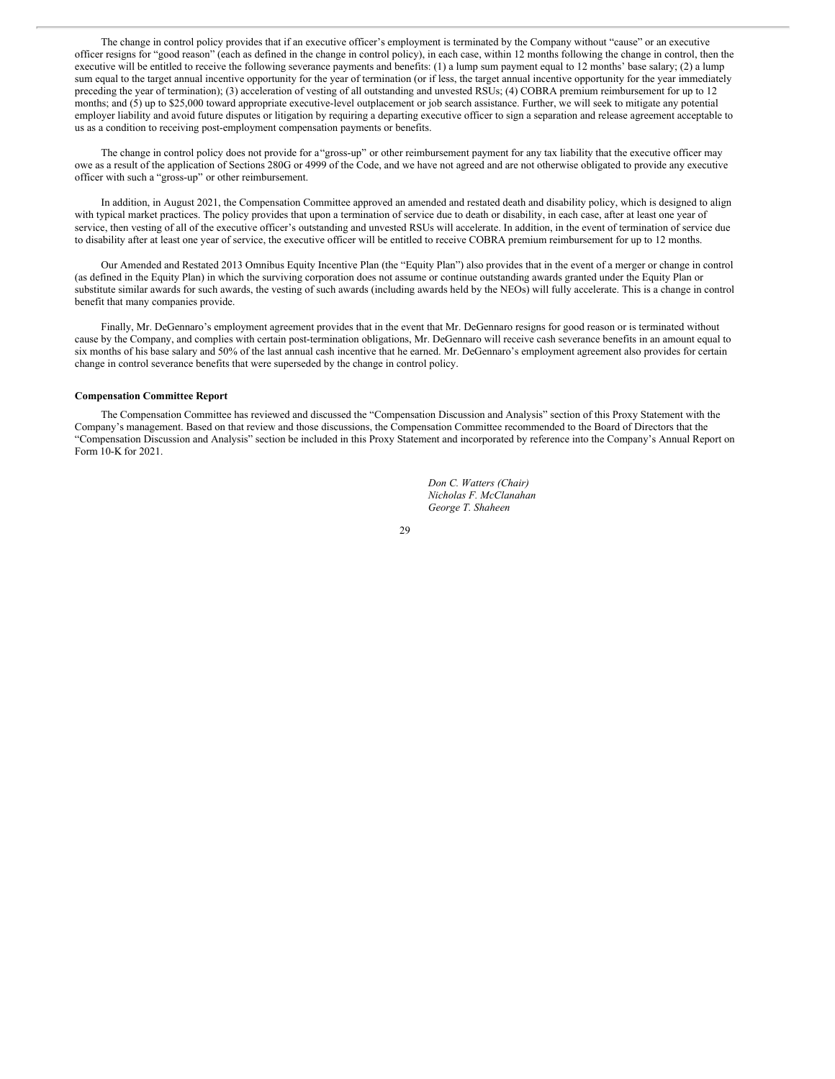The change in control policy provides that if an executive officer's employment is terminated by the Company without "cause" or an executive officer resigns for "good reason" (each as defined in the change in control policy), in each case, within 12 months following the change in control, then the executive will be entitled to receive the following severance payments and benefits: (1) a lump sum payment equal to 12 months' base salary; (2) a lump sum equal to the target annual incentive opportunity for the year of termination (or if less, the target annual incentive opportunity for the year immediately preceding the year of termination); (3) acceleration of vesting of all outstanding and unvested RSUs; (4) COBRA premium reimbursement for up to 12 months; and (5) up to \$25,000 toward appropriate executive-level outplacement or job search assistance. Further, we will seek to mitigate any potential employer liability and avoid future disputes or litigation by requiring a departing executive officer to sign a separation and release agreement acceptable to us as a condition to receiving post-employment compensation payments or benefits.

The change in control policy does not provide for a"gross-up" or other reimbursement payment for any tax liability that the executive officer may owe as a result of the application of Sections 280G or 4999 of the Code, and we have not agreed and are not otherwise obligated to provide any executive officer with such a "gross-up" or other reimbursement.

In addition, in August 2021, the Compensation Committee approved an amended and restated death and disability policy, which is designed to align with typical market practices. The policy provides that upon a termination of service due to death or disability, in each case, after at least one year of service, then vesting of all of the executive officer's outstanding and unvested RSUs will accelerate. In addition, in the event of termination of service due to disability after at least one year of service, the executive officer will be entitled to receive COBRA premium reimbursement for up to 12 months.

Our Amended and Restated 2013 Omnibus Equity Incentive Plan (the "Equity Plan") also provides that in the event of a merger or change in control (as defined in the Equity Plan) in which the surviving corporation does not assume or continue outstanding awards granted under the Equity Plan or substitute similar awards for such awards, the vesting of such awards (including awards held by the NEOs) will fully accelerate. This is a change in control benefit that many companies provide.

Finally, Mr. DeGennaro's employment agreement provides that in the event that Mr. DeGennaro resigns for good reason or is terminated without cause by the Company, and complies with certain post-termination obligations, Mr. DeGennaro will receive cash severance benefits in an amount equal to six months of his base salary and 50% of the last annual cash incentive that he earned. Mr. DeGennaro's employment agreement also provides for certain change in control severance benefits that were superseded by the change in control policy.

# **Compensation Committee Report**

The Compensation Committee has reviewed and discussed the "Compensation Discussion and Analysis" section of this Proxy Statement with the Company's management. Based on that review and those discussions, the Compensation Committee recommended to the Board of Directors that the "Compensation Discussion and Analysis" section be included in this Proxy Statement and incorporated by reference into the Company's Annual Report on Form 10-K for 2021.

> *Don C. Watters (Chair) Nicholas F. McClanahan George T. Shaheen*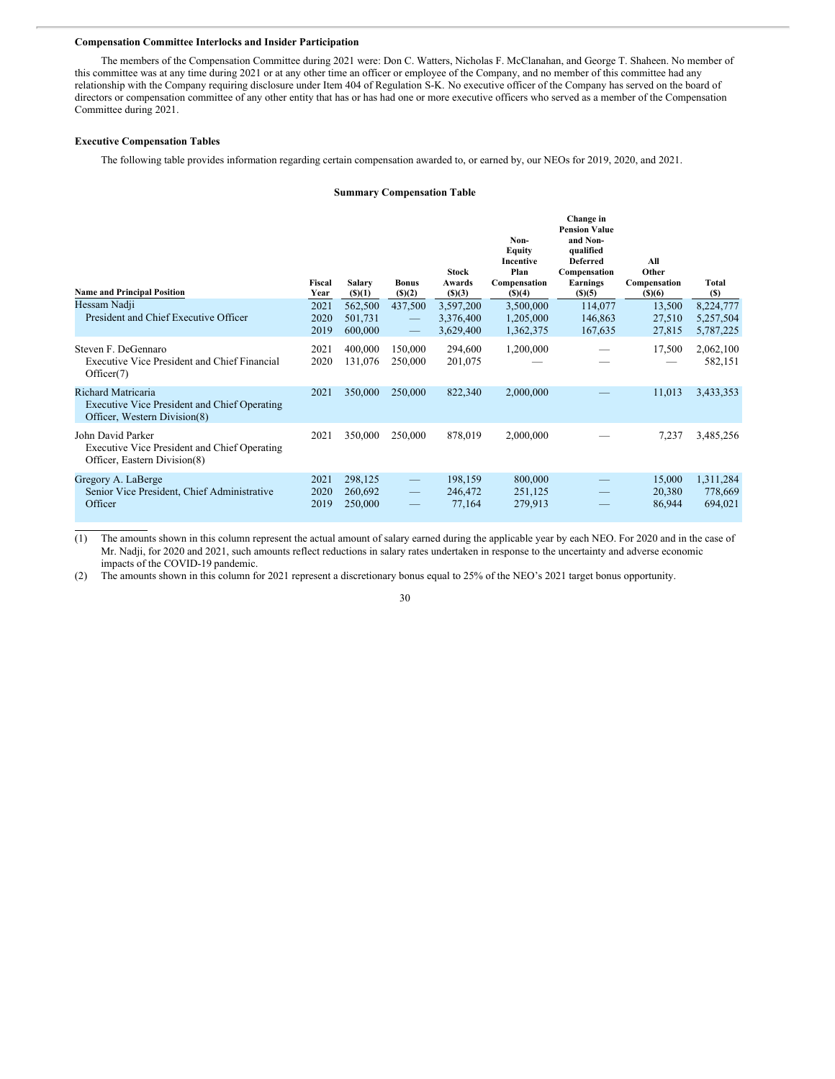#### **Compensation Committee Interlocks and Insider Participation**

The members of the Compensation Committee during 2021 were: Don C. Watters, Nicholas F. McClanahan, and George T. Shaheen. No member of this committee was at any time during 2021 or at any other time an officer or employee of the Company, and no member of this committee had any relationship with the Company requiring disclosure under Item 404 of Regulation S-K. No executive officer of the Company has served on the board of directors or compensation committee of any other entity that has or has had one or more executive officers who served as a member of the Compensation Committee during 2021.

# **Executive Compensation Tables**

The following table provides information regarding certain compensation awarded to, or earned by, our NEOs for 2019, 2020, and 2021.

# **Summary Compensation Table**

| <b>Name and Principal Position</b><br>Hessam Nadji<br>President and Chief Executive Officer              | Fiscal<br>Year<br>2021<br>2020 | Salary<br>$($ S) $(1)$<br>562,500<br>501,731 | <b>Bonus</b><br>$($ (\$) $(2)$<br>437,500<br>$\hspace{0.1mm}-\hspace{0.1mm}$ | <b>Stock</b><br>Awards<br>() (3)<br>3,597,200<br>3,376,400 | Non-<br>Equity<br><b>Incentive</b><br>Plan<br>Compensation<br>$($ (\$)(4)<br>3,500,000<br>1,205,000 | Change in<br><b>Pension Value</b><br>and Non-<br>qualified<br><b>Deferred</b><br>Compensation<br><b>Earnings</b><br>$($ (\$)(5)<br>114,077<br>146,863 | All<br>Other<br>Compensation<br>$($ )(6)<br>13,500<br>27,510 | Total<br>(S)<br>8,224,777<br>5,257,504 |
|----------------------------------------------------------------------------------------------------------|--------------------------------|----------------------------------------------|------------------------------------------------------------------------------|------------------------------------------------------------|-----------------------------------------------------------------------------------------------------|-------------------------------------------------------------------------------------------------------------------------------------------------------|--------------------------------------------------------------|----------------------------------------|
| Steven F. DeGennaro<br><b>Executive Vice President and Chief Financial</b><br>Officer(7)                 | 2019<br>2021<br>2020           | 600,000<br>400,000<br>131,076                | $\overline{\phantom{m}}$<br>150,000<br>250,000                               | 3,629,400<br>294,600<br>201,075                            | 1,362,375<br>1,200,000                                                                              | 167,635                                                                                                                                               | 27,815<br>17,500                                             | 5,787,225<br>2,062,100<br>582,151      |
| Richard Matricaria<br>Executive Vice President and Chief Operating<br>Officer, Western Division(8)       | 2021                           | 350,000                                      | 250,000                                                                      | 822,340                                                    | 2,000,000                                                                                           |                                                                                                                                                       | 11,013                                                       | 3,433,353                              |
| John David Parker<br><b>Executive Vice President and Chief Operating</b><br>Officer, Eastern Division(8) | 2021                           | 350,000                                      | 250,000                                                                      | 878,019                                                    | 2,000,000                                                                                           |                                                                                                                                                       | 7,237                                                        | 3,485,256                              |
| Gregory A. LaBerge<br>Senior Vice President, Chief Administrative<br>Officer                             | 2021<br>2020<br>2019           | 298,125<br>260,692<br>250,000                | $\qquad \qquad -$<br>$\qquad \qquad -$<br>$\overline{\phantom{0}}$           | 198,159<br>246,472<br>77,164                               | 800,000<br>251,125<br>279,913                                                                       |                                                                                                                                                       | 15,000<br>20,380<br>86,944                                   | 1,311,284<br>778,669<br>694,021        |

(1) The amounts shown in this column represent the actual amount of salary earned during the applicable year by each NEO. For 2020 and in the case of Mr. Nadji, for 2020 and 2021, such amounts reflect reductions in salary rates undertaken in response to the uncertainty and adverse economic impacts of the COVID-19 pandemic.

(2) The amounts shown in this column for 2021 represent a discretionary bonus equal to 25% of the NEO's 2021 target bonus opportunity.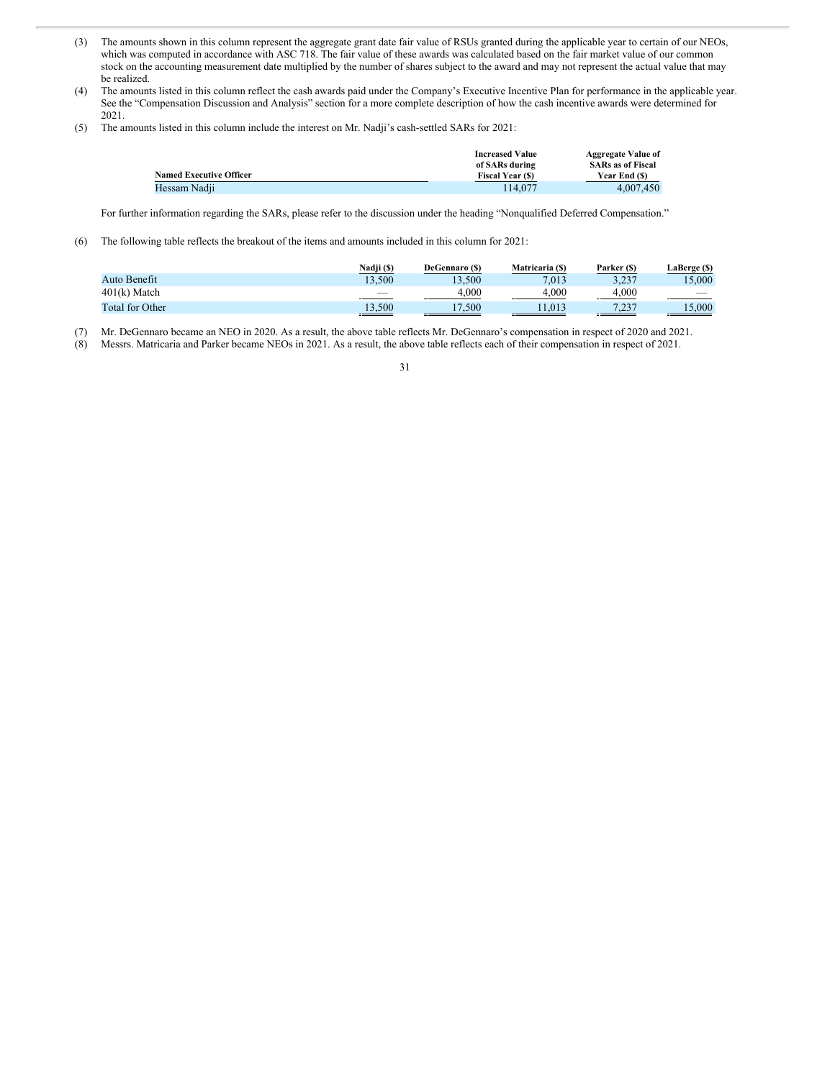- (3) The amounts shown in this column represent the aggregate grant date fair value of RSUs granted during the applicable year to certain of our NEOs, which was computed in accordance with ASC 718. The fair value of these awards was calculated based on the fair market value of our common stock on the accounting measurement date multiplied by the number of shares subject to the award and may not represent the actual value that may be realized.
- (4) The amounts listed in this column reflect the cash awards paid under the Company's Executive Incentive Plan for performance in the applicable year. See the "Compensation Discussion and Analysis" section for a more complete description of how the cash incentive awards were determined for 2021.
- (5) The amounts listed in this column include the interest on Mr. Nadji's cash-settled SARs for 2021:

|                                | <b>Increased Value</b> | <b>Aggregate Value of</b> |
|--------------------------------|------------------------|---------------------------|
|                                | of SARs during         | <b>SARs as of Fiscal</b>  |
| <b>Named Executive Officer</b> | <b>Fiscal Year (S)</b> | Year End (\$)             |
| Hessam Nadji                   | 114.077                | 4.007.450                 |

For further information regarding the SARs, please refer to the discussion under the heading "Nonqualified Deferred Compensation."

(6) The following table reflects the breakout of the items and amounts included in this column for 2021:

|                        | Nadji (\$) | DeGennaro (\$) | Matricaria (S) | Parker (\$)    | LaBerge (\$) |
|------------------------|------------|----------------|----------------|----------------|--------------|
| Auto Benefit           | 13.500     | 13.500         | 7.013          | 3.237<br>ر __  | 15.000       |
| $401(k)$ Match         | --         | 4.000          | 4.000          | 4.000          | -            |
| <b>Total for Other</b> | 13,500     | 1/500          | 11.013         | 7.227<br>ر ے ، | 15,000       |

(7) Mr. DeGennaro became an NEO in 2020. As a result, the above table reflects Mr. DeGennaro's compensation in respect of 2020 and 2021.

(8) Messrs. Matricaria and Parker became NEOs in 2021. As a result, the above table reflects each of their compensation in respect of 2021.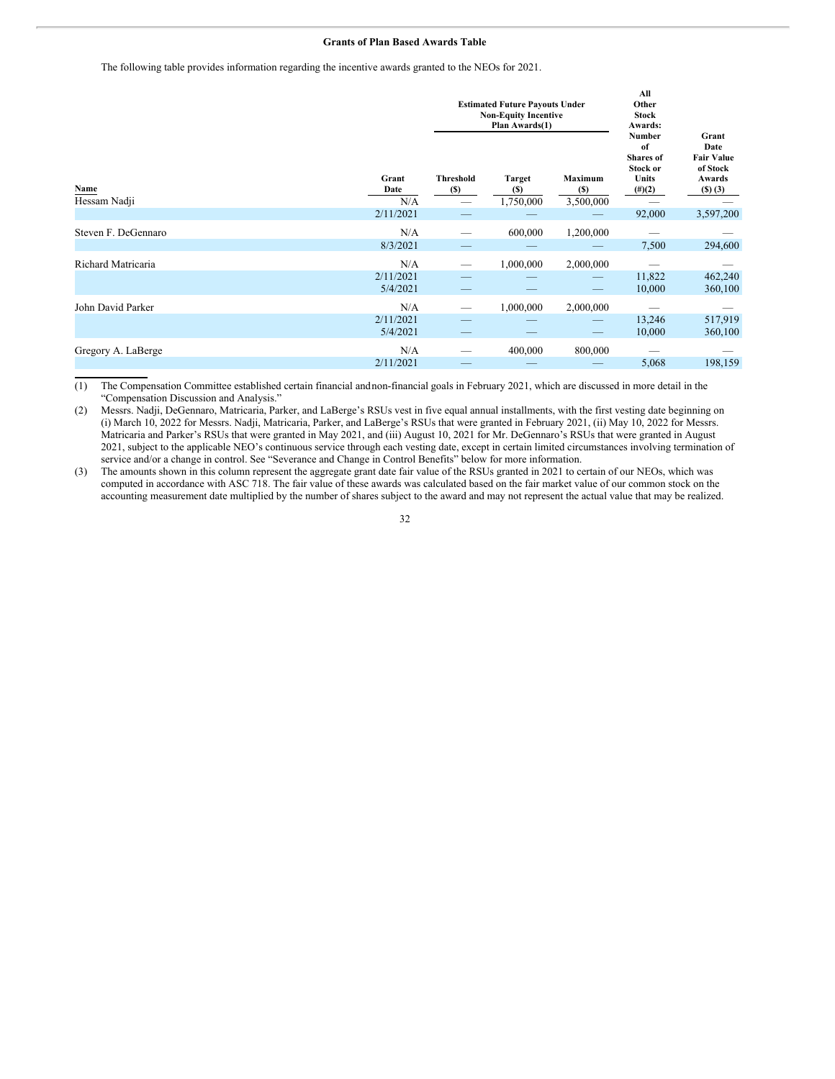#### **Grants of Plan Based Awards Table**

The following table provides information regarding the incentive awards granted to the NEOs for 2021.

|                      |                              |                         | <b>Estimated Future Payouts Under</b><br><b>Non-Equity Incentive</b><br>Plan Awards(1) | All<br>Other<br><b>Stock</b><br>Awards: |                                                                                  |                                                                                 |
|----------------------|------------------------------|-------------------------|----------------------------------------------------------------------------------------|-----------------------------------------|----------------------------------------------------------------------------------|---------------------------------------------------------------------------------|
| Name<br>Hessam Nadji | Grant<br>Date<br>N/A         | <b>Threshold</b><br>(S) | <b>Target</b><br>(S)<br>1,750,000                                                      | <b>Maximum</b><br>(S)<br>3,500,000      | <b>Number</b><br>of<br><b>Shares</b> of<br>Stock or<br><b>Units</b><br>$(\#)(2)$ | Grant<br>Date<br><b>Fair Value</b><br>of Stock<br>Awards<br>$($ S $)$ $($ 3 $)$ |
|                      | 2/11/2021                    |                         |                                                                                        |                                         | 92,000                                                                           | 3,597,200                                                                       |
| Steven F. DeGennaro  | N/A<br>8/3/2021              |                         | 600,000                                                                                | 1,200,000                               | 7,500                                                                            | 294,600                                                                         |
| Richard Matricaria   | N/A<br>2/11/2021<br>5/4/2021 |                         | 1,000,000                                                                              | 2,000,000                               | 11,822<br>10,000                                                                 | 462,240<br>360,100                                                              |
| John David Parker    | N/A<br>2/11/2021<br>5/4/2021 |                         | 1,000,000                                                                              | 2,000,000                               | 13,246<br>10,000                                                                 | 517,919<br>360,100                                                              |
| Gregory A. LaBerge   | N/A<br>2/11/2021             |                         | 400,000                                                                                | 800,000                                 | 5,068                                                                            | 198,159                                                                         |

(1) The Compensation Committee established certain financial andnon-financial goals in February 2021, which are discussed in more detail in the "Compensation Discussion and Analysis."

(2) Messrs. Nadji, DeGennaro, Matricaria, Parker, and LaBerge's RSUs vest in five equal annual installments, with the first vesting date beginning on (i) March 10, 2022 for Messrs. Nadji, Matricaria, Parker, and LaBerge's RSUs that were granted in February 2021, (ii) May 10, 2022 for Messrs. Matricaria and Parker's RSUs that were granted in May 2021, and (iii) August 10, 2021 for Mr. DeGennaro's RSUs that were granted in August 2021, subject to the applicable NEO's continuous service through each vesting date, except in certain limited circumstances involving termination of service and/or a change in control. See "Severance and Change in Control Benefits" below for more information.

(3) The amounts shown in this column represent the aggregate grant date fair value of the RSUs granted in 2021 to certain of our NEOs, which was computed in accordance with ASC 718. The fair value of these awards was calculated based on the fair market value of our common stock on the accounting measurement date multiplied by the number of shares subject to the award and may not represent the actual value that may be realized.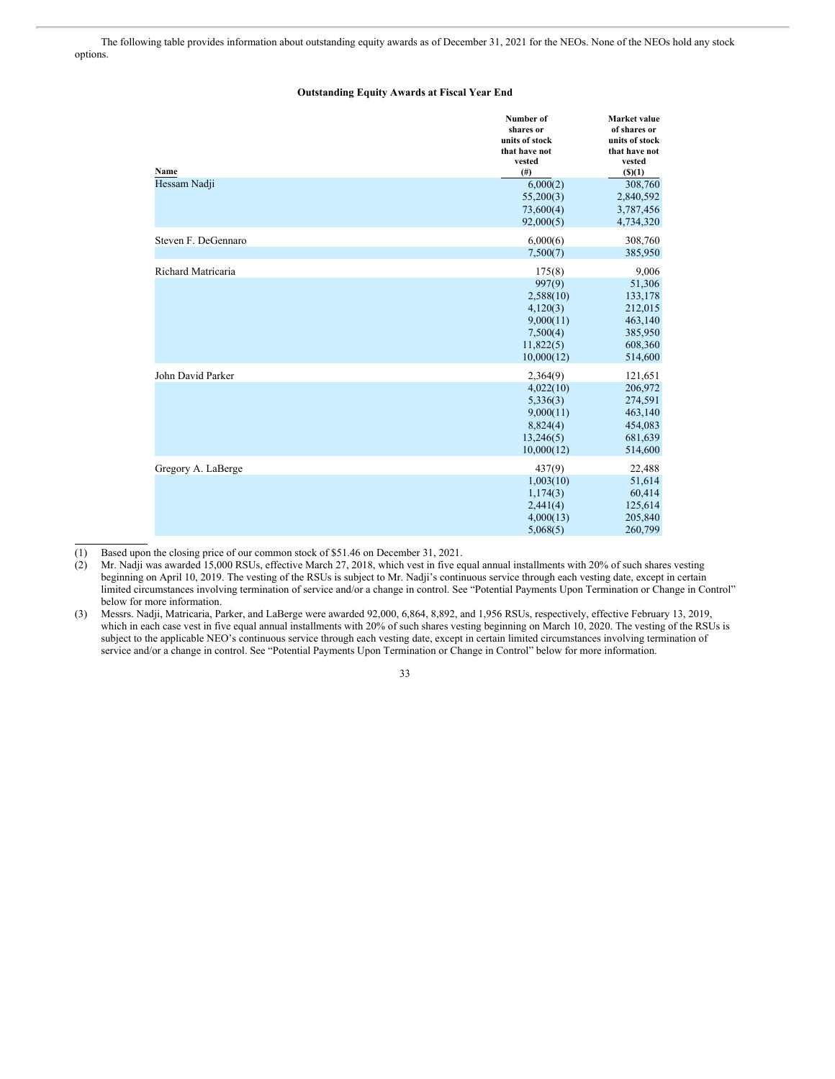The following table provides information about outstanding equity awards as of December 31, 2021 for the NEOs. None of the NEOs hold any stock options.

## **Outstanding Equity Awards at Fiscal Year End**

| Name                | Number of<br>shares or<br>units of stock<br>that have not<br>vested<br>$($ # $)$              | Market value<br>of shares or<br>units of stock<br>that have not<br>vested<br>$($ (\$)(1) |
|---------------------|-----------------------------------------------------------------------------------------------|------------------------------------------------------------------------------------------|
| Hessam Nadji        | 6,000(2)<br>55,200(3)<br>73,600(4)<br>92,000(5)                                               | 308,760<br>2,840,592<br>3,787,456<br>4,734,320                                           |
| Steven F. DeGennaro | 6,000(6)<br>7,500(7)                                                                          | 308,760<br>385,950                                                                       |
| Richard Matricaria  | 175(8)<br>997(9)<br>2,588(10)<br>4,120(3)<br>9,000(11)<br>7,500(4)<br>11,822(5)<br>10,000(12) | 9,006<br>51,306<br>133,178<br>212,015<br>463,140<br>385,950<br>608,360<br>514,600        |
| John David Parker   | 2,364(9)<br>4,022(10)<br>5,336(3)<br>9,000(11)<br>8,824(4)<br>13,246(5)<br>10,000(12)         | 121,651<br>206,972<br>274,591<br>463,140<br>454,083<br>681,639<br>514,600                |
| Gregory A. LaBerge  | 437(9)<br>1,003(10)<br>1,174(3)<br>2,441(4)<br>4,000(13)<br>5,068(5)                          | 22,488<br>51,614<br>60,414<br>125,614<br>205,840<br>260,799                              |

(1) Based upon the closing price of our common stock of \$51.46 on December 31, 2021.

(2) Mr. Nadji was awarded 15,000 RSUs, effective March 27, 2018, which vest in five equal annual installments with 20% of such shares vesting beginning on April 10, 2019. The vesting of the RSUs is subject to Mr. Nadji's continuous service through each vesting date, except in certain limited circumstances involving termination of service and/or a change in control. See "Potential Payments Upon Termination or Change in Control" below for more information.

(3) Messrs. Nadji, Matricaria, Parker, and LaBerge were awarded 92,000, 6,864, 8,892, and 1,956 RSUs, respectively, effective February 13, 2019, which in each case vest in five equal annual installments with 20% of such shares vesting beginning on March 10, 2020. The vesting of the RSUs is subject to the applicable NEO's continuous service through each vesting date, except in certain limited circumstances involving termination of service and/or a change in control. See "Potential Payments Upon Termination or Change in Control" below for more information.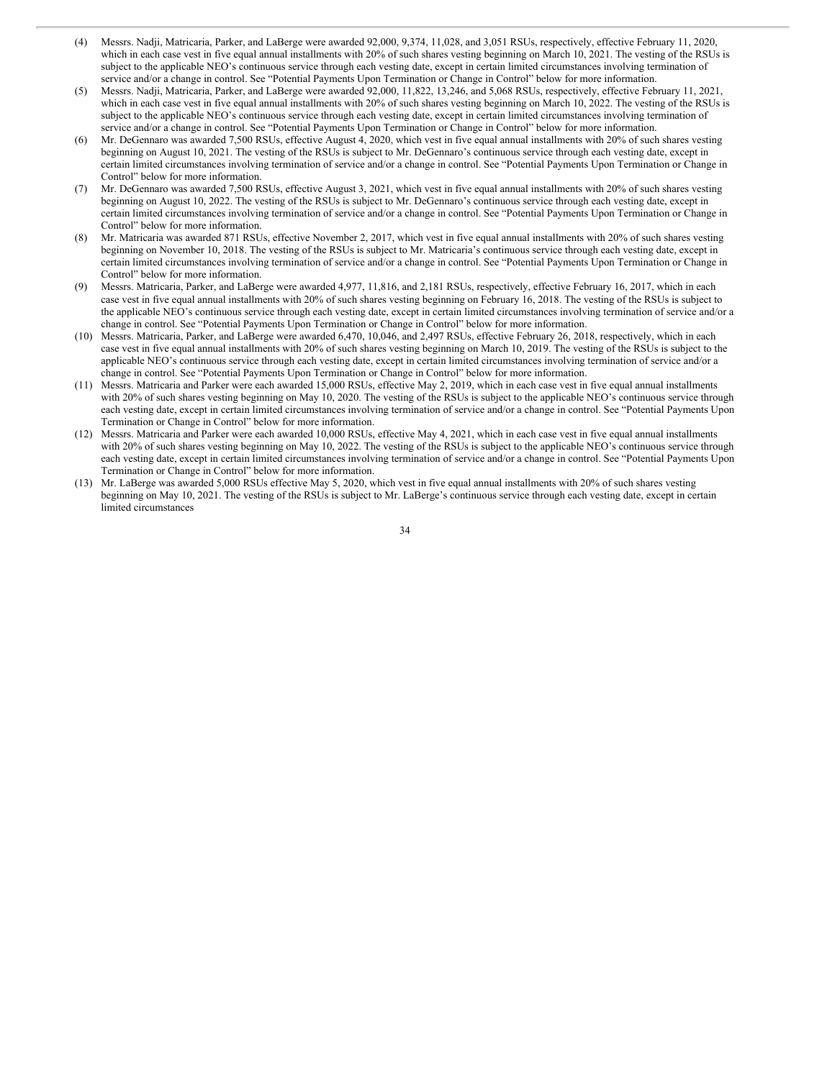- (4) Messrs. Nadji, Matricaria, Parker, and LaBerge were awarded 92,000, 9,374, 11,028, and 3,051 RSUs, respectively, effective February 11, 2020, which in each case vest in five equal annual installments with 20% of such shares vesting beginning on March 10, 2021. The vesting of the RSUs is subject to the applicable NEO's continuous service through each vesting date, except in certain limited circumstances involving termination of service and/or a change in control. See "Potential Payments Upon Termination or Change in Control" below for more information.
- (5) Messrs. Nadji, Matricaria, Parker, and LaBerge were awarded 92,000, 11,822, 13,246, and 5,068 RSUs, respectively, effective February 11, 2021, which in each case vest in five equal annual installments with 20% of such shares vesting beginning on March 10, 2022. The vesting of the RSUs is subject to the applicable NEO's continuous service through each vesting date, except in certain limited circumstances involving termination of service and/or a change in control. See "Potential Payments Upon Termination or Change in Control" below for more information.
- Mr. DeGennaro was awarded 7,500 RSUs, effective August 4, 2020, which vest in five equal annual installments with 20% of such shares vesting beginning on August 10, 2021. The vesting of the RSUs is subject to Mr. DeGennaro's continuous service through each vesting date, except in certain limited circumstances involving termination of service and/or a change in control. See "Potential Payments Upon Termination or Change in Control" below for more information.
- (7) Mr. DeGennaro was awarded 7,500 RSUs, effective August 3, 2021, which vest in five equal annual installments with 20% of such shares vesting beginning on August 10, 2022. The vesting of the RSUs is subject to Mr. DeGennaro's continuous service through each vesting date, except in certain limited circumstances involving termination of service and/or a change in control. See "Potential Payments Upon Termination or Change in Control" below for more information.
- Mr. Matricaria was awarded 871 RSUs, effective November 2, 2017, which vest in five equal annual installments with 20% of such shares vesting beginning on November 10, 2018. The vesting of the RSUs is subject to Mr. Matricaria's continuous service through each vesting date, except in certain limited circumstances involving termination of service and/or a change in control. See "Potential Payments Upon Termination or Change in Control" below for more information.
- (9) Messrs. Matricaria, Parker, and LaBerge were awarded 4,977, 11,816, and 2,181 RSUs, respectively, effective February 16, 2017, which in each case vest in five equal annual installments with 20% of such shares vesting beginning on February 16, 2018. The vesting of the RSUs is subject to the applicable NEO's continuous service through each vesting date, except in certain limited circumstances involving termination of service and/or a change in control. See "Potential Payments Upon Termination or Change in Control" below for more information.
- (10) Messrs. Matricaria, Parker, and LaBerge were awarded 6,470, 10,046, and 2,497 RSUs, effective February 26, 2018, respectively, which in each case vest in five equal annual installments with 20% of such shares vesting beginning on March 10, 2019. The vesting of the RSUs is subject to the applicable NEO's continuous service through each vesting date, except in certain limited circumstances involving termination of service and/or a change in control. See "Potential Payments Upon Termination or Change in Control" below for more information.
- (11) Messrs. Matricaria and Parker were each awarded 15,000 RSUs, effective May 2, 2019, which in each case vest in five equal annual installments with 20% of such shares vesting beginning on May 10, 2020. The vesting of the RSUs is subject to the applicable NEO's continuous service through each vesting date, except in certain limited circumstances involving termination of service and/or a change in control. See "Potential Payments Upon Termination or Change in Control" below for more information.
- (12) Messrs. Matricaria and Parker were each awarded 10,000 RSUs, effective May 4, 2021, which in each case vest in five equal annual installments with 20% of such shares vesting beginning on May 10, 2022. The vesting of the RSUs is subject to the applicable NEO's continuous service through each vesting date, except in certain limited circumstances involving termination of service and/or a change in control. See "Potential Payments Upon Termination or Change in Control" below for more information.
- (13) Mr. LaBerge was awarded 5,000 RSUs effective May 5, 2020, which vest in five equal annual installments with 20% of such shares vesting beginning on May 10, 2021. The vesting of the RSUs is subject to Mr. LaBerge's continuous service through each vesting date, except in certain limited circumstances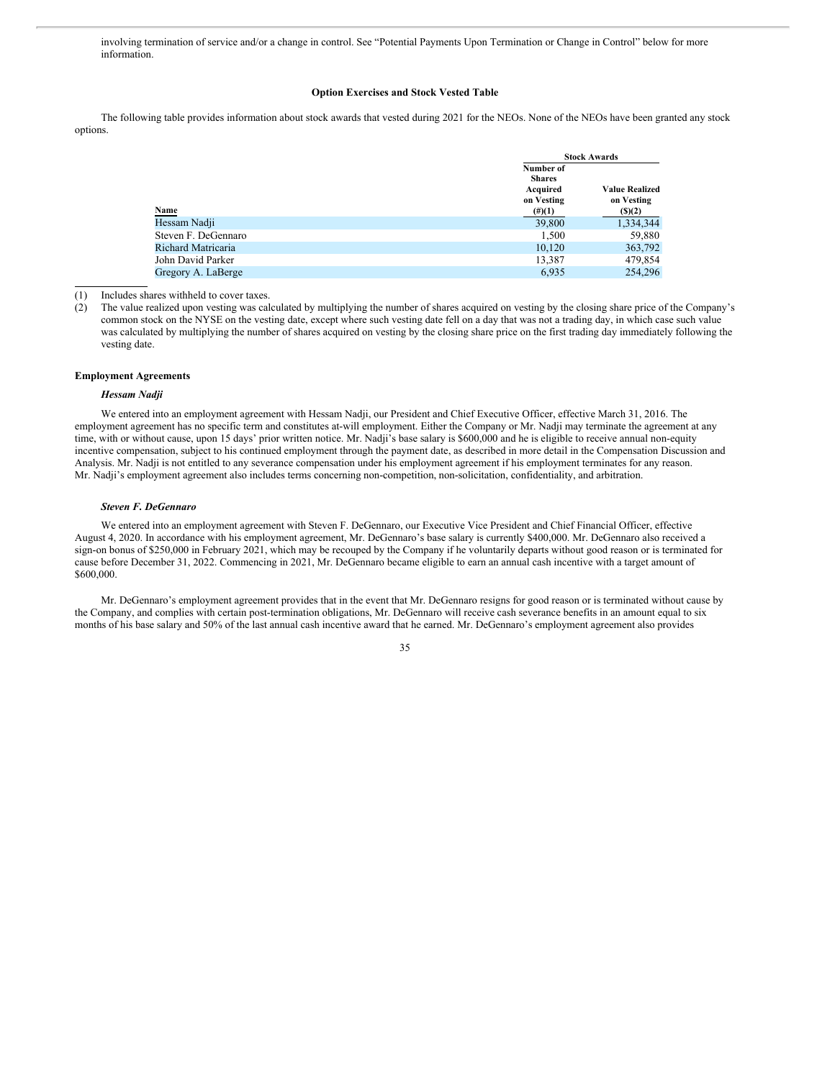involving termination of service and/or a change in control. See "Potential Payments Upon Termination or Change in Control" below for more information.

# **Option Exercises and Stock Vested Table**

The following table provides information about stock awards that vested during 2021 for the NEOs. None of the NEOs have been granted any stock options.

|                     |                                                      | <b>Stock Awards</b>                 |  |  |
|---------------------|------------------------------------------------------|-------------------------------------|--|--|
|                     | Number of<br><b>Shares</b><br>Acquired<br>on Vesting | <b>Value Realized</b><br>on Vesting |  |  |
| <b>Name</b>         | $(\#)(1)$                                            | (5)(2)                              |  |  |
| Hessam Nadji        | 39,800                                               | 1,334,344                           |  |  |
| Steven F. DeGennaro | 1,500                                                | 59,880                              |  |  |
| Richard Matricaria  | 10.120                                               | 363,792                             |  |  |
| John David Parker   | 13,387                                               | 479,854                             |  |  |
| Gregory A. LaBerge  | 6.935                                                | 254,296                             |  |  |

(1) Includes shares withheld to cover taxes.

(2) The value realized upon vesting was calculated by multiplying the number of shares acquired on vesting by the closing share price of the Company's common stock on the NYSE on the vesting date, except where such vesting date fell on a day that was not a trading day, in which case such value was calculated by multiplying the number of shares acquired on vesting by the closing share price on the first trading day immediately following the vesting date.

#### **Employment Agreements**

# *Hessam Nadji*

We entered into an employment agreement with Hessam Nadji, our President and Chief Executive Officer, effective March 31, 2016. The employment agreement has no specific term and constitutes at-will employment. Either the Company or Mr. Nadji may terminate the agreement at any time, with or without cause, upon 15 days' prior written notice. Mr. Nadji's base salary is \$600,000 and he is eligible to receive annual non-equity incentive compensation, subject to his continued employment through the payment date, as described in more detail in the Compensation Discussion and Analysis. Mr. Nadji is not entitled to any severance compensation under his employment agreement if his employment terminates for any reason. Mr. Nadji's employment agreement also includes terms concerning non-competition, non-solicitation, confidentiality, and arbitration.

# *Steven F. DeGennaro*

We entered into an employment agreement with Steven F. DeGennaro, our Executive Vice President and Chief Financial Officer, effective August 4, 2020. In accordance with his employment agreement, Mr. DeGennaro's base salary is currently \$400,000. Mr. DeGennaro also received a sign-on bonus of \$250,000 in February 2021, which may be recouped by the Company if he voluntarily departs without good reason or is terminated for cause before December 31, 2022. Commencing in 2021, Mr. DeGennaro became eligible to earn an annual cash incentive with a target amount of \$600,000.

Mr. DeGennaro's employment agreement provides that in the event that Mr. DeGennaro resigns for good reason or is terminated without cause by the Company, and complies with certain post-termination obligations, Mr. DeGennaro will receive cash severance benefits in an amount equal to six months of his base salary and 50% of the last annual cash incentive award that he earned. Mr. DeGennaro's employment agreement also provides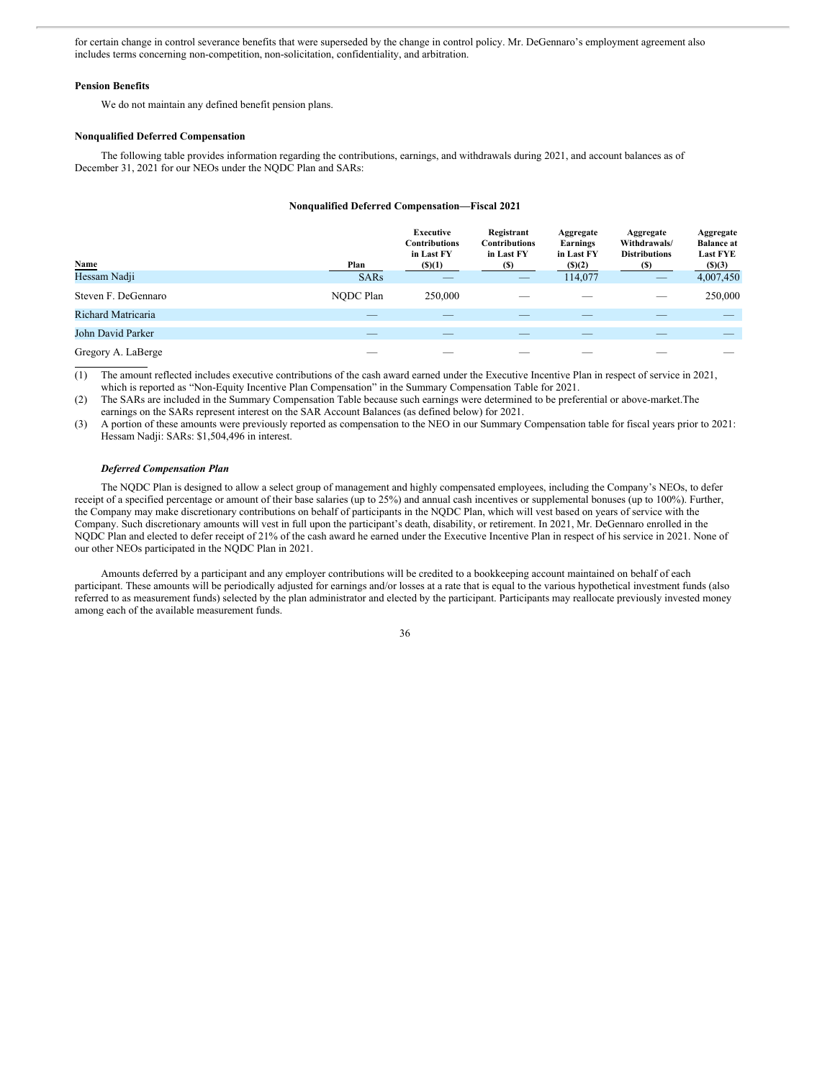for certain change in control severance benefits that were superseded by the change in control policy. Mr. DeGennaro's employment agreement also includes terms concerning non-competition, non-solicitation, confidentiality, and arbitration.

#### **Pension Benefits**

We do not maintain any defined benefit pension plans.

#### **Nonqualified Deferred Compensation**

The following table provides information regarding the contributions, earnings, and withdrawals during 2021, and account balances as of December 31, 2021 for our NEOs under the NQDC Plan and SARs:

#### **Nonqualified Deferred Compensation—Fiscal 2021**

| <b>Name</b><br>Hessam Nadji | Plan        | Executive<br><b>Contributions</b><br>in Last FY<br>(5)(1) | Registrant<br><b>Contributions</b><br>in Last FY<br>(S) | Aggregate<br>Earnings<br>in Last FY<br>(5)(2) | Aggregate<br>Withdrawals/<br><b>Distributions</b><br>(S) | Aggregate<br><b>Balance at</b><br><b>Last FYE</b><br>$($ (\$)(3) |
|-----------------------------|-------------|-----------------------------------------------------------|---------------------------------------------------------|-----------------------------------------------|----------------------------------------------------------|------------------------------------------------------------------|
|                             | <b>SARs</b> |                                                           | __                                                      | 114,077                                       | $\hspace{0.1mm}-\hspace{0.1mm}$                          | 4,007,450                                                        |
| Steven F. DeGennaro         | NODC Plan   | 250,000                                                   |                                                         |                                               | _                                                        | 250,000                                                          |
| Richard Matricaria          |             |                                                           |                                                         |                                               |                                                          |                                                                  |
| John David Parker           |             |                                                           |                                                         |                                               |                                                          |                                                                  |
| Gregory A. LaBerge          |             |                                                           |                                                         |                                               |                                                          |                                                                  |

(1) The amount reflected includes executive contributions of the cash award earned under the Executive Incentive Plan in respect of service in 2021, which is reported as "Non-Equity Incentive Plan Compensation" in the Summary Compensation Table for 2021.

(2) The SARs are included in the Summary Compensation Table because such earnings were determined to be preferential or above-market.The earnings on the SARs represent interest on the SAR Account Balances (as defined below) for 2021.

(3) A portion of these amounts were previously reported as compensation to the NEO in our Summary Compensation table for fiscal years prior to 2021: Hessam Nadji: SARs: \$1,504,496 in interest.

# *Deferred Compensation Plan*

The NQDC Plan is designed to allow a select group of management and highly compensated employees, including the Company's NEOs, to defer receipt of a specified percentage or amount of their base salaries (up to 25%) and annual cash incentives or supplemental bonuses (up to 100%). Further, the Company may make discretionary contributions on behalf of participants in the NQDC Plan, which will vest based on years of service with the Company. Such discretionary amounts will vest in full upon the participant's death, disability, or retirement. In 2021, Mr. DeGennaro enrolled in the NODC Plan and elected to defer receipt of 21% of the cash award he earned under the Executive Incentive Plan in respect of his service in 2021. None of our other NEOs participated in the NQDC Plan in 2021.

Amounts deferred by a participant and any employer contributions will be credited to a bookkeeping account maintained on behalf of each participant. These amounts will be periodically adjusted for earnings and/or losses at a rate that is equal to the various hypothetical investment funds (also referred to as measurement funds) selected by the plan administrator and elected by the participant. Participants may reallocate previously invested money among each of the available measurement funds.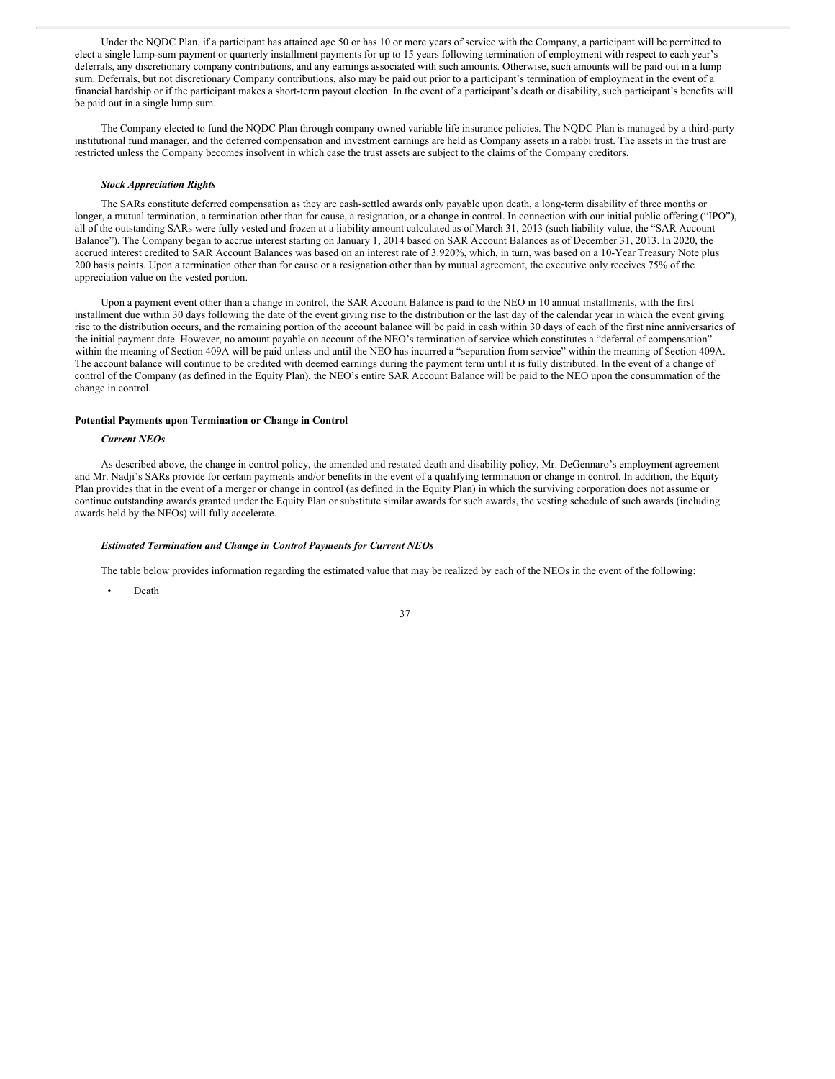Under the NQDC Plan, if a participant has attained age 50 or has 10 or more years of service with the Company, a participant will be permitted to elect a single lump-sum payment or quarterly installment payments for up to 15 years following termination of employment with respect to each year's deferrals, any discretionary company contributions, and any earnings associated with such amounts. Otherwise, such amounts will be paid out in a lump sum. Deferrals, but not discretionary Company contributions, also may be paid out prior to a participant's termination of employment in the event of a financial hardship or if the participant makes a short-term payout election. In the event of a participant's death or disability, such participant's benefits will be paid out in a single lump sum.

The Company elected to fund the NQDC Plan through company owned variable life insurance policies. The NQDC Plan is managed by a third-party institutional fund manager, and the deferred compensation and investment earnings are held as Company assets in a rabbi trust. The assets in the trust are restricted unless the Company becomes insolvent in which case the trust assets are subject to the claims of the Company creditors.

#### *Stock Appreciation Rights*

The SARs constitute deferred compensation as they are cash-settled awards only payable upon death, a long-term disability of three months or longer, a mutual termination, a termination other than for cause, a resignation, or a change in control. In connection with our initial public offering ("IPO"), all of the outstanding SARs were fully vested and frozen at a liability amount calculated as of March 31, 2013 (such liability value, the "SAR Account Balance"). The Company began to accrue interest starting on January 1, 2014 based on SAR Account Balances as of December 31, 2013. In 2020, the accrued interest credited to SAR Account Balances was based on an interest rate of 3.920%, which, in turn, was based on a 10-Year Treasury Note plus 200 basis points. Upon a termination other than for cause or a resignation other than by mutual agreement, the executive only receives 75% of the appreciation value on the vested portion.

Upon a payment event other than a change in control, the SAR Account Balance is paid to the NEO in 10 annual installments, with the first installment due within 30 days following the date of the event giving rise to the distribution or the last day of the calendar year in which the event giving rise to the distribution occurs, and the remaining portion of the account balance will be paid in cash within 30 days of each of the first nine anniversaries of the initial payment date. However, no amount payable on account of the NEO's termination of service which constitutes a "deferral of compensation" within the meaning of Section 409A will be paid unless and until the NEO has incurred a "separation from service" within the meaning of Section 409A. The account balance will continue to be credited with deemed earnings during the payment term until it is fully distributed. In the event of a change of control of the Company (as defined in the Equity Plan), the NEO's entire SAR Account Balance will be paid to the NEO upon the consummation of the change in control.

# **Potential Payments upon Termination or Change in Control**

#### *Current NEOs*

As described above, the change in control policy, the amended and restated death and disability policy, Mr. DeGennaro's employment agreement and Mr. Nadji's SARs provide for certain payments and/or benefits in the event of a qualifying termination or change in control. In addition, the Equity Plan provides that in the event of a merger or change in control (as defined in the Equity Plan) in which the surviving corporation does not assume or continue outstanding awards granted under the Equity Plan or substitute similar awards for such awards, the vesting schedule of such awards (including awards held by the NEOs) will fully accelerate.

#### *Estimated Termination and Change in Control Payments for Current NEOs*

The table below provides information regarding the estimated value that may be realized by each of the NEOs in the event of the following:

• Death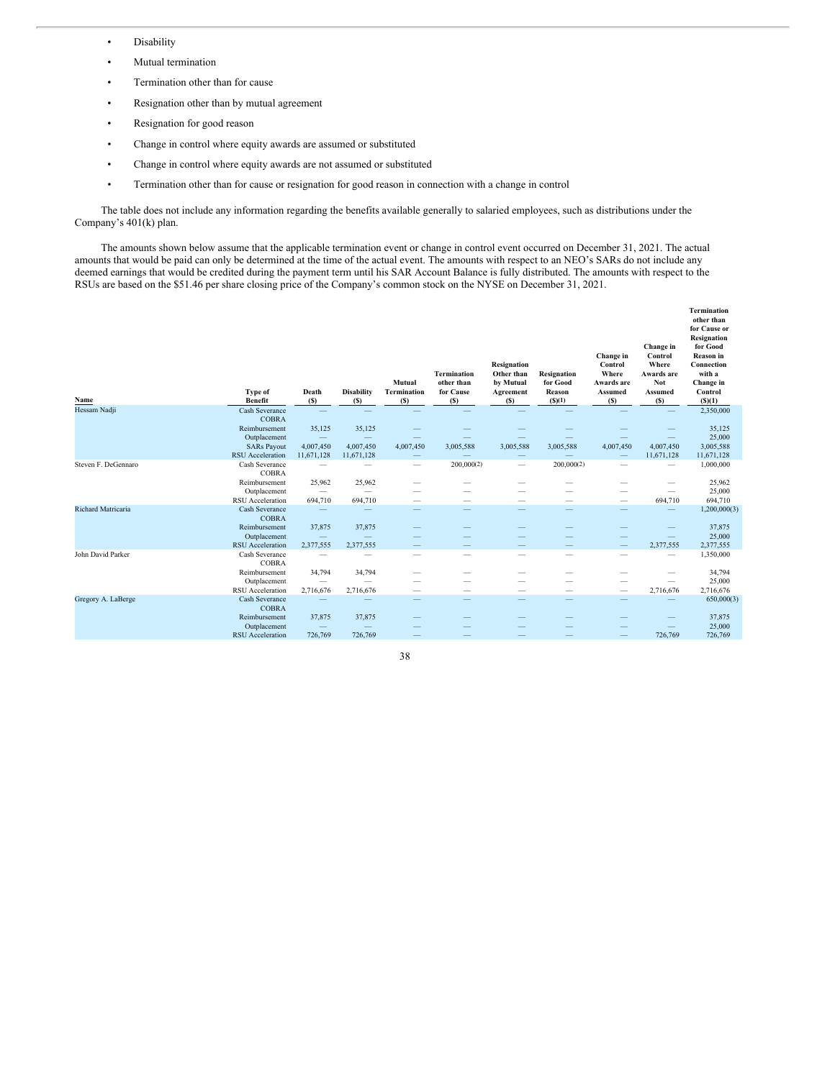- Disability
- Mutual termination
- Termination other than for cause
- Resignation other than by mutual agreement
- Resignation for good reason
- Change in control where equity awards are assumed or substituted
- Change in control where equity awards are not assumed or substituted
- Termination other than for cause or resignation for good reason in connection with a change in control

The table does not include any information regarding the benefits available generally to salaried employees, such as distributions under the Company's 401(k) plan.

The amounts shown below assume that the applicable termination event or change in control event occurred on December 31, 2021. The actual amounts that would be paid can only be determined at the time of the actual event. The amounts with respect to an NEO's SARs do not include any deemed earnings that would be credited during the payment term until his SAR Account Balance is fully distributed. The amounts with respect to the RSUs are based on the \$51.46 per share closing price of the Company's common stock on the NYSE on December 31, 2021.

| Name                | <b>Type of</b><br><b>Benefit</b> | Death<br>(S)             | <b>Disability</b><br>(S) | Mutual<br><b>Termination</b><br>(S) | <b>Termination</b><br>other than<br>for Cause<br>(S) | <b>Resignation</b><br>Other than<br>by Mutual<br>Agreement<br>(S) | <b>Resignation</b><br>for Good<br>Reason<br>(S)(1) | Change in<br>Control<br>Where<br>Awards are<br><b>Assumed</b><br>(S) | Change in<br>Control<br>Where<br>Awards are<br>Not<br><b>Assumed</b><br>(S) | <b>Termination</b><br>other than<br>for Cause or<br><b>Resignation</b><br>for Good<br><b>Reason</b> in<br>Connection<br>with a<br>Change in<br>Control<br>(S)(1) |
|---------------------|----------------------------------|--------------------------|--------------------------|-------------------------------------|------------------------------------------------------|-------------------------------------------------------------------|----------------------------------------------------|----------------------------------------------------------------------|-----------------------------------------------------------------------------|------------------------------------------------------------------------------------------------------------------------------------------------------------------|
| Hessam Nadji        | Cash Severance                   |                          |                          |                                     |                                                      |                                                                   |                                                    |                                                                      |                                                                             | 2,350,000                                                                                                                                                        |
|                     | <b>COBRA</b><br>Reimbursement    | 35,125                   | 35,125                   |                                     |                                                      |                                                                   |                                                    |                                                                      |                                                                             | 35,125                                                                                                                                                           |
|                     | Outplacement                     | $\qquad \qquad -$        |                          |                                     |                                                      |                                                                   |                                                    |                                                                      |                                                                             | 25,000                                                                                                                                                           |
|                     | <b>SARs Payout</b>               | 4,007,450                | 4,007,450                | 4,007,450                           | 3,005,588                                            | 3,005,588                                                         | 3,005,588                                          | 4,007,450                                                            | 4,007,450                                                                   | 3,005,588                                                                                                                                                        |
|                     | <b>RSU</b> Acceleration          | 11,671,128               | 11,671,128               |                                     |                                                      |                                                                   |                                                    |                                                                      | 11,671,128                                                                  | 11,671,128                                                                                                                                                       |
| Steven F. DeGennaro | Cash Severance<br><b>COBRA</b>   |                          |                          | $\overline{\phantom{0}}$            | 200,000(2)                                           | -                                                                 | 200,000(2)                                         |                                                                      | $\overline{\phantom{0}}$                                                    | 1,000,000                                                                                                                                                        |
|                     | Reimbursement                    | 25,962                   | 25,962                   |                                     |                                                      |                                                                   |                                                    |                                                                      |                                                                             | 25,962                                                                                                                                                           |
|                     | Outplacement                     | $\overline{\phantom{m}}$ | $\overline{\phantom{0}}$ |                                     |                                                      |                                                                   |                                                    |                                                                      | $\frac{1}{2}$                                                               | 25,000                                                                                                                                                           |
|                     | <b>RSU</b> Acceleration          | 694,710                  | 694,710                  |                                     | -                                                    | -                                                                 | -                                                  |                                                                      | 694,710                                                                     | 694,710                                                                                                                                                          |
| Richard Matricaria  | Cash Severance<br><b>COBRA</b>   |                          |                          |                                     |                                                      |                                                                   | $\overline{\phantom{a}}$                           | -                                                                    |                                                                             | 1,200,000(3)                                                                                                                                                     |
|                     | Reimbursement                    | 37,875                   | 37,875                   |                                     |                                                      |                                                                   |                                                    |                                                                      |                                                                             | 37,875                                                                                                                                                           |
|                     | Outplacement                     |                          |                          |                                     |                                                      |                                                                   |                                                    |                                                                      | -                                                                           | 25,000                                                                                                                                                           |
|                     | <b>RSU</b> Acceleration          | 2,377,555                | 2,377,555                |                                     |                                                      |                                                                   | $\overline{\phantom{0}}$                           |                                                                      | 2,377,555                                                                   | 2,377,555                                                                                                                                                        |
| John David Parker   | Cash Severance<br><b>COBRA</b>   |                          |                          | -                                   | -                                                    | -                                                                 | -                                                  | -                                                                    | -                                                                           | 1,350,000                                                                                                                                                        |
|                     | Reimbursement                    | 34,794                   | 34,794                   |                                     |                                                      |                                                                   | --                                                 |                                                                      |                                                                             | 34,794                                                                                                                                                           |
|                     | Outplacement                     | —                        | -                        |                                     |                                                      |                                                                   |                                                    |                                                                      | -                                                                           | 25,000                                                                                                                                                           |
|                     | RSU Acceleration                 | 2,716,676                | 2,716,676                |                                     | -                                                    | -                                                                 | $\overline{\phantom{a}}$                           | $\hspace{0.1mm}-\hspace{0.1mm}$                                      | 2,716,676                                                                   | 2,716,676                                                                                                                                                        |
| Gregory A. LaBerge  | Cash Severance<br><b>COBRA</b>   |                          |                          |                                     |                                                      |                                                                   |                                                    |                                                                      |                                                                             | 650,000(3)                                                                                                                                                       |
|                     | Reimbursement                    | 37,875                   | 37,875                   |                                     |                                                      |                                                                   |                                                    |                                                                      |                                                                             | 37,875                                                                                                                                                           |
|                     | Outplacement                     |                          |                          |                                     |                                                      |                                                                   |                                                    |                                                                      |                                                                             | 25,000                                                                                                                                                           |
|                     | <b>RSU</b> Acceleration          | 726,769                  | 726,769                  |                                     |                                                      |                                                                   |                                                    |                                                                      | 726,769                                                                     | 726,769                                                                                                                                                          |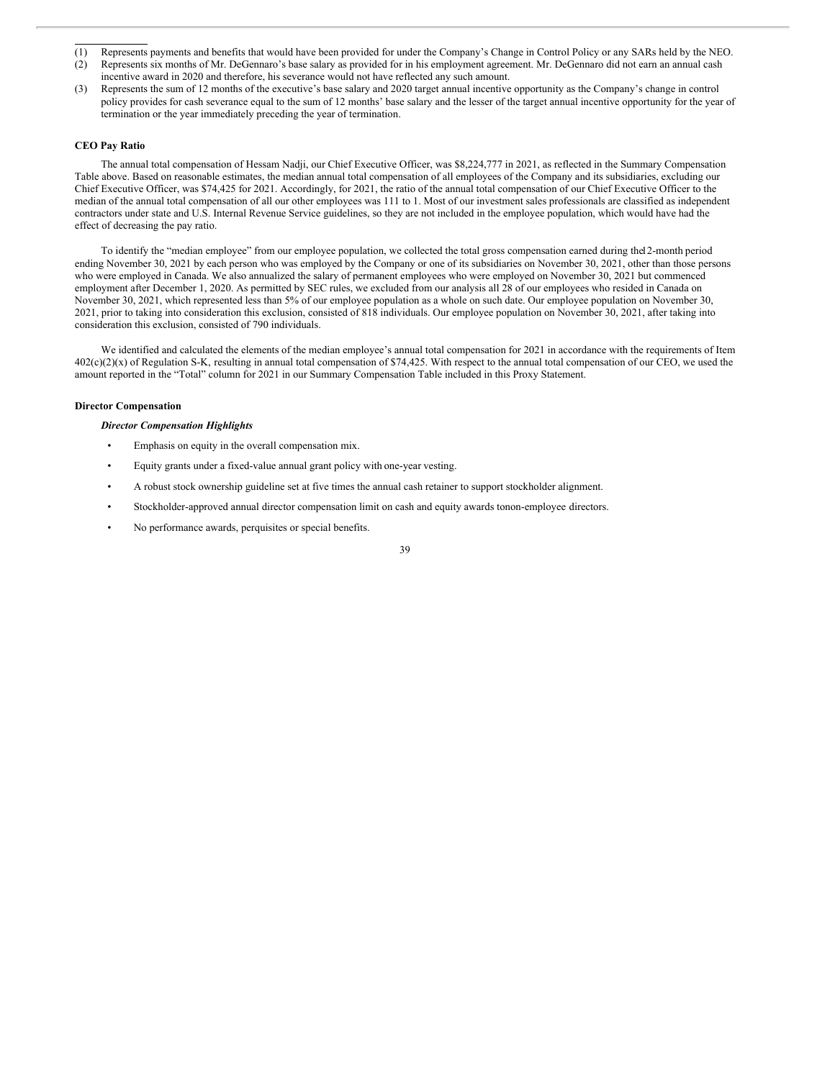- (1) Represents payments and benefits that would have been provided for under the Company's Change in Control Policy or any SARs held by the NEO.
- (2) Represents six months of Mr. DeGennaro's base salary as provided for in his employment agreement. Mr. DeGennaro did not earn an annual cash incentive award in 2020 and therefore, his severance would not have reflected any such amount.
- (3) Represents the sum of 12 months of the executive's base salary and 2020 target annual incentive opportunity as the Company's change in control policy provides for cash severance equal to the sum of 12 months' base salary and the lesser of the target annual incentive opportunity for the year of termination or the year immediately preceding the year of termination.

# **CEO Pay Ratio**

The annual total compensation of Hessam Nadji, our Chief Executive Officer, was \$8,224,777 in 2021, as reflected in the Summary Compensation Table above. Based on reasonable estimates, the median annual total compensation of all employees of the Company and its subsidiaries, excluding our Chief Executive Officer, was \$74,425 for 2021. Accordingly, for 2021, the ratio of the annual total compensation of our Chief Executive Officer to the median of the annual total compensation of all our other employees was 111 to 1. Most of our investment sales professionals are classified as independent contractors under state and U.S. Internal Revenue Service guidelines, so they are not included in the employee population, which would have had the effect of decreasing the pay ratio.

To identify the "median employee" from our employee population, we collected the total gross compensation earned during the12-month period ending November 30, 2021 by each person who was employed by the Company or one of its subsidiaries on November 30, 2021, other than those persons who were employed in Canada. We also annualized the salary of permanent employees who were employed on November 30, 2021 but commenced employment after December 1, 2020. As permitted by SEC rules, we excluded from our analysis all 28 of our employees who resided in Canada on November 30, 2021, which represented less than 5% of our employee population as a whole on such date. Our employee population on November 30, 2021, prior to taking into consideration this exclusion, consisted of 818 individuals. Our employee population on November 30, 2021, after taking into consideration this exclusion, consisted of 790 individuals.

We identified and calculated the elements of the median employee's annual total compensation for 2021 in accordance with the requirements of Item  $402(c)(2)(x)$  of Regulation S-K, resulting in annual total compensation of \$74,425. With respect to the annual total compensation of our CEO, we used the amount reported in the "Total" column for 2021 in our Summary Compensation Table included in this Proxy Statement.

### **Director Compensation**

# *Director Compensation Highlights*

- Emphasis on equity in the overall compensation mix.
- Equity grants under a fixed-value annual grant policy with one-year vesting.
- A robust stock ownership guideline set at five times the annual cash retainer to support stockholder alignment.
- Stockholder-approved annual director compensation limit on cash and equity awards tonon-employee directors.
- No performance awards, perquisites or special benefits.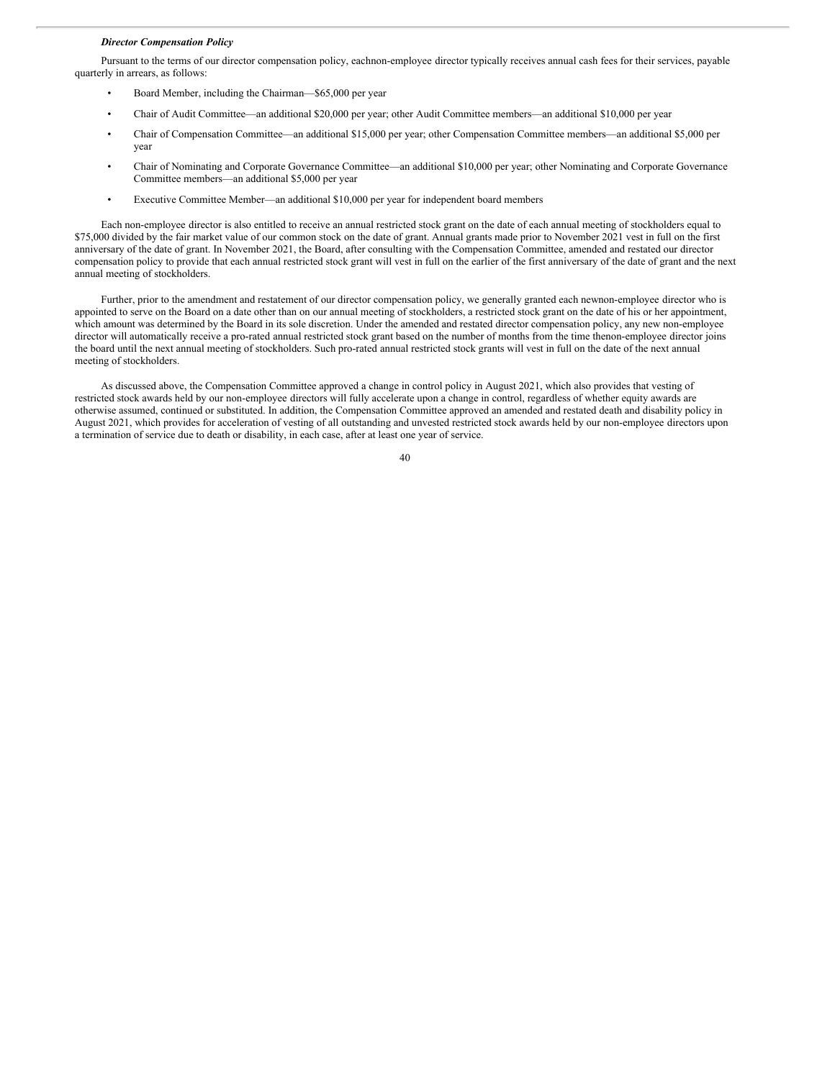#### *Director Compensation Policy*

Pursuant to the terms of our director compensation policy, eachnon-employee director typically receives annual cash fees for their services, payable quarterly in arrears, as follows:

- Board Member, including the Chairman—\$65,000 per year
- Chair of Audit Committee—an additional \$20,000 per year; other Audit Committee members—an additional \$10,000 per year
- Chair of Compensation Committee—an additional \$15,000 per year; other Compensation Committee members—an additional \$5,000 per year
- Chair of Nominating and Corporate Governance Committee—an additional \$10,000 per year; other Nominating and Corporate Governance Committee members—an additional \$5,000 per year
- Executive Committee Member—an additional \$10,000 per year for independent board members

Each non-employee director is also entitled to receive an annual restricted stock grant on the date of each annual meeting of stockholders equal to \$75,000 divided by the fair market value of our common stock on the date of grant. Annual grants made prior to November 2021 vest in full on the first anniversary of the date of grant. In November 2021, the Board, after consulting with the Compensation Committee, amended and restated our director compensation policy to provide that each annual restricted stock grant will vest in full on the earlier of the first anniversary of the date of grant and the next annual meeting of stockholders.

Further, prior to the amendment and restatement of our director compensation policy, we generally granted each newnon-employee director who is appointed to serve on the Board on a date other than on our annual meeting of stockholders, a restricted stock grant on the date of his or her appointment, which amount was determined by the Board in its sole discretion. Under the amended and restated director compensation policy, any new non-employee director will automatically receive a pro-rated annual restricted stock grant based on the number of months from the time thenon-employee director joins the board until the next annual meeting of stockholders. Such pro-rated annual restricted stock grants will vest in full on the date of the next annual meeting of stockholders.

As discussed above, the Compensation Committee approved a change in control policy in August 2021, which also provides that vesting of restricted stock awards held by our non-employee directors will fully accelerate upon a change in control, regardless of whether equity awards are otherwise assumed, continued or substituted. In addition, the Compensation Committee approved an amended and restated death and disability policy in August 2021, which provides for acceleration of vesting of all outstanding and unvested restricted stock awards held by our non-employee directors upon a termination of service due to death or disability, in each case, after at least one year of service.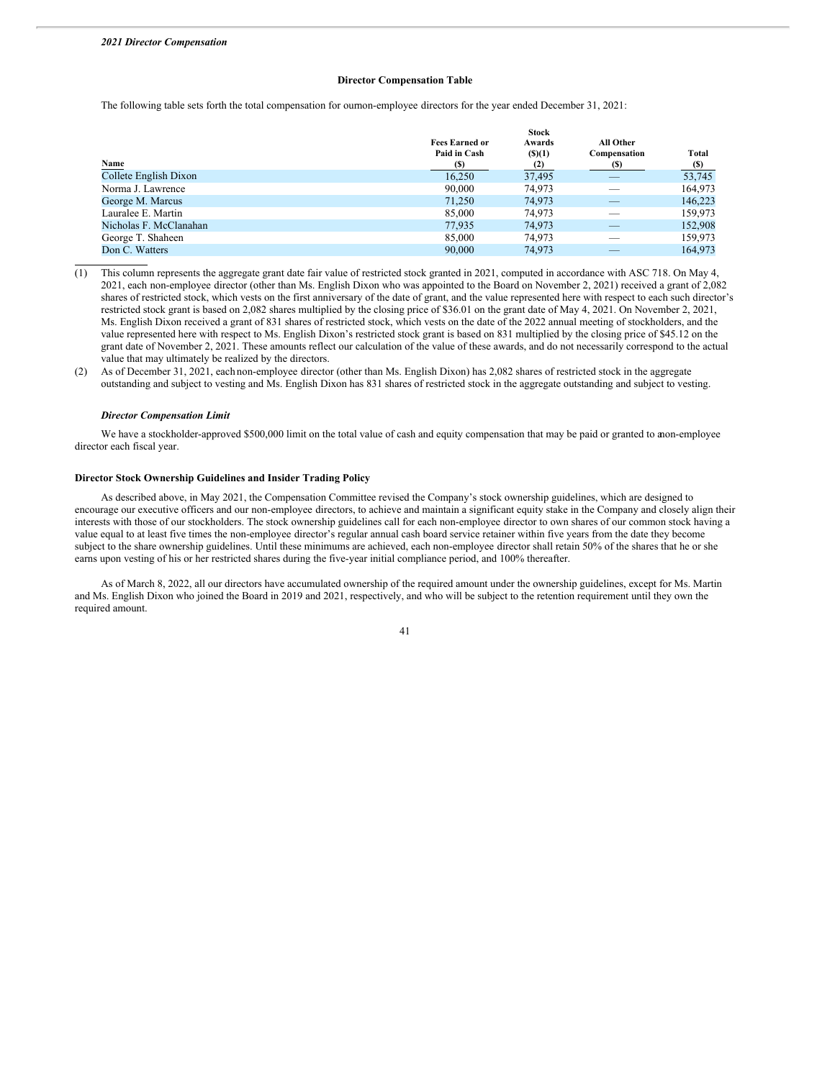# **Director Compensation Table**

The following table sets forth the total compensation for ournon-employee directors for the year ended December 31, 2021:

|                        |                       | <b>Stock</b> |              |            |  |
|------------------------|-----------------------|--------------|--------------|------------|--|
|                        | <b>Fees Earned or</b> | Awards       | All Other    |            |  |
|                        | Paid in Cash          | $($ (\$)(1)  | Compensation | Total      |  |
| Name                   | (S)                   | (2)          | (S)          | <u>(S)</u> |  |
| Collete English Dixon  | 16,250                | 37,495       |              | 53,745     |  |
| Norma J. Lawrence      | 90,000                | 74.973       | __           | 164,973    |  |
| George M. Marcus       | 71,250                | 74,973       |              | 146,223    |  |
| Lauralee E. Martin     | 85,000                | 74,973       |              | 159,973    |  |
| Nicholas F. McClanahan | 77.935                | 74,973       | __           | 152,908    |  |
| George T. Shaheen      | 85,000                | 74.973       |              | 159,973    |  |
| Don C. Watters         | 90,000                | 74,973       |              | 164,973    |  |

- (1) This column represents the aggregate grant date fair value of restricted stock granted in 2021, computed in accordance with ASC 718. On May 4, 2021, each non-employee director (other than Ms. English Dixon who was appointed to the Board on November 2, 2021) received a grant of 2,082 shares of restricted stock, which vests on the first anniversary of the date of grant, and the value represented here with respect to each such director's restricted stock grant is based on 2,082 shares multiplied by the closing price of \$36.01 on the grant date of May 4, 2021. On November 2, 2021, Ms. English Dixon received a grant of 831 shares of restricted stock, which vests on the date of the 2022 annual meeting of stockholders, and the value represented here with respect to Ms. English Dixon's restricted stock grant is based on 831 multiplied by the closing price of \$45.12 on the grant date of November 2, 2021. These amounts reflect our calculation of the value of these awards, and do not necessarily correspond to the actual value that may ultimately be realized by the directors.
- (2) As of December 31, 2021, each non-employee director (other than Ms. English Dixon) has 2,082 shares of restricted stock in the aggregate outstanding and subject to vesting and Ms. English Dixon has 831 shares of restricted stock in the aggregate outstanding and subject to vesting.

#### *Director Compensation Limit*

We have a stockholder-approved \$500,000 limit on the total value of cash and equity compensation that may be paid or granted to anon-employee director each fiscal year.

# **Director Stock Ownership Guidelines and Insider Trading Policy**

As described above, in May 2021, the Compensation Committee revised the Company's stock ownership guidelines, which are designed to encourage our executive officers and our non-employee directors, to achieve and maintain a significant equity stake in the Company and closely align their interests with those of our stockholders. The stock ownership guidelines call for each non-employee director to own shares of our common stock having a value equal to at least five times the non-employee director's regular annual cash board service retainer within five years from the date they become subject to the share ownership guidelines. Until these minimums are achieved, each non-employee director shall retain 50% of the shares that he or she earns upon vesting of his or her restricted shares during the five-year initial compliance period, and 100% thereafter.

As of March 8, 2022, all our directors have accumulated ownership of the required amount under the ownership guidelines, except for Ms. Martin and Ms. English Dixon who joined the Board in 2019 and 2021, respectively, and who will be subject to the retention requirement until they own the required amount.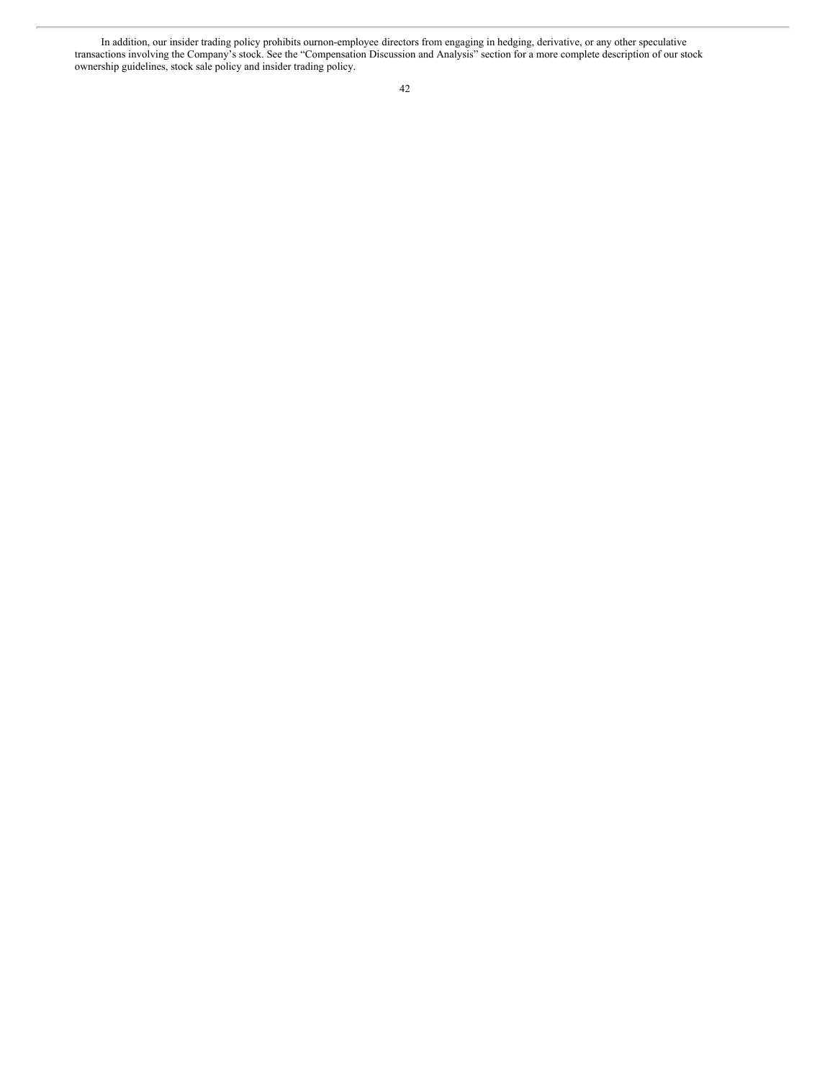In addition, our insider trading policy prohibits ournon-employee directors from engaging in hedging, derivative, or any other speculative transactions involving the Company's stock. See the "Compensation Discussion and Analysis" section for a more complete description of our stock ownership guidelines, stock sale policy and insider trading policy.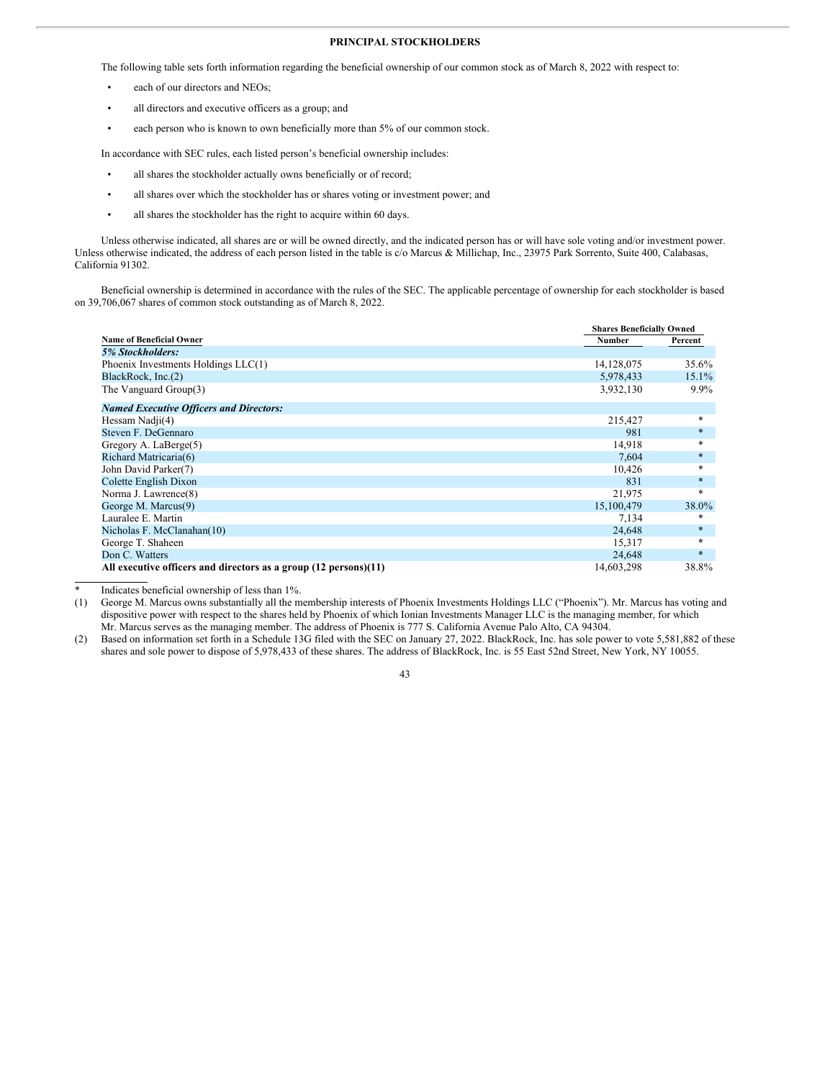# **PRINCIPAL STOCKHOLDERS**

The following table sets forth information regarding the beneficial ownership of our common stock as of March 8, 2022 with respect to:

- each of our directors and NEOs;
- all directors and executive officers as a group; and
- each person who is known to own beneficially more than 5% of our common stock.

In accordance with SEC rules, each listed person's beneficial ownership includes:

- all shares the stockholder actually owns beneficially or of record;
- all shares over which the stockholder has or shares voting or investment power; and
- all shares the stockholder has the right to acquire within 60 days.

Unless otherwise indicated, all shares are or will be owned directly, and the indicated person has or will have sole voting and/or investment power. Unless otherwise indicated, the address of each person listed in the table is c/o Marcus & Millichap, Inc., 23975 Park Sorrento, Suite 400, Calabasas, California 91302.

Beneficial ownership is determined in accordance with the rules of the SEC. The applicable percentage of ownership for each stockholder is based on 39,706,067 shares of common stock outstanding as of March 8, 2022.

|                                                                  | <b>Shares Beneficially Owned</b> |         |
|------------------------------------------------------------------|----------------------------------|---------|
| <b>Name of Beneficial Owner</b>                                  | <b>Number</b>                    | Percent |
| 5% Stockholders:                                                 |                                  |         |
| Phoenix Investments Holdings LLC(1)                              | 14,128,075                       | 35.6%   |
| BlackRock, Inc.(2)                                               | 5,978,433                        | 15.1%   |
| The Vanguard Group(3)                                            | 3,932,130                        | $9.9\%$ |
| <b>Named Executive Officers and Directors:</b>                   |                                  |         |
| Hessam Nadji(4)                                                  | 215,427                          | $\ast$  |
| Steven F. DeGennaro                                              | 981                              | $\ast$  |
| Gregory A. LaBerge(5)                                            | 14,918                           | $\ast$  |
| Richard Matricaria(6)                                            | 7,604                            | $\ast$  |
| John David Parker(7)                                             | 10,426                           | $\ast$  |
| Colette English Dixon                                            | 831                              | $\ast$  |
| Norma J. Lawrence(8)                                             | 21,975                           | $\ast$  |
| George M. Marcus(9)                                              | 15,100,479                       | 38.0%   |
| Lauralee E. Martin                                               | 7,134                            | *       |
| Nicholas F. McClanahan(10)                                       | 24,648                           | $\ast$  |
| George T. Shaheen                                                | 15,317                           | $\ast$  |
| Don C. Watters                                                   | 24,648                           | $*$     |
| All executive officers and directors as a group (12 persons)(11) | 14,603,298                       | 38.8%   |

Indicates beneficial ownership of less than 1%.

(1) George M. Marcus owns substantially all the membership interests of Phoenix Investments Holdings LLC ("Phoenix"). Mr. Marcus has voting and dispositive power with respect to the shares held by Phoenix of which Ionian Investments Manager LLC is the managing member, for which Mr. Marcus serves as the managing member. The address of Phoenix is 777 S. California Avenue Palo Alto, CA 94304.

(2) Based on information set forth in a Schedule 13G filed with the SEC on January 27, 2022. BlackRock, Inc. has sole power to vote 5,581,882 of these shares and sole power to dispose of 5,978,433 of these shares. The address of BlackRock, Inc. is 55 East 52nd Street, New York, NY 10055.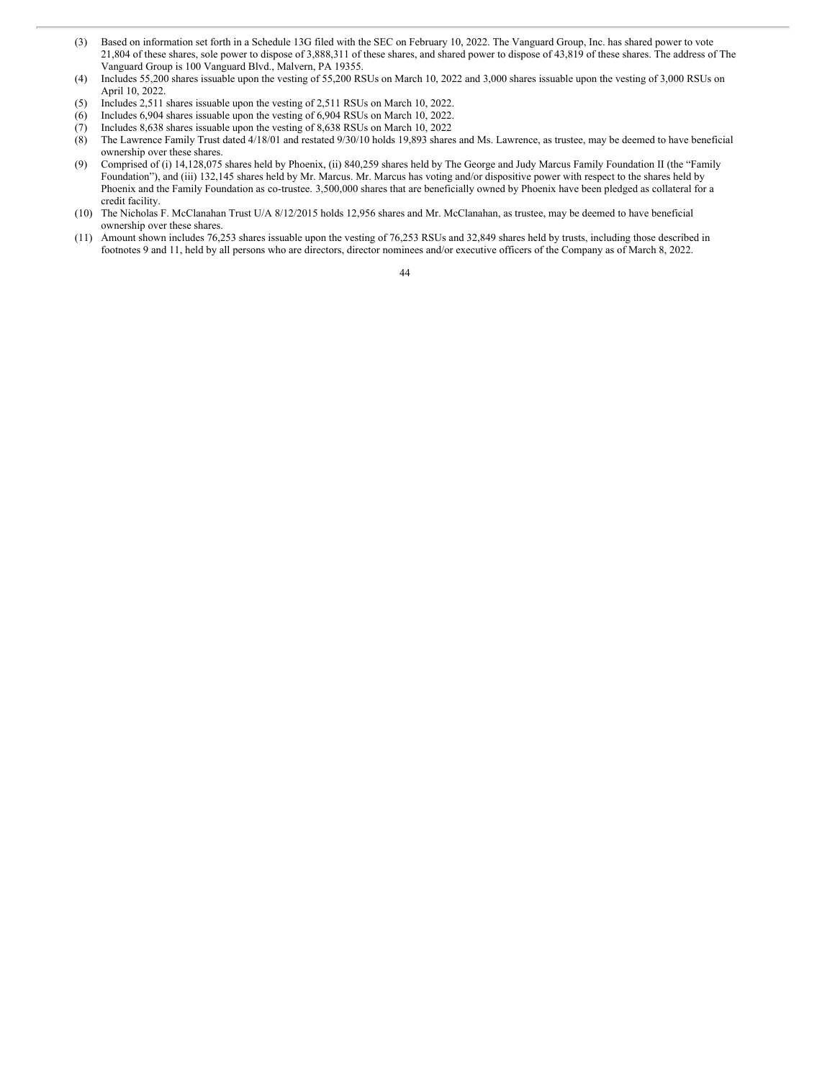- (3) Based on information set forth in a Schedule 13G filed with the SEC on February 10, 2022. The Vanguard Group, Inc. has shared power to vote 21,804 of these shares, sole power to dispose of 3,888,311 of these shares, and shared power to dispose of 43,819 of these shares. The address of The Vanguard Group is 100 Vanguard Blvd., Malvern, PA 19355.
- (4) Includes 55,200 shares issuable upon the vesting of 55,200 RSUs on March 10, 2022 and 3,000 shares issuable upon the vesting of 3,000 RSUs on April 10, 2022.
- (5) Includes 2,511 shares issuable upon the vesting of 2,511 RSUs on March 10, 2022.
- (6) Includes 6,904 shares issuable upon the vesting of 6,904 RSUs on March 10, 2022.
- (7) Includes 8,638 shares issuable upon the vesting of 8,638 RSUs on March 10, 2022
- (8) The Lawrence Family Trust dated 4/18/01 and restated 9/30/10 holds 19,893 shares and Ms. Lawrence, as trustee, may be deemed to have beneficial ownership over these shares.
- (9) Comprised of (i) 14,128,075 shares held by Phoenix, (ii) 840,259 shares held by The George and Judy Marcus Family Foundation II (the "Family Foundation"), and (iii) 132,145 shares held by Mr. Marcus. Mr. Marcus has voting and/or dispositive power with respect to the shares held by Phoenix and the Family Foundation as co-trustee. 3,500,000 shares that are beneficially owned by Phoenix have been pledged as collateral for a credit facility.
- (10) The Nicholas F. McClanahan Trust U/A 8/12/2015 holds 12,956 shares and Mr. McClanahan, as trustee, may be deemed to have beneficial ownership over these shares.
- (11) Amount shown includes 76,253 shares issuable upon the vesting of 76,253 RSUs and 32,849 shares held by trusts, including those described in footnotes 9 and 11, held by all persons who are directors, director nominees and/or executive officers of the Company as of March 8, 2022.

<sup>44</sup>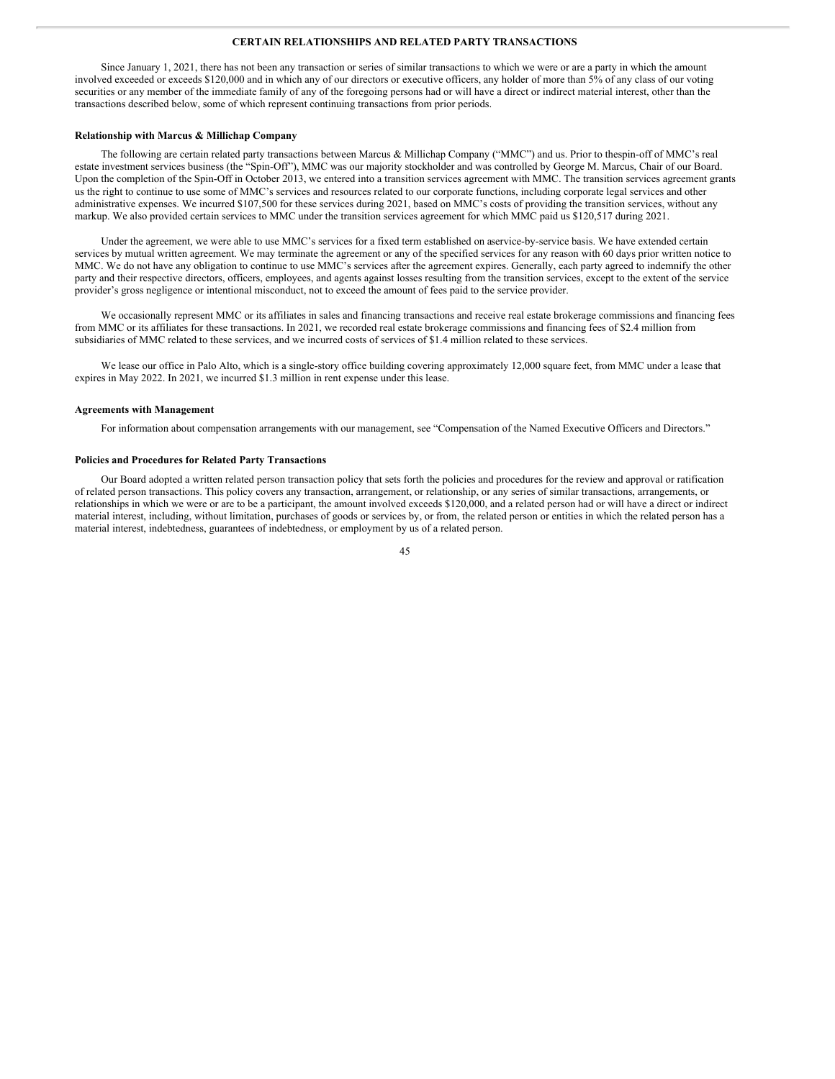# **CERTAIN RELATIONSHIPS AND RELATED PARTY TRANSACTIONS**

Since January 1, 2021, there has not been any transaction or series of similar transactions to which we were or are a party in which the amount involved exceeded or exceeds \$120,000 and in which any of our directors or executive officers, any holder of more than 5% of any class of our voting securities or any member of the immediate family of any of the foregoing persons had or will have a direct or indirect material interest, other than the transactions described below, some of which represent continuing transactions from prior periods.

#### **Relationship with Marcus & Millichap Company**

The following are certain related party transactions between Marcus & Millichap Company ("MMC") and us. Prior to thespin-off of MMC's real estate investment services business (the "Spin-Off"), MMC was our majority stockholder and was controlled by George M. Marcus, Chair of our Board. Upon the completion of the Spin-Off in October 2013, we entered into a transition services agreement with MMC. The transition services agreement grants us the right to continue to use some of MMC's services and resources related to our corporate functions, including corporate legal services and other administrative expenses. We incurred \$107,500 for these services during 2021, based on MMC's costs of providing the transition services, without any markup. We also provided certain services to MMC under the transition services agreement for which MMC paid us \$120,517 during 2021.

Under the agreement, we were able to use MMC's services for a fixed term established on aservice-by-service basis. We have extended certain services by mutual written agreement. We may terminate the agreement or any of the specified services for any reason with 60 days prior written notice to MMC. We do not have any obligation to continue to use MMC's services after the agreement expires. Generally, each party agreed to indemnify the other party and their respective directors, officers, employees, and agents against losses resulting from the transition services, except to the extent of the service provider's gross negligence or intentional misconduct, not to exceed the amount of fees paid to the service provider.

We occasionally represent MMC or its affiliates in sales and financing transactions and receive real estate brokerage commissions and financing fees from MMC or its affiliates for these transactions. In 2021, we recorded real estate brokerage commissions and financing fees of \$2.4 million from subsidiaries of MMC related to these services, and we incurred costs of services of \$1.4 million related to these services.

We lease our office in Palo Alto, which is a single-story office building covering approximately 12,000 square feet, from MMC under a lease that expires in May 2022. In 2021, we incurred \$1.3 million in rent expense under this lease.

#### **Agreements with Management**

For information about compensation arrangements with our management, see "Compensation of the Named Executive Officers and Directors."

#### **Policies and Procedures for Related Party Transactions**

Our Board adopted a written related person transaction policy that sets forth the policies and procedures for the review and approval or ratification of related person transactions. This policy covers any transaction, arrangement, or relationship, or any series of similar transactions, arrangements, or relationships in which we were or are to be a participant, the amount involved exceeds \$120,000, and a related person had or will have a direct or indirect material interest, including, without limitation, purchases of goods or services by, or from, the related person or entities in which the related person has a material interest, indebtedness, guarantees of indebtedness, or employment by us of a related person.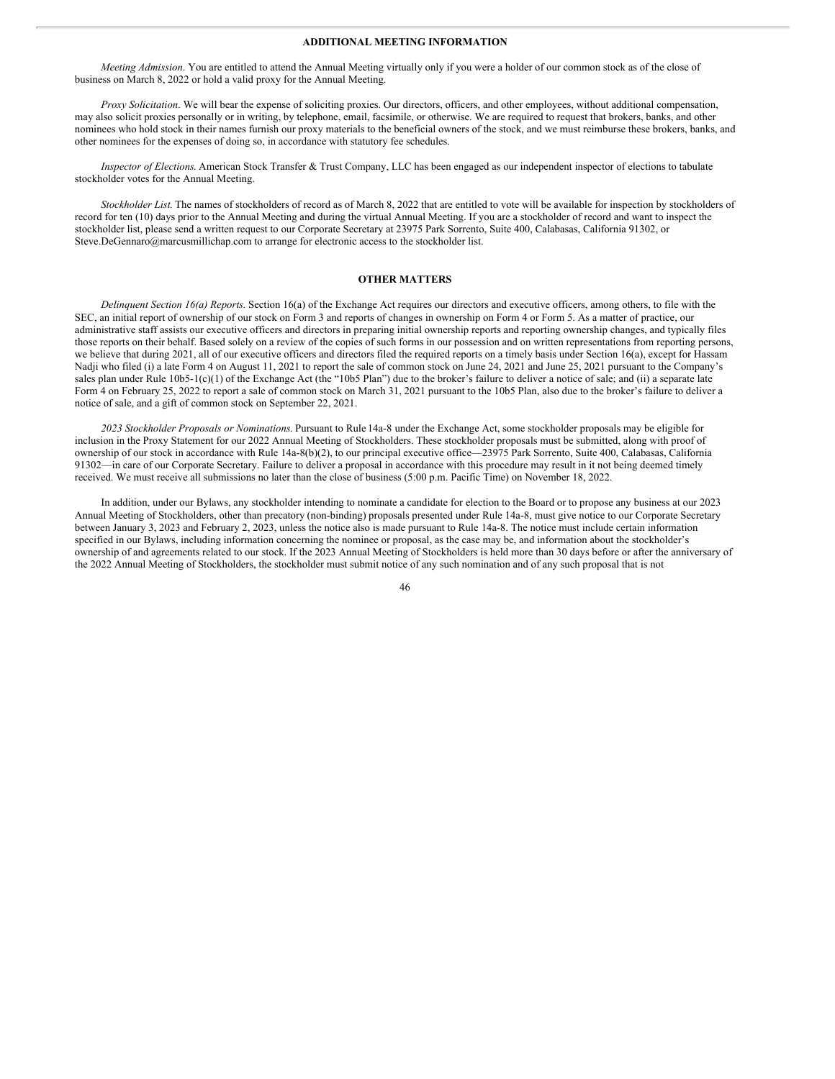# **ADDITIONAL MEETING INFORMATION**

*Meeting Admission*. You are entitled to attend the Annual Meeting virtually only if you were a holder of our common stock as of the close of business on March 8, 2022 or hold a valid proxy for the Annual Meeting.

*Proxy Solicitation*. We will bear the expense of soliciting proxies. Our directors, officers, and other employees, without additional compensation, may also solicit proxies personally or in writing, by telephone, email, facsimile, or otherwise. We are required to request that brokers, banks, and other nominees who hold stock in their names furnish our proxy materials to the beneficial owners of the stock, and we must reimburse these brokers, banks, and other nominees for the expenses of doing so, in accordance with statutory fee schedules.

*Inspector of Elections*. American Stock Transfer & Trust Company, LLC has been engaged as our independent inspector of elections to tabulate stockholder votes for the Annual Meeting.

*Stockholder List*. The names of stockholders of record as of March 8, 2022 that are entitled to vote will be available for inspection by stockholders of record for ten (10) days prior to the Annual Meeting and during the virtual Annual Meeting. If you are a stockholder of record and want to inspect the stockholder list, please send a written request to our Corporate Secretary at 23975 Park Sorrento, Suite 400, Calabasas, California 91302, or Steve.DeGennaro@marcusmillichap.com to arrange for electronic access to the stockholder list.

#### **OTHER MATTERS**

*Delinquent Section 16(a) Reports.* Section 16(a) of the Exchange Act requires our directors and executive officers, among others, to file with the SEC, an initial report of ownership of our stock on Form 3 and reports of changes in ownership on Form 4 or Form 5. As a matter of practice, our administrative staff assists our executive officers and directors in preparing initial ownership reports and reporting ownership changes, and typically files those reports on their behalf. Based solely on a review of the copies of such forms in our possession and on written representations from reporting persons, we believe that during 2021, all of our executive officers and directors filed the required reports on a timely basis under Section 16(a), except for Hassam Nadji who filed (i) a late Form 4 on August 11, 2021 to report the sale of common stock on June 24, 2021 and June 25, 2021 pursuant to the Company's sales plan under Rule 10b5-1(c)(1) of the Exchange Act (the "10b5 Plan") due to the broker's failure to deliver a notice of sale; and (ii) a separate late Form 4 on February 25, 2022 to report a sale of common stock on March 31, 2021 pursuant to the 10b5 Plan, also due to the broker's failure to deliver a notice of sale, and a gift of common stock on September 22, 2021.

*2023 Stockholder Proposals or Nominations*. Pursuant to Rule 14a-8 under the Exchange Act, some stockholder proposals may be eligible for inclusion in the Proxy Statement for our 2022 Annual Meeting of Stockholders. These stockholder proposals must be submitted, along with proof of ownership of our stock in accordance with Rule 14a-8(b)(2), to our principal executive office—23975 Park Sorrento, Suite 400, Calabasas, California 91302—in care of our Corporate Secretary. Failure to deliver a proposal in accordance with this procedure may result in it not being deemed timely received. We must receive all submissions no later than the close of business (5:00 p.m. Pacific Time) on November 18, 2022.

In addition, under our Bylaws, any stockholder intending to nominate a candidate for election to the Board or to propose any business at our 2023 Annual Meeting of Stockholders, other than precatory (non-binding) proposals presented under Rule 14a-8, must give notice to our Corporate Secretary between January 3, 2023 and February 2, 2023, unless the notice also is made pursuant to Rule 14a-8. The notice must include certain information specified in our Bylaws, including information concerning the nominee or proposal, as the case may be, and information about the stockholder's ownership of and agreements related to our stock. If the 2023 Annual Meeting of Stockholders is held more than 30 days before or after the anniversary of the 2022 Annual Meeting of Stockholders, the stockholder must submit notice of any such nomination and of any such proposal that is not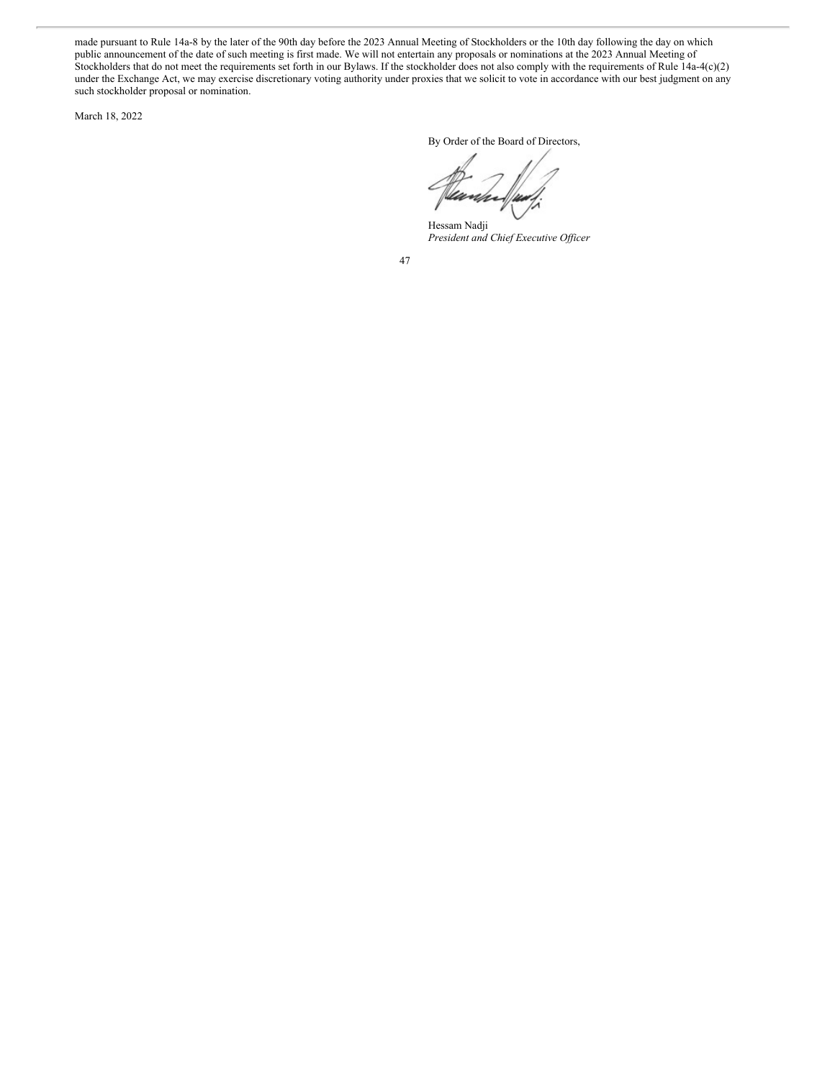made pursuant to Rule 14a-8 by the later of the 90th day before the 2023 Annual Meeting of Stockholders or the 10th day following the day on which public announcement of the date of such meeting is first made. We will not entertain any proposals or nominations at the 2023 Annual Meeting of Stockholders that do not meet the requirements set forth in our Bylaws. If the stockholder does not also comply with the requirements of Rule 14a-4(c)(2) under the Exchange Act, we may exercise discretionary voting authority under proxies that we solicit to vote in accordance with our best judgment on any such stockholder proposal or nomination.

March 18, 2022

By Order of the Board of Directors,

Hessam Nadji *President and Chief Executive Of icer*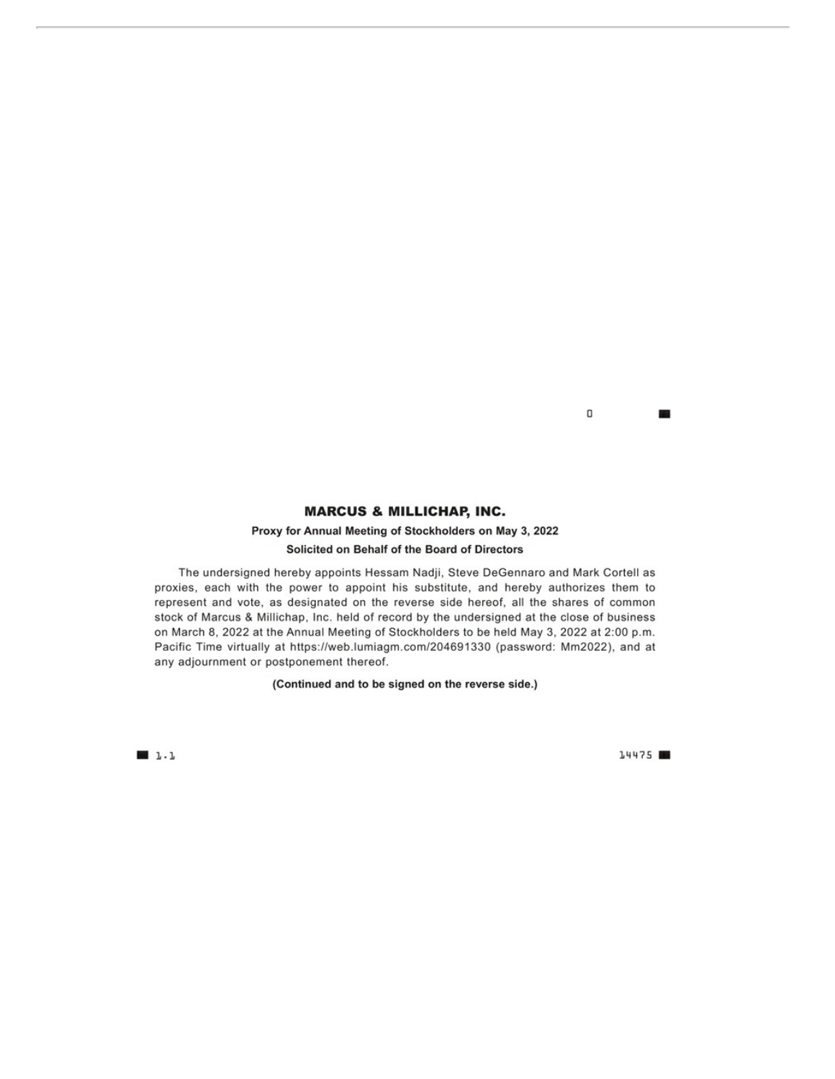0 **The State** 

# **MARCUS & MILLICHAP, INC.**

# Proxy for Annual Meeting of Stockholders on May 3, 2022 Solicited on Behalf of the Board of Directors

The undersigned hereby appoints Hessam Nadji, Steve DeGennaro and Mark Cortell as proxies, each with the power to appoint his substitute, and hereby authorizes them to represent and vote, as designated on the reverse side hereof, all the shares of common stock of Marcus & Millichap, Inc. held of record by the undersigned at the close of business on March 8, 2022 at the Annual Meeting of Stockholders to be held May 3, 2022 at 2:00 p.m. Pacific Time virtually at https://web.lumiagm.com/204691330 (password: Mm2022), and at any adjournment or postponement thereof.

(Continued and to be signed on the reverse side.)

 $1.1$